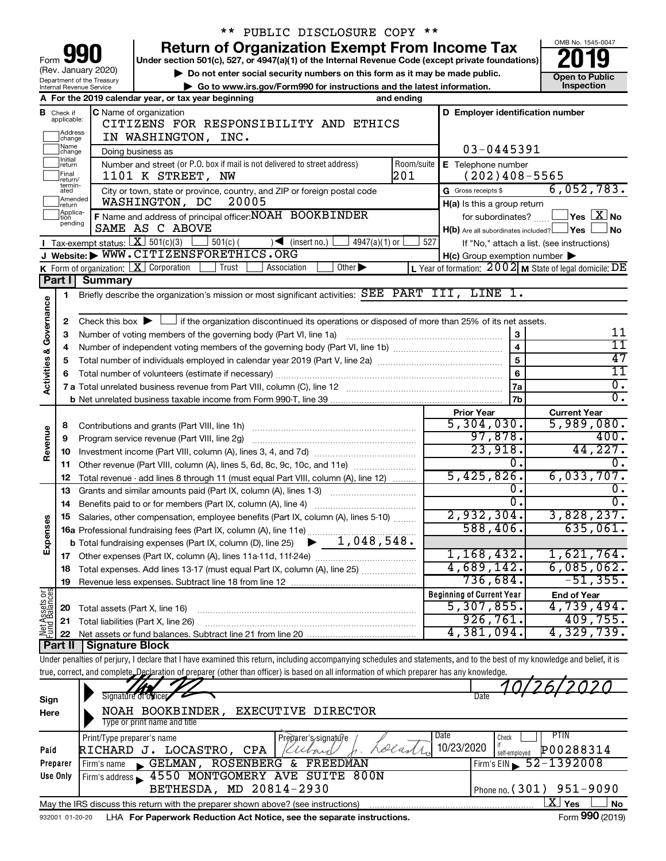|                         |                             |                                                        | PUBLIC DISCLOSURE COPY **                                                                                                                                                  |            |                                                     |                                                           |  |  |  |  |
|-------------------------|-----------------------------|--------------------------------------------------------|----------------------------------------------------------------------------------------------------------------------------------------------------------------------------|------------|-----------------------------------------------------|-----------------------------------------------------------|--|--|--|--|
|                         |                             |                                                        | <b>Return of Organization Exempt From Income Tax</b>                                                                                                                       |            |                                                     | OMB No. 1545-0047                                         |  |  |  |  |
| Form                    |                             |                                                        | Under section 501(c), 527, or 4947(a)(1) of the Internal Revenue Code (except private foundations)                                                                         |            |                                                     |                                                           |  |  |  |  |
|                         |                             | (Rev. January 2020)                                    | Do not enter social security numbers on this form as it may be made public.                                                                                                |            |                                                     | <b>Open to Public</b>                                     |  |  |  |  |
|                         |                             | Department of the Treasury<br>Internal Revenue Service | Go to www.irs.gov/Form990 for instructions and the latest information.                                                                                                     |            |                                                     | <b>Inspection</b>                                         |  |  |  |  |
|                         |                             |                                                        | A For the 2019 calendar year, or tax year beginning                                                                                                                        | and ending |                                                     |                                                           |  |  |  |  |
|                         | <b>B</b> Check if           |                                                        | C Name of organization                                                                                                                                                     |            | D Employer identification number                    |                                                           |  |  |  |  |
|                         | applicable:                 |                                                        | CITIZENS FOR RESPONSIBILITY AND ETHICS                                                                                                                                     |            |                                                     |                                                           |  |  |  |  |
|                         | Address<br>change           |                                                        | IN WASHINGTON, INC.                                                                                                                                                        |            |                                                     |                                                           |  |  |  |  |
|                         | Name<br>change              |                                                        | Doing business as                                                                                                                                                          |            | 03-0445391                                          |                                                           |  |  |  |  |
|                         | Initial<br>return           |                                                        | Number and street (or P.O. box if mail is not delivered to street address)                                                                                                 | Room/suite | E Telephone number                                  |                                                           |  |  |  |  |
|                         | Final<br>return/            |                                                        | 1101 K STREET, NW                                                                                                                                                          | 201        | $(202)$ 408-5565                                    |                                                           |  |  |  |  |
|                         | termin-<br>ated             |                                                        | City or town, state or province, country, and ZIP or foreign postal code                                                                                                   |            | G Gross receipts \$                                 | 6,052,783.                                                |  |  |  |  |
|                         | Amended<br>return           |                                                        | WASHINGTON, DC<br>20005                                                                                                                                                    |            | H(a) Is this a group return                         |                                                           |  |  |  |  |
|                         | Applica-<br>tion<br>pending |                                                        | F Name and address of principal officer: NOAH BOOKBINDER                                                                                                                   |            | for subordinates?                                   | $\Box$ Yes $\boxed{\mathrm{X}}$ No                        |  |  |  |  |
|                         |                             |                                                        | SAME AS C ABOVE                                                                                                                                                            |            | $H(b)$ Are all subordinates included? $\Box$ Yes    | ⊥No                                                       |  |  |  |  |
|                         |                             |                                                        | <b>I</b> Tax-exempt status: $X \ 501(c)(3)$<br>$501(c)$ (<br>$\sqrt{\frac{1}{1}}$ (insert no.)<br>$4947(a)(1)$ or                                                          | 527        |                                                     | If "No," attach a list. (see instructions)                |  |  |  |  |
|                         |                             |                                                        | J Website: WWW.CITIZENSFORETHICS.ORG                                                                                                                                       |            | $H(c)$ Group exemption number $\blacktriangleright$ |                                                           |  |  |  |  |
|                         |                             |                                                        | K Form of organization: $X$ Corporation<br>Trust<br>Other $\blacktriangleright$<br>Association                                                                             |            |                                                     | L Year of formation: $2002$ M State of legal domicile: DE |  |  |  |  |
|                         | Part I                      | <b>Summary</b>                                         |                                                                                                                                                                            |            |                                                     |                                                           |  |  |  |  |
|                         | 1                           |                                                        | Briefly describe the organization's mission or most significant activities: SEE PART III, LINE 1.                                                                          |            |                                                     |                                                           |  |  |  |  |
| Activities & Governance |                             |                                                        |                                                                                                                                                                            |            |                                                     |                                                           |  |  |  |  |
|                         | 2                           |                                                        | Check this box $\blacktriangleright$ $\Box$ if the organization discontinued its operations or disposed of more than 25% of its net assets.                                |            |                                                     | 11                                                        |  |  |  |  |
|                         | З                           |                                                        | Number of voting members of the governing body (Part VI, line 1a)                                                                                                          |            | 3<br>$\overline{\mathbf{4}}$                        | 11                                                        |  |  |  |  |
|                         | 4                           |                                                        |                                                                                                                                                                            |            | 5                                                   | 47                                                        |  |  |  |  |
|                         | 5                           |                                                        | Total number of individuals employed in calendar year 2019 (Part V, line 2a) manufacture controller to intervent                                                           |            | 6                                                   | $\overline{11}$                                           |  |  |  |  |
|                         |                             |                                                        |                                                                                                                                                                            |            | 7a                                                  | $\overline{0}$ .                                          |  |  |  |  |
|                         |                             |                                                        |                                                                                                                                                                            |            | 7 <sub>b</sub>                                      | $\overline{0}$ .                                          |  |  |  |  |
|                         |                             |                                                        |                                                                                                                                                                            |            | <b>Prior Year</b>                                   | <b>Current Year</b>                                       |  |  |  |  |
|                         | 8                           |                                                        |                                                                                                                                                                            |            | 5,304,030.                                          | 5,989,080.                                                |  |  |  |  |
| Revenue                 | 9                           |                                                        | Program service revenue (Part VIII, line 2g)                                                                                                                               |            | 97,878.                                             | 400.                                                      |  |  |  |  |
|                         | 10                          |                                                        |                                                                                                                                                                            |            | 23,918.                                             | 44,227.                                                   |  |  |  |  |
|                         | 11                          |                                                        | Other revenue (Part VIII, column (A), lines 5, 6d, 8c, 9c, 10c, and 11e)                                                                                                   |            | $\overline{0}$ .                                    | Ω.                                                        |  |  |  |  |
|                         | 12                          |                                                        | Total revenue - add lines 8 through 11 (must equal Part VIII, column (A), line 12)                                                                                         |            | 5,425,826.                                          | 6,033,707.                                                |  |  |  |  |
|                         | 13                          |                                                        | Grants and similar amounts paid (Part IX, column (A), lines 1-3)                                                                                                           |            | о.                                                  | 0.                                                        |  |  |  |  |
|                         | 14                          |                                                        |                                                                                                                                                                            |            | σ.                                                  | σ.                                                        |  |  |  |  |
|                         |                             |                                                        | 15 Salaries, other compensation, employee benefits (Part IX, column (A), lines 5-10)                                                                                       |            | 2,932,304.                                          | 3,828,237.                                                |  |  |  |  |
|                         |                             |                                                        |                                                                                                                                                                            |            | 588,406.                                            | 635,061.                                                  |  |  |  |  |
| Expenses                |                             |                                                        |                                                                                                                                                                            |            |                                                     |                                                           |  |  |  |  |
|                         |                             |                                                        |                                                                                                                                                                            |            | 1,168,432.                                          | 1,621,764.                                                |  |  |  |  |
|                         | 18                          |                                                        | Total expenses. Add lines 13-17 (must equal Part IX, column (A), line 25)                                                                                                  |            | 4,689,142.                                          | 6,085,062.                                                |  |  |  |  |
|                         | 19                          |                                                        |                                                                                                                                                                            |            | 736,684.                                            | $-51, 355.$                                               |  |  |  |  |
| Net Assets or           |                             |                                                        |                                                                                                                                                                            |            | <b>Beginning of Current Year</b>                    | <b>End of Year</b>                                        |  |  |  |  |
|                         | 20                          |                                                        | Total assets (Part X, line 16)                                                                                                                                             |            | 5,307,855.                                          | 4,739,494.                                                |  |  |  |  |
|                         | 21                          |                                                        | Total liabilities (Part X, line 26)                                                                                                                                        |            | 926,761.                                            | 409,755.                                                  |  |  |  |  |
|                         | 22                          |                                                        |                                                                                                                                                                            |            | 4,381,094.                                          | 4,329,739.                                                |  |  |  |  |
|                         |                             | Part II   Signature Block                              |                                                                                                                                                                            |            |                                                     |                                                           |  |  |  |  |
|                         |                             |                                                        | Under penalties of perjury, I declare that I have examined this return, including accompanying schedules and statements, and to the best of my knowledge and belief, it is |            |                                                     |                                                           |  |  |  |  |
|                         |                             |                                                        | true, correct, and complete, Declaration of preparer (other than officer) is based on all information of which preparer has any knowledge.                                 |            |                                                     |                                                           |  |  |  |  |
|                         |                             |                                                        | Signature of officer                                                                                                                                                       |            | Date                                                |                                                           |  |  |  |  |
| Sign                    |                             |                                                        |                                                                                                                                                                            |            |                                                     |                                                           |  |  |  |  |
| Here                    |                             |                                                        | EXECUTIVE DIRECTOR<br>NOAH BOOKBINDER,<br>Type or print name and title                                                                                                     |            |                                                     |                                                           |  |  |  |  |
|                         |                             |                                                        |                                                                                                                                                                            |            | Date                                                | <b>PTIN</b>                                               |  |  |  |  |
| Paid                    |                             | Print/Type preparer's name                             | Preparer's/signature<br>Lolan<br>RICHARD J. LOCASTRO, CPA<br>Kellar                                                                                                        |            | Check<br>10/23/2020                                 | P00288314                                                 |  |  |  |  |
|                         | Preparer                    | Firm's name                                            | GELMAN, ROSENBERG & FREEDMAN                                                                                                                                               |            | self-employed                                       | 52-1392008                                                |  |  |  |  |
|                         | Use Only                    |                                                        | Firm's address 1550 MONTGOMERY AVE SUITE 800N                                                                                                                              |            | Firm's $EIN$                                        |                                                           |  |  |  |  |
|                         |                             |                                                        | BETHESDA, MD 20814-2930                                                                                                                                                    |            | Phone no. (301)                                     | $951 - 9090$                                              |  |  |  |  |
|                         |                             |                                                        | May the IRS discuss this return with the preparer shown above? (see instructions)                                                                                          |            |                                                     | $\overline{\text{X}}$ Yes<br>No                           |  |  |  |  |
|                         | 932001 01-20-20             |                                                        | LHA For Paperwork Reduction Act Notice, see the separate instructions.                                                                                                     |            |                                                     | Form 990 (2019)                                           |  |  |  |  |
|                         |                             |                                                        |                                                                                                                                                                            |            |                                                     |                                                           |  |  |  |  |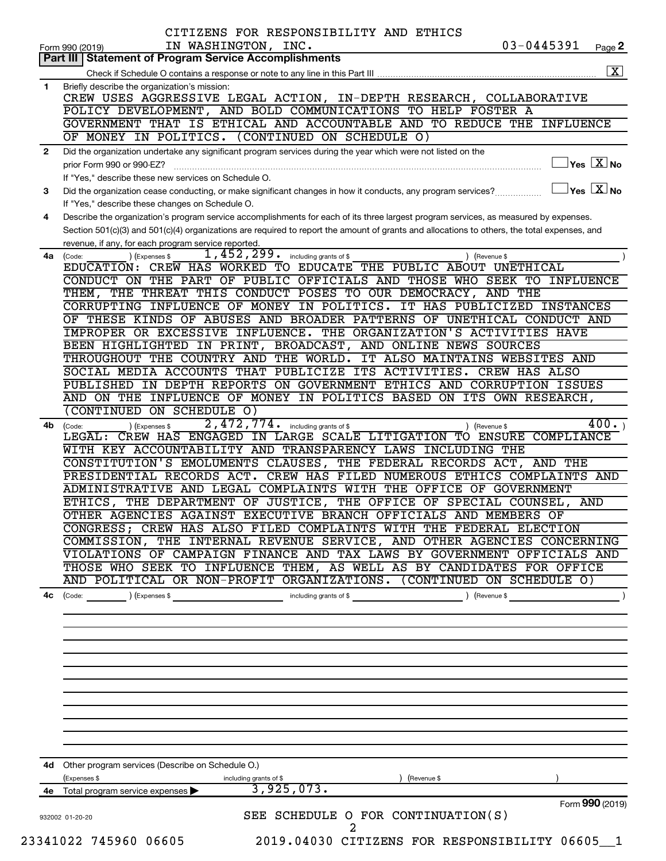|                | CITIZENS FOR RESPONSIBILITY AND ETHICS<br>$03 - 0445391$<br>IN WASHINGTON, INC.<br>Page 2<br>Form 990 (2019)                                                                                                                    |
|----------------|---------------------------------------------------------------------------------------------------------------------------------------------------------------------------------------------------------------------------------|
|                | <b>Part III   Statement of Program Service Accomplishments</b>                                                                                                                                                                  |
|                |                                                                                                                                                                                                                                 |
| $\blacksquare$ | Briefly describe the organization's mission:                                                                                                                                                                                    |
|                | CREW USES AGGRESSIVE LEGAL ACTION, IN-DEPTH RESEARCH, COLLABORATIVE                                                                                                                                                             |
|                | POLICY DEVELOPMENT, AND BOLD COMMUNICATIONS TO HELP FOSTER A                                                                                                                                                                    |
|                | GOVERNMENT THAT IS ETHICAL AND ACCOUNTABLE AND TO REDUCE THE INFLUENCE                                                                                                                                                          |
|                | OF MONEY IN POLITICS. (CONTINUED ON SCHEDULE O)                                                                                                                                                                                 |
| $\mathbf{2}$   | Did the organization undertake any significant program services during the year which were not listed on the                                                                                                                    |
|                | $\overline{\ }$ Yes $\overline{\phantom{a}X}$ No<br>prior Form 990 or 990-EZ?                                                                                                                                                   |
|                | If "Yes," describe these new services on Schedule O.                                                                                                                                                                            |
| 3              | $\sqrt{\ }$ Yes $\sqrt{\ \text{X}}$ No<br>Did the organization cease conducting, or make significant changes in how it conducts, any program services?                                                                          |
|                | If "Yes," describe these changes on Schedule O.                                                                                                                                                                                 |
| 4              | Describe the organization's program service accomplishments for each of its three largest program services, as measured by expenses.                                                                                            |
|                | Section 501(c)(3) and 501(c)(4) organizations are required to report the amount of grants and allocations to others, the total expenses, and                                                                                    |
|                | revenue, if any, for each program service reported.                                                                                                                                                                             |
| 4a             | $1,452,299$ $\cdot$ including grants of \$<br>(Code:<br>(Expenses \$<br>) (Revenue \$<br>EDUCATION: CREW HAS WORKED TO EDUCATE THE PUBLIC ABOUT UNETHICAL                                                                       |
|                | CONDUCT ON THE PART OF PUBLIC OFFICIALS AND THOSE WHO SEEK TO INFLUENCE                                                                                                                                                         |
|                | THEM, THE THREAT THIS CONDUCT POSES TO OUR DEMOCRACY, AND THE                                                                                                                                                                   |
|                | CORRUPTING INFLUENCE OF MONEY IN POLITICS. IT HAS PUBLICIZED INSTANCES                                                                                                                                                          |
|                | OF THESE KINDS OF ABUSES AND BROADER PATTERNS OF UNETHICAL CONDUCT AND                                                                                                                                                          |
|                | IMPROPER OR EXCESSIVE INFLUENCE. THE ORGANIZATION'S ACTIVITIES HAVE                                                                                                                                                             |
|                | BEEN HIGHLIGHTED IN PRINT, BROADCAST, AND ONLINE NEWS SOURCES                                                                                                                                                                   |
|                | THROUGHOUT THE COUNTRY AND THE WORLD. IT ALSO MAINTAINS WEBSITES AND                                                                                                                                                            |
|                | SOCIAL MEDIA ACCOUNTS THAT PUBLICIZE ITS ACTIVITIES. CREW HAS ALSO                                                                                                                                                              |
|                | PUBLISHED IN DEPTH REPORTS ON GOVERNMENT ETHICS AND CORRUPTION ISSUES                                                                                                                                                           |
|                | AND ON THE INFLUENCE OF MONEY IN POLITICS BASED ON ITS OWN RESEARCH,                                                                                                                                                            |
|                | CONTINUED ON SCHEDULE O)                                                                                                                                                                                                        |
| 4b             | 2,472,774. including grants of \$<br>400.<br>) (Revenue \$<br>(Expenses \$<br>(Code:                                                                                                                                            |
|                | CREW HAS ENGAGED IN LARGE SCALE LITIGATION TO ENSURE COMPLIANCE<br>LEGAL:                                                                                                                                                       |
|                | WITH KEY ACCOUNTABILITY AND TRANSPARENCY LAWS INCLUDING THE                                                                                                                                                                     |
|                | CONSTITUTION'S EMOLUMENTS CLAUSES, THE FEDERAL RECORDS ACT, AND THE                                                                                                                                                             |
|                | PRESIDENTIAL RECORDS ACT. CREW HAS FILED NUMEROUS ETHICS COMPLAINTS AND                                                                                                                                                         |
|                | ADMINISTRATIVE AND LEGAL COMPLAINTS WITH THE OFFICE OF GOVERNMENT                                                                                                                                                               |
|                | ETHICS, THE DEPARTMENT OF JUSTICE, THE OFFICE OF SPECIAL COUNSEL,<br>AND                                                                                                                                                        |
|                | OTHER AGENCIES AGAINST EXECUTIVE BRANCH OFFICIALS AND MEMBERS OF                                                                                                                                                                |
|                | CONGRESS; CREW HAS ALSO FILED COMPLAINTS WITH THE FEDERAL ELECTION                                                                                                                                                              |
|                | COMMISSION, THE INTERNAL REVENUE SERVICE, AND OTHER AGENCIES CONCERNING<br>VIOLATIONS OF CAMPAIGN FINANCE AND TAX LAWS BY GOVERNMENT OFFICIALS AND                                                                              |
|                | THOSE WHO SEEK TO INFLUENCE THEM, AS WELL AS BY CANDIDATES FOR OFFICE                                                                                                                                                           |
|                | AND POLITICAL OR NON-PROFIT ORGANIZATIONS. (CONTINUED ON SCHEDULE O)                                                                                                                                                            |
|                |                                                                                                                                                                                                                                 |
| 4с             | Code: (Code: ) (Expenses \$ contact a contact of the code of the code of the code of the code of the code of the code of the code of the code of the code of the code of the code of the code of the code of the code of the co |
|                |                                                                                                                                                                                                                                 |
|                |                                                                                                                                                                                                                                 |
|                |                                                                                                                                                                                                                                 |
|                |                                                                                                                                                                                                                                 |
|                |                                                                                                                                                                                                                                 |
|                |                                                                                                                                                                                                                                 |
|                |                                                                                                                                                                                                                                 |
|                |                                                                                                                                                                                                                                 |
|                |                                                                                                                                                                                                                                 |
|                |                                                                                                                                                                                                                                 |
|                | 4d Other program services (Describe on Schedule O.)                                                                                                                                                                             |
|                | (Expenses \$<br>) (Revenue \$<br>including grants of \$                                                                                                                                                                         |
|                | $\overline{3,925,073.}$<br>4e Total program service expenses >                                                                                                                                                                  |
|                | Form 990 (2019)<br>SEE SCHEDULE O FOR CONTINUATION(S)<br>932002 01-20-20                                                                                                                                                        |
|                | 23341022 745960 06605<br>2019.04030 CITIZENS FOR RESPONSIBILITY 06605_1                                                                                                                                                         |
|                |                                                                                                                                                                                                                                 |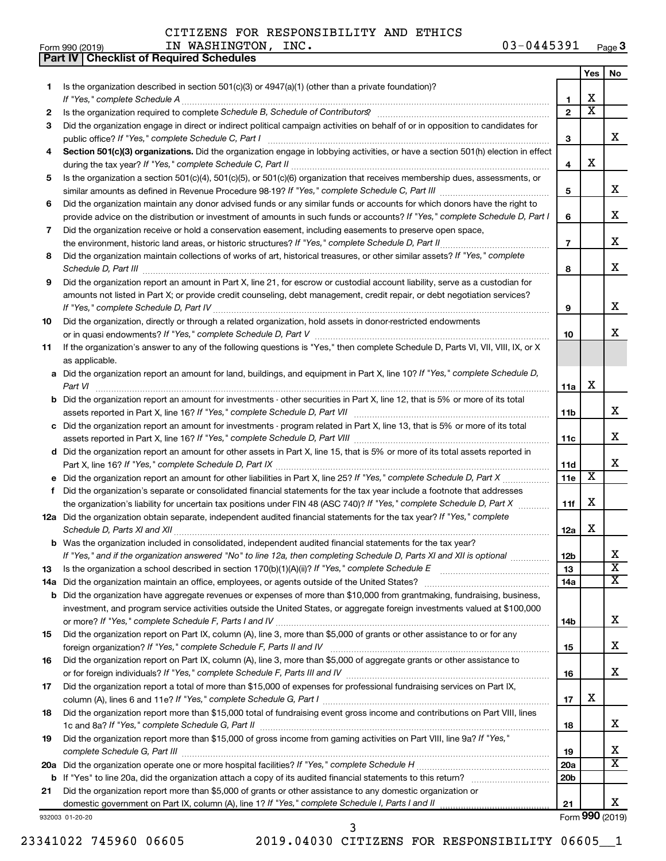**Part IV Checklist of Required Schedules**

#### Form 990 (2019)  $IN$   $NASHINGTON$ ,  $INC$ .  $03-0445391$   $Page$ 03-0445391 Page 3

| 1.<br>2<br>3 |                                                                                                                                                                                                                                                       |                 |                 |                              |
|--------------|-------------------------------------------------------------------------------------------------------------------------------------------------------------------------------------------------------------------------------------------------------|-----------------|-----------------|------------------------------|
|              |                                                                                                                                                                                                                                                       |                 | Yes             | No                           |
|              | Is the organization described in section $501(c)(3)$ or $4947(a)(1)$ (other than a private foundation)?<br>If "Yes," complete Schedule A                                                                                                              | 1               | х               |                              |
|              | Is the organization required to complete Schedule B, Schedule of Contributors? [111] The organization required to complete Schedule B, Schedule of Contributors?                                                                                      | $\overline{2}$  | х               |                              |
|              | Did the organization engage in direct or indirect political campaign activities on behalf of or in opposition to candidates for<br>public office? If "Yes," complete Schedule C, Part I                                                               | 3               |                 | x                            |
| 4            | Section 501(c)(3) organizations. Did the organization engage in lobbying activities, or have a section 501(h) election in effect                                                                                                                      |                 |                 |                              |
|              |                                                                                                                                                                                                                                                       | 4               | х               |                              |
| 5.           | Is the organization a section 501(c)(4), 501(c)(5), or 501(c)(6) organization that receives membership dues, assessments, or                                                                                                                          | 5               |                 | x                            |
| 6            | Did the organization maintain any donor advised funds or any similar funds or accounts for which donors have the right to                                                                                                                             |                 |                 |                              |
|              | provide advice on the distribution or investment of amounts in such funds or accounts? If "Yes," complete Schedule D, Part I                                                                                                                          | 6               |                 | х                            |
| 7            | Did the organization receive or hold a conservation easement, including easements to preserve open space,                                                                                                                                             |                 |                 |                              |
|              |                                                                                                                                                                                                                                                       | $\overline{7}$  |                 | х                            |
| 8            | Did the organization maintain collections of works of art, historical treasures, or other similar assets? If "Yes," complete                                                                                                                          |                 |                 |                              |
|              | Schedule D, Part III <b>Process Construction Construction Construction</b> Construction Construction Construction Const                                                                                                                               | 8               |                 | х                            |
| 9            | Did the organization report an amount in Part X, line 21, for escrow or custodial account liability, serve as a custodian for                                                                                                                         |                 |                 |                              |
|              | amounts not listed in Part X; or provide credit counseling, debt management, credit repair, or debt negotiation services?                                                                                                                             |                 |                 |                              |
|              | If "Yes," complete Schedule D, Part IV                                                                                                                                                                                                                | 9               |                 | х                            |
| 10           | Did the organization, directly or through a related organization, hold assets in donor-restricted endowments                                                                                                                                          |                 |                 | x                            |
|              |                                                                                                                                                                                                                                                       | 10              |                 |                              |
| 11           | If the organization's answer to any of the following questions is "Yes," then complete Schedule D, Parts VI, VII, VIII, IX, or X<br>as applicable.                                                                                                    |                 |                 |                              |
|              | a Did the organization report an amount for land, buildings, and equipment in Part X, line 10? If "Yes," complete Schedule D,                                                                                                                         |                 |                 |                              |
|              | Part VI                                                                                                                                                                                                                                               | 11a             | х               |                              |
|              | Did the organization report an amount for investments - other securities in Part X, line 12, that is 5% or more of its total                                                                                                                          |                 |                 |                              |
|              | assets reported in Part X, line 16? If "Yes," complete Schedule D, Part VII                                                                                                                                                                           | 11 <sub>b</sub> |                 | х                            |
| c            | Did the organization report an amount for investments - program related in Part X, line 13, that is 5% or more of its total                                                                                                                           |                 |                 |                              |
|              |                                                                                                                                                                                                                                                       | 11c             |                 | х                            |
|              | d Did the organization report an amount for other assets in Part X, line 15, that is 5% or more of its total assets reported in                                                                                                                       |                 |                 |                              |
|              |                                                                                                                                                                                                                                                       | <b>11d</b>      |                 | x                            |
|              |                                                                                                                                                                                                                                                       | 11e             | х               |                              |
|              | f Did the organization's separate or consolidated financial statements for the tax year include a footnote that addresses                                                                                                                             |                 |                 |                              |
|              | the organization's liability for uncertain tax positions under FIN 48 (ASC 740)? If "Yes," complete Schedule D, Part X                                                                                                                                | 11f             | х               |                              |
|              | 12a Did the organization obtain separate, independent audited financial statements for the tax year? If "Yes," complete                                                                                                                               |                 |                 |                              |
|              |                                                                                                                                                                                                                                                       | 12a             | х               |                              |
|              | <b>b</b> Was the organization included in consolidated, independent audited financial statements for the tax year?                                                                                                                                    |                 |                 |                              |
|              | If "Yes," and if the organization answered "No" to line 12a, then completing Schedule D, Parts XI and XII is optional                                                                                                                                 | 12 <sub>b</sub> |                 | x<br>$\overline{\textbf{x}}$ |
| 13           | Is the organization a school described in section $170(b)(1)(A)(ii)?$ If "Yes," complete Schedule E                                                                                                                                                   | 13              |                 | х                            |
| 14a<br>b     | Did the organization maintain an office, employees, or agents outside of the United States?                                                                                                                                                           | 14a             |                 |                              |
|              | Did the organization have aggregate revenues or expenses of more than \$10,000 from grantmaking, fundraising, business,<br>investment, and program service activities outside the United States, or aggregate foreign investments valued at \$100,000 |                 |                 |                              |
|              |                                                                                                                                                                                                                                                       | 14b             |                 | x                            |
|              |                                                                                                                                                                                                                                                       |                 |                 |                              |
|              |                                                                                                                                                                                                                                                       |                 |                 | х                            |
| 15           | Did the organization report on Part IX, column (A), line 3, more than \$5,000 of grants or other assistance to or for any                                                                                                                             | 15              |                 |                              |
| 16           | foreign organization? If "Yes," complete Schedule F, Parts II and IV<br>Did the organization report on Part IX, column (A), line 3, more than \$5,000 of aggregate grants or other assistance to                                                      |                 |                 |                              |
|              |                                                                                                                                                                                                                                                       | 16              |                 | x                            |
| 17           | Did the organization report a total of more than \$15,000 of expenses for professional fundraising services on Part IX,                                                                                                                               |                 |                 |                              |
|              |                                                                                                                                                                                                                                                       | 17              | х               |                              |
| 18           | Did the organization report more than \$15,000 total of fundraising event gross income and contributions on Part VIII, lines                                                                                                                          |                 |                 |                              |
|              |                                                                                                                                                                                                                                                       | 18              |                 | x                            |
| 19           | Did the organization report more than \$15,000 of gross income from gaming activities on Part VIII, line 9a? If "Yes,"                                                                                                                                |                 |                 |                              |
|              |                                                                                                                                                                                                                                                       | 19              |                 | x                            |
| 20a          |                                                                                                                                                                                                                                                       | 20a             |                 | x                            |
|              |                                                                                                                                                                                                                                                       | 20 <sub>b</sub> |                 |                              |
| 21           | Did the organization report more than \$5,000 of grants or other assistance to any domestic organization or                                                                                                                                           |                 |                 |                              |
|              | domestic government on Part IX, column (A), line 1? If "Yes," complete Schedule I, Parts I and II<br>932003 01-20-20                                                                                                                                  | 21              | Form 990 (2019) | х                            |

23341022 745960 06605 2019.04030 CITIZENS FOR RESPONSIBILITY 06605\_\_1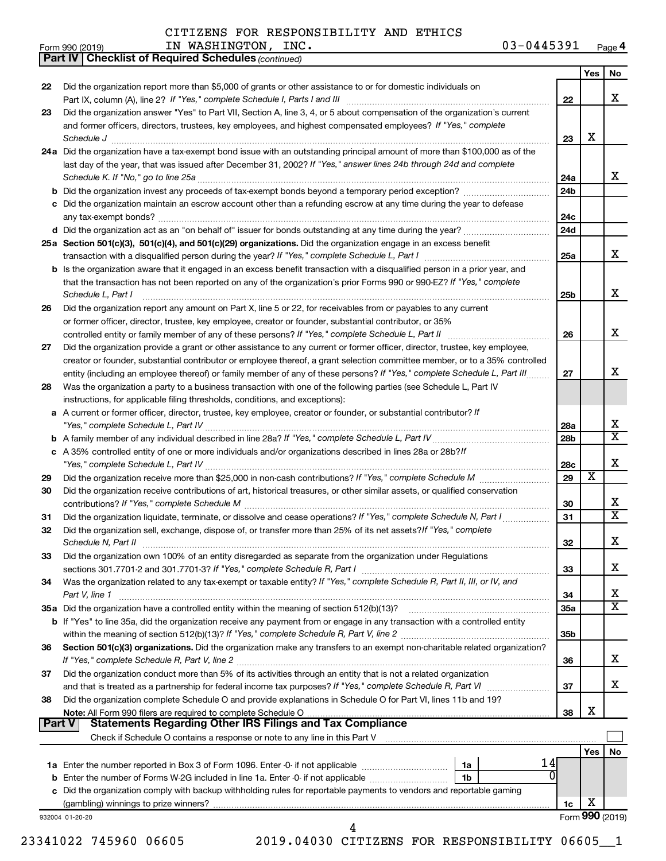*(continued)* **Part IV Checklist of Required Schedules**

| IN<br>Form 990 (2019) | INC.<br>WASHINGTON, | 03-0445391 | Page 4 |
|-----------------------|---------------------|------------|--------|
|-----------------------|---------------------|------------|--------|

|               |                                                                                                                                                                                                                                 |                 | Yes | No                      |  |  |
|---------------|---------------------------------------------------------------------------------------------------------------------------------------------------------------------------------------------------------------------------------|-----------------|-----|-------------------------|--|--|
| 22            | Did the organization report more than \$5,000 of grants or other assistance to or for domestic individuals on                                                                                                                   |                 |     |                         |  |  |
|               |                                                                                                                                                                                                                                 | 22              |     | х                       |  |  |
| 23            | Did the organization answer "Yes" to Part VII, Section A, line 3, 4, or 5 about compensation of the organization's current                                                                                                      |                 |     |                         |  |  |
|               | and former officers, directors, trustees, key employees, and highest compensated employees? If "Yes," complete                                                                                                                  | 23              | х   |                         |  |  |
|               | 24a Did the organization have a tax-exempt bond issue with an outstanding principal amount of more than \$100,000 as of the                                                                                                     |                 |     |                         |  |  |
|               | last day of the year, that was issued after December 31, 2002? If "Yes," answer lines 24b through 24d and complete                                                                                                              |                 |     |                         |  |  |
|               | Schedule K. If "No," go to line 25a                                                                                                                                                                                             | 24a             |     | x                       |  |  |
|               |                                                                                                                                                                                                                                 | 24b             |     |                         |  |  |
|               | c Did the organization maintain an escrow account other than a refunding escrow at any time during the year to defease                                                                                                          |                 |     |                         |  |  |
|               |                                                                                                                                                                                                                                 | 24c             |     |                         |  |  |
|               | d Did the organization act as an "on behalf of" issuer for bonds outstanding at any time during the year?                                                                                                                       | 24d             |     |                         |  |  |
|               | 25a Section 501(c)(3), 501(c)(4), and 501(c)(29) organizations. Did the organization engage in an excess benefit                                                                                                                |                 |     |                         |  |  |
|               |                                                                                                                                                                                                                                 | 25a             |     | х                       |  |  |
|               | <b>b</b> Is the organization aware that it engaged in an excess benefit transaction with a disqualified person in a prior year, and                                                                                             |                 |     |                         |  |  |
|               | that the transaction has not been reported on any of the organization's prior Forms 990 or 990-EZ? If "Yes," complete                                                                                                           |                 |     |                         |  |  |
|               | Schedule L, Part I                                                                                                                                                                                                              | 25b             |     | х                       |  |  |
| 26            | Did the organization report any amount on Part X, line 5 or 22, for receivables from or payables to any current                                                                                                                 |                 |     |                         |  |  |
|               | or former officer, director, trustee, key employee, creator or founder, substantial contributor, or 35%<br>controlled entity or family member of any of these persons? If "Yes," complete Schedule L, Part II [ [ [ [ [ [ ] ] ] | 26              |     | X                       |  |  |
| 27            | Did the organization provide a grant or other assistance to any current or former officer, director, trustee, key employee,                                                                                                     |                 |     |                         |  |  |
|               | creator or founder, substantial contributor or employee thereof, a grant selection committee member, or to a 35% controlled                                                                                                     |                 |     |                         |  |  |
|               | entity (including an employee thereof) or family member of any of these persons? If "Yes," complete Schedule L, Part III                                                                                                        | 27              |     | х                       |  |  |
| 28            | Was the organization a party to a business transaction with one of the following parties (see Schedule L, Part IV                                                                                                               |                 |     |                         |  |  |
|               | instructions, for applicable filing thresholds, conditions, and exceptions):                                                                                                                                                    |                 |     |                         |  |  |
|               | a A current or former officer, director, trustee, key employee, creator or founder, or substantial contributor? If                                                                                                              |                 |     |                         |  |  |
|               |                                                                                                                                                                                                                                 | 28a             |     | х                       |  |  |
|               |                                                                                                                                                                                                                                 | 28 <sub>b</sub> |     | $\overline{\textbf{X}}$ |  |  |
|               | c A 35% controlled entity of one or more individuals and/or organizations described in lines 28a or 28b?/f                                                                                                                      | 28c             |     | X                       |  |  |
|               |                                                                                                                                                                                                                                 |                 |     |                         |  |  |
| 29            |                                                                                                                                                                                                                                 | 29              | X   |                         |  |  |
| 30            | Did the organization receive contributions of art, historical treasures, or other similar assets, or qualified conservation                                                                                                     | 30              |     | x                       |  |  |
| 31            | Did the organization liquidate, terminate, or dissolve and cease operations? If "Yes," complete Schedule N, Part I                                                                                                              | 31              |     | $\overline{\textbf{X}}$ |  |  |
| 32            | Did the organization sell, exchange, dispose of, or transfer more than 25% of its net assets? If "Yes," complete                                                                                                                |                 |     |                         |  |  |
|               |                                                                                                                                                                                                                                 | 32              |     | X                       |  |  |
| 33            | Did the organization own 100% of an entity disregarded as separate from the organization under Regulations                                                                                                                      |                 |     |                         |  |  |
|               |                                                                                                                                                                                                                                 | 33              |     | х                       |  |  |
| 34            | Was the organization related to any tax-exempt or taxable entity? If "Yes," complete Schedule R, Part II, III, or IV, and                                                                                                       |                 |     |                         |  |  |
|               | Part V, line 1                                                                                                                                                                                                                  | 34              |     | х                       |  |  |
|               | 35a Did the organization have a controlled entity within the meaning of section 512(b)(13)?                                                                                                                                     | <b>35a</b>      |     | $\overline{\textbf{X}}$ |  |  |
|               | b If "Yes" to line 35a, did the organization receive any payment from or engage in any transaction with a controlled entity                                                                                                     |                 |     |                         |  |  |
|               |                                                                                                                                                                                                                                 | 35b             |     |                         |  |  |
| 36            | Section 501(c)(3) organizations. Did the organization make any transfers to an exempt non-charitable related organization?                                                                                                      | 36              |     | х                       |  |  |
| 37            | Did the organization conduct more than 5% of its activities through an entity that is not a related organization                                                                                                                |                 |     |                         |  |  |
|               |                                                                                                                                                                                                                                 | 37              |     | х                       |  |  |
| 38            | Did the organization complete Schedule O and provide explanations in Schedule O for Part VI, lines 11b and 19?                                                                                                                  |                 |     |                         |  |  |
|               | Note: All Form 990 filers are required to complete Schedule O                                                                                                                                                                   | 38              | х   |                         |  |  |
| <b>Part V</b> | <b>Statements Regarding Other IRS Filings and Tax Compliance</b>                                                                                                                                                                |                 |     |                         |  |  |
|               |                                                                                                                                                                                                                                 |                 |     |                         |  |  |
|               |                                                                                                                                                                                                                                 |                 | Yes | No                      |  |  |
|               | 14<br>1a<br>0                                                                                                                                                                                                                   |                 |     |                         |  |  |
| b             | Enter the number of Forms W-2G included in line 1a. Enter -0- if not applicable<br>1b                                                                                                                                           |                 |     |                         |  |  |
| c             | Did the organization comply with backup withholding rules for reportable payments to vendors and reportable gaming                                                                                                              | 1c              | х   |                         |  |  |
|               | 932004 01-20-20                                                                                                                                                                                                                 |                 |     | Form 990 (2019)         |  |  |
|               | 4                                                                                                                                                                                                                               |                 |     |                         |  |  |
|               |                                                                                                                                                                                                                                 |                 |     |                         |  |  |

23341022 745960 06605 2019.04030 CITIZENS FOR RESPONSIBILITY 06605\_\_1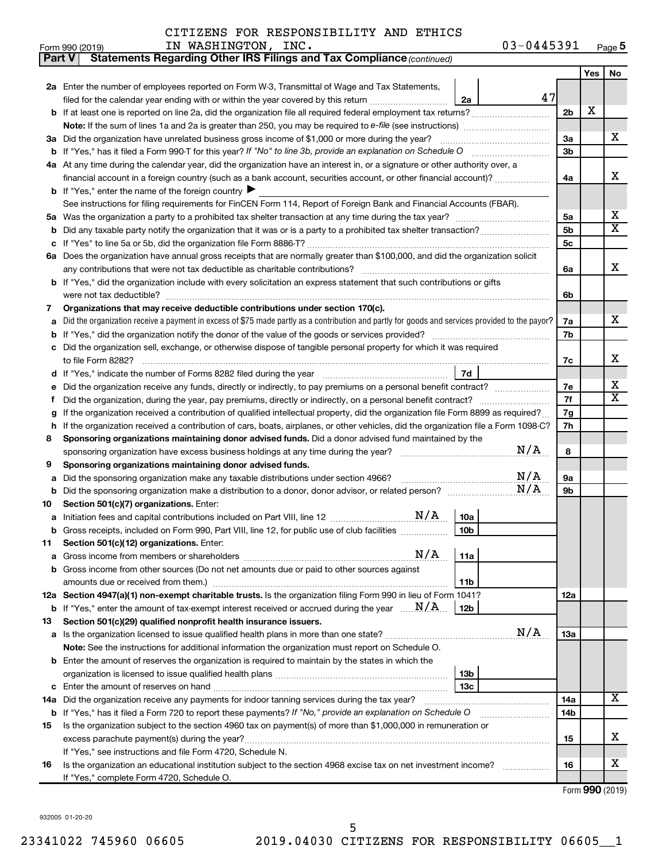$\frac{1}{1}$  Form 990 (2019) The MASHINGTON , INC . The extended of the U3-U445391 Page **5** IN WASHINGTON, INC.  $03-0445391$ 

| Yes<br>No<br>2a Enter the number of employees reported on Form W-3, Transmittal of Wage and Tax Statements,<br>47<br>filed for the calendar year ending with or within the year covered by this return<br>2a<br>X<br>2 <sub>b</sub><br><b>b</b> If at least one is reported on line 2a, did the organization file all required federal employment tax returns?<br>Note: If the sum of lines 1a and 2a is greater than 250, you may be required to e-file (see instructions) <i>managereroum</i><br>x<br>3a<br>Did the organization have unrelated business gross income of \$1,000 or more during the year?<br>За<br>3b<br>b<br>At any time during the calendar year, did the organization have an interest in, or a signature or other authority over, a<br>4a<br>x<br>financial account in a foreign country (such as a bank account, securities account, or other financial account)?<br>4a<br><b>b</b> If "Yes," enter the name of the foreign country<br>See instructions for filing requirements for FinCEN Form 114, Report of Foreign Bank and Financial Accounts (FBAR).<br>х<br>5a<br>5a<br>X<br>5b<br>b<br>5c<br>с<br>Does the organization have annual gross receipts that are normally greater than \$100,000, and did the organization solicit<br>6а<br>x<br>6a<br><b>b</b> If "Yes," did the organization include with every solicitation an express statement that such contributions or gifts<br>6b<br>Organizations that may receive deductible contributions under section 170(c).<br>7<br>x.<br>Did the organization receive a payment in excess of \$75 made partly as a contribution and partly for goods and services provided to the payor?<br>7a<br>а<br>7b<br>b<br>Did the organization sell, exchange, or otherwise dispose of tangible personal property for which it was required<br>x<br>7c<br>7d<br>х<br>7е<br>е<br>X<br>7f<br>If the organization received a contribution of qualified intellectual property, did the organization file Form 8899 as required?<br>7g<br>g<br>If the organization received a contribution of cars, boats, airplanes, or other vehicles, did the organization file a Form 1098-C?<br>7h<br>h<br>Sponsoring organizations maintaining donor advised funds. Did a donor advised fund maintained by the<br>8<br>N/A<br>8<br>Sponsoring organizations maintaining donor advised funds.<br>9<br>N/A<br>9а<br>Did the sponsoring organization make any taxable distributions under section 4966?<br>а<br>N/A<br>9b<br>b<br>Section 501(c)(7) organizations. Enter:<br>10<br>10a<br>а<br>10 <sub>b</sub><br>b Gross receipts, included on Form 990, Part VIII, line 12, for public use of club facilities<br>Section 501(c)(12) organizations. Enter:<br>11<br>N/A<br>11a<br>а<br>Gross income from other sources (Do not net amounts due or paid to other sources against<br>b<br>11b<br>12a Section 4947(a)(1) non-exempt charitable trusts. Is the organization filing Form 990 in lieu of Form 1041?<br>12a<br><b>b</b> If "Yes," enter the amount of tax-exempt interest received or accrued during the year $\ldots$ $\mathbf{N}/\mathbf{A}$ .<br>12b<br>Section 501(c)(29) qualified nonprofit health insurance issuers.<br>13<br>N/A<br>13a<br>Is the organization licensed to issue qualified health plans in more than one state?<br>а<br>Note: See the instructions for additional information the organization must report on Schedule O.<br><b>b</b> Enter the amount of reserves the organization is required to maintain by the states in which the<br>13 <sub>b</sub><br>13с<br>с<br>x<br>Did the organization receive any payments for indoor tanning services during the tax year?<br>14a<br>14a<br><b>b</b> If "Yes," has it filed a Form 720 to report these payments? If "No," provide an explanation on Schedule O<br>14b<br>Is the organization subject to the section 4960 tax on payment(s) of more than \$1,000,000 in remuneration or<br>15<br>x<br>excess parachute payment(s) during the year?<br>15<br>If "Yes," see instructions and file Form 4720, Schedule N.<br>х<br>Is the organization an educational institution subject to the section 4968 excise tax on net investment income?<br>16<br>16<br>If "Yes," complete Form 4720, Schedule O.<br>$F_{\text{arm}}$ 000 (0010) | <b>Part V</b> | Statements Regarding Other IRS Filings and Tax Compliance (continued) |  |  |  |  |  |  |  |
|------------------------------------------------------------------------------------------------------------------------------------------------------------------------------------------------------------------------------------------------------------------------------------------------------------------------------------------------------------------------------------------------------------------------------------------------------------------------------------------------------------------------------------------------------------------------------------------------------------------------------------------------------------------------------------------------------------------------------------------------------------------------------------------------------------------------------------------------------------------------------------------------------------------------------------------------------------------------------------------------------------------------------------------------------------------------------------------------------------------------------------------------------------------------------------------------------------------------------------------------------------------------------------------------------------------------------------------------------------------------------------------------------------------------------------------------------------------------------------------------------------------------------------------------------------------------------------------------------------------------------------------------------------------------------------------------------------------------------------------------------------------------------------------------------------------------------------------------------------------------------------------------------------------------------------------------------------------------------------------------------------------------------------------------------------------------------------------------------------------------------------------------------------------------------------------------------------------------------------------------------------------------------------------------------------------------------------------------------------------------------------------------------------------------------------------------------------------------------------------------------------------------------------------------------------------------------------------------------------------------------------------------------------------------------------------------------------------------------------------------------------------------------------------------------------------------------------------------------------------------------------------------------------------------------------------------------------------------------------------------------------------------------------------------------------------------------------------------------------------------------------------------------------------------------------------------------------------------------------------------------------------------------------------------------------------------------------------------------------------------------------------------------------------------------------------------------------------------------------------------------------------------------------------------------------------------------------------------------------------------------------------------------------------------------------------------------------------------------------------------------------------------------------------------------------------------------------------------------------------------------------------------------------------------------------------------------------------------------------------------------------------------------------------------------------------------------------------------------------------------------------------------------------------------------------------------------------------------------------------------------------------------|---------------|-----------------------------------------------------------------------|--|--|--|--|--|--|--|
|                                                                                                                                                                                                                                                                                                                                                                                                                                                                                                                                                                                                                                                                                                                                                                                                                                                                                                                                                                                                                                                                                                                                                                                                                                                                                                                                                                                                                                                                                                                                                                                                                                                                                                                                                                                                                                                                                                                                                                                                                                                                                                                                                                                                                                                                                                                                                                                                                                                                                                                                                                                                                                                                                                                                                                                                                                                                                                                                                                                                                                                                                                                                                                                                                                                                                                                                                                                                                                                                                                                                                                                                                                                                                                                                                                                                                                                                                                                                                                                                                                                                                                                                                                                                                                                                        |               |                                                                       |  |  |  |  |  |  |  |
|                                                                                                                                                                                                                                                                                                                                                                                                                                                                                                                                                                                                                                                                                                                                                                                                                                                                                                                                                                                                                                                                                                                                                                                                                                                                                                                                                                                                                                                                                                                                                                                                                                                                                                                                                                                                                                                                                                                                                                                                                                                                                                                                                                                                                                                                                                                                                                                                                                                                                                                                                                                                                                                                                                                                                                                                                                                                                                                                                                                                                                                                                                                                                                                                                                                                                                                                                                                                                                                                                                                                                                                                                                                                                                                                                                                                                                                                                                                                                                                                                                                                                                                                                                                                                                                                        |               |                                                                       |  |  |  |  |  |  |  |
|                                                                                                                                                                                                                                                                                                                                                                                                                                                                                                                                                                                                                                                                                                                                                                                                                                                                                                                                                                                                                                                                                                                                                                                                                                                                                                                                                                                                                                                                                                                                                                                                                                                                                                                                                                                                                                                                                                                                                                                                                                                                                                                                                                                                                                                                                                                                                                                                                                                                                                                                                                                                                                                                                                                                                                                                                                                                                                                                                                                                                                                                                                                                                                                                                                                                                                                                                                                                                                                                                                                                                                                                                                                                                                                                                                                                                                                                                                                                                                                                                                                                                                                                                                                                                                                                        |               |                                                                       |  |  |  |  |  |  |  |
|                                                                                                                                                                                                                                                                                                                                                                                                                                                                                                                                                                                                                                                                                                                                                                                                                                                                                                                                                                                                                                                                                                                                                                                                                                                                                                                                                                                                                                                                                                                                                                                                                                                                                                                                                                                                                                                                                                                                                                                                                                                                                                                                                                                                                                                                                                                                                                                                                                                                                                                                                                                                                                                                                                                                                                                                                                                                                                                                                                                                                                                                                                                                                                                                                                                                                                                                                                                                                                                                                                                                                                                                                                                                                                                                                                                                                                                                                                                                                                                                                                                                                                                                                                                                                                                                        |               |                                                                       |  |  |  |  |  |  |  |
|                                                                                                                                                                                                                                                                                                                                                                                                                                                                                                                                                                                                                                                                                                                                                                                                                                                                                                                                                                                                                                                                                                                                                                                                                                                                                                                                                                                                                                                                                                                                                                                                                                                                                                                                                                                                                                                                                                                                                                                                                                                                                                                                                                                                                                                                                                                                                                                                                                                                                                                                                                                                                                                                                                                                                                                                                                                                                                                                                                                                                                                                                                                                                                                                                                                                                                                                                                                                                                                                                                                                                                                                                                                                                                                                                                                                                                                                                                                                                                                                                                                                                                                                                                                                                                                                        |               |                                                                       |  |  |  |  |  |  |  |
|                                                                                                                                                                                                                                                                                                                                                                                                                                                                                                                                                                                                                                                                                                                                                                                                                                                                                                                                                                                                                                                                                                                                                                                                                                                                                                                                                                                                                                                                                                                                                                                                                                                                                                                                                                                                                                                                                                                                                                                                                                                                                                                                                                                                                                                                                                                                                                                                                                                                                                                                                                                                                                                                                                                                                                                                                                                                                                                                                                                                                                                                                                                                                                                                                                                                                                                                                                                                                                                                                                                                                                                                                                                                                                                                                                                                                                                                                                                                                                                                                                                                                                                                                                                                                                                                        |               |                                                                       |  |  |  |  |  |  |  |
|                                                                                                                                                                                                                                                                                                                                                                                                                                                                                                                                                                                                                                                                                                                                                                                                                                                                                                                                                                                                                                                                                                                                                                                                                                                                                                                                                                                                                                                                                                                                                                                                                                                                                                                                                                                                                                                                                                                                                                                                                                                                                                                                                                                                                                                                                                                                                                                                                                                                                                                                                                                                                                                                                                                                                                                                                                                                                                                                                                                                                                                                                                                                                                                                                                                                                                                                                                                                                                                                                                                                                                                                                                                                                                                                                                                                                                                                                                                                                                                                                                                                                                                                                                                                                                                                        |               |                                                                       |  |  |  |  |  |  |  |
|                                                                                                                                                                                                                                                                                                                                                                                                                                                                                                                                                                                                                                                                                                                                                                                                                                                                                                                                                                                                                                                                                                                                                                                                                                                                                                                                                                                                                                                                                                                                                                                                                                                                                                                                                                                                                                                                                                                                                                                                                                                                                                                                                                                                                                                                                                                                                                                                                                                                                                                                                                                                                                                                                                                                                                                                                                                                                                                                                                                                                                                                                                                                                                                                                                                                                                                                                                                                                                                                                                                                                                                                                                                                                                                                                                                                                                                                                                                                                                                                                                                                                                                                                                                                                                                                        |               |                                                                       |  |  |  |  |  |  |  |
|                                                                                                                                                                                                                                                                                                                                                                                                                                                                                                                                                                                                                                                                                                                                                                                                                                                                                                                                                                                                                                                                                                                                                                                                                                                                                                                                                                                                                                                                                                                                                                                                                                                                                                                                                                                                                                                                                                                                                                                                                                                                                                                                                                                                                                                                                                                                                                                                                                                                                                                                                                                                                                                                                                                                                                                                                                                                                                                                                                                                                                                                                                                                                                                                                                                                                                                                                                                                                                                                                                                                                                                                                                                                                                                                                                                                                                                                                                                                                                                                                                                                                                                                                                                                                                                                        |               |                                                                       |  |  |  |  |  |  |  |
|                                                                                                                                                                                                                                                                                                                                                                                                                                                                                                                                                                                                                                                                                                                                                                                                                                                                                                                                                                                                                                                                                                                                                                                                                                                                                                                                                                                                                                                                                                                                                                                                                                                                                                                                                                                                                                                                                                                                                                                                                                                                                                                                                                                                                                                                                                                                                                                                                                                                                                                                                                                                                                                                                                                                                                                                                                                                                                                                                                                                                                                                                                                                                                                                                                                                                                                                                                                                                                                                                                                                                                                                                                                                                                                                                                                                                                                                                                                                                                                                                                                                                                                                                                                                                                                                        |               |                                                                       |  |  |  |  |  |  |  |
|                                                                                                                                                                                                                                                                                                                                                                                                                                                                                                                                                                                                                                                                                                                                                                                                                                                                                                                                                                                                                                                                                                                                                                                                                                                                                                                                                                                                                                                                                                                                                                                                                                                                                                                                                                                                                                                                                                                                                                                                                                                                                                                                                                                                                                                                                                                                                                                                                                                                                                                                                                                                                                                                                                                                                                                                                                                                                                                                                                                                                                                                                                                                                                                                                                                                                                                                                                                                                                                                                                                                                                                                                                                                                                                                                                                                                                                                                                                                                                                                                                                                                                                                                                                                                                                                        |               |                                                                       |  |  |  |  |  |  |  |
|                                                                                                                                                                                                                                                                                                                                                                                                                                                                                                                                                                                                                                                                                                                                                                                                                                                                                                                                                                                                                                                                                                                                                                                                                                                                                                                                                                                                                                                                                                                                                                                                                                                                                                                                                                                                                                                                                                                                                                                                                                                                                                                                                                                                                                                                                                                                                                                                                                                                                                                                                                                                                                                                                                                                                                                                                                                                                                                                                                                                                                                                                                                                                                                                                                                                                                                                                                                                                                                                                                                                                                                                                                                                                                                                                                                                                                                                                                                                                                                                                                                                                                                                                                                                                                                                        |               |                                                                       |  |  |  |  |  |  |  |
|                                                                                                                                                                                                                                                                                                                                                                                                                                                                                                                                                                                                                                                                                                                                                                                                                                                                                                                                                                                                                                                                                                                                                                                                                                                                                                                                                                                                                                                                                                                                                                                                                                                                                                                                                                                                                                                                                                                                                                                                                                                                                                                                                                                                                                                                                                                                                                                                                                                                                                                                                                                                                                                                                                                                                                                                                                                                                                                                                                                                                                                                                                                                                                                                                                                                                                                                                                                                                                                                                                                                                                                                                                                                                                                                                                                                                                                                                                                                                                                                                                                                                                                                                                                                                                                                        |               |                                                                       |  |  |  |  |  |  |  |
|                                                                                                                                                                                                                                                                                                                                                                                                                                                                                                                                                                                                                                                                                                                                                                                                                                                                                                                                                                                                                                                                                                                                                                                                                                                                                                                                                                                                                                                                                                                                                                                                                                                                                                                                                                                                                                                                                                                                                                                                                                                                                                                                                                                                                                                                                                                                                                                                                                                                                                                                                                                                                                                                                                                                                                                                                                                                                                                                                                                                                                                                                                                                                                                                                                                                                                                                                                                                                                                                                                                                                                                                                                                                                                                                                                                                                                                                                                                                                                                                                                                                                                                                                                                                                                                                        |               |                                                                       |  |  |  |  |  |  |  |
|                                                                                                                                                                                                                                                                                                                                                                                                                                                                                                                                                                                                                                                                                                                                                                                                                                                                                                                                                                                                                                                                                                                                                                                                                                                                                                                                                                                                                                                                                                                                                                                                                                                                                                                                                                                                                                                                                                                                                                                                                                                                                                                                                                                                                                                                                                                                                                                                                                                                                                                                                                                                                                                                                                                                                                                                                                                                                                                                                                                                                                                                                                                                                                                                                                                                                                                                                                                                                                                                                                                                                                                                                                                                                                                                                                                                                                                                                                                                                                                                                                                                                                                                                                                                                                                                        |               |                                                                       |  |  |  |  |  |  |  |
|                                                                                                                                                                                                                                                                                                                                                                                                                                                                                                                                                                                                                                                                                                                                                                                                                                                                                                                                                                                                                                                                                                                                                                                                                                                                                                                                                                                                                                                                                                                                                                                                                                                                                                                                                                                                                                                                                                                                                                                                                                                                                                                                                                                                                                                                                                                                                                                                                                                                                                                                                                                                                                                                                                                                                                                                                                                                                                                                                                                                                                                                                                                                                                                                                                                                                                                                                                                                                                                                                                                                                                                                                                                                                                                                                                                                                                                                                                                                                                                                                                                                                                                                                                                                                                                                        |               |                                                                       |  |  |  |  |  |  |  |
|                                                                                                                                                                                                                                                                                                                                                                                                                                                                                                                                                                                                                                                                                                                                                                                                                                                                                                                                                                                                                                                                                                                                                                                                                                                                                                                                                                                                                                                                                                                                                                                                                                                                                                                                                                                                                                                                                                                                                                                                                                                                                                                                                                                                                                                                                                                                                                                                                                                                                                                                                                                                                                                                                                                                                                                                                                                                                                                                                                                                                                                                                                                                                                                                                                                                                                                                                                                                                                                                                                                                                                                                                                                                                                                                                                                                                                                                                                                                                                                                                                                                                                                                                                                                                                                                        |               |                                                                       |  |  |  |  |  |  |  |
|                                                                                                                                                                                                                                                                                                                                                                                                                                                                                                                                                                                                                                                                                                                                                                                                                                                                                                                                                                                                                                                                                                                                                                                                                                                                                                                                                                                                                                                                                                                                                                                                                                                                                                                                                                                                                                                                                                                                                                                                                                                                                                                                                                                                                                                                                                                                                                                                                                                                                                                                                                                                                                                                                                                                                                                                                                                                                                                                                                                                                                                                                                                                                                                                                                                                                                                                                                                                                                                                                                                                                                                                                                                                                                                                                                                                                                                                                                                                                                                                                                                                                                                                                                                                                                                                        |               |                                                                       |  |  |  |  |  |  |  |
|                                                                                                                                                                                                                                                                                                                                                                                                                                                                                                                                                                                                                                                                                                                                                                                                                                                                                                                                                                                                                                                                                                                                                                                                                                                                                                                                                                                                                                                                                                                                                                                                                                                                                                                                                                                                                                                                                                                                                                                                                                                                                                                                                                                                                                                                                                                                                                                                                                                                                                                                                                                                                                                                                                                                                                                                                                                                                                                                                                                                                                                                                                                                                                                                                                                                                                                                                                                                                                                                                                                                                                                                                                                                                                                                                                                                                                                                                                                                                                                                                                                                                                                                                                                                                                                                        |               |                                                                       |  |  |  |  |  |  |  |
|                                                                                                                                                                                                                                                                                                                                                                                                                                                                                                                                                                                                                                                                                                                                                                                                                                                                                                                                                                                                                                                                                                                                                                                                                                                                                                                                                                                                                                                                                                                                                                                                                                                                                                                                                                                                                                                                                                                                                                                                                                                                                                                                                                                                                                                                                                                                                                                                                                                                                                                                                                                                                                                                                                                                                                                                                                                                                                                                                                                                                                                                                                                                                                                                                                                                                                                                                                                                                                                                                                                                                                                                                                                                                                                                                                                                                                                                                                                                                                                                                                                                                                                                                                                                                                                                        |               |                                                                       |  |  |  |  |  |  |  |
|                                                                                                                                                                                                                                                                                                                                                                                                                                                                                                                                                                                                                                                                                                                                                                                                                                                                                                                                                                                                                                                                                                                                                                                                                                                                                                                                                                                                                                                                                                                                                                                                                                                                                                                                                                                                                                                                                                                                                                                                                                                                                                                                                                                                                                                                                                                                                                                                                                                                                                                                                                                                                                                                                                                                                                                                                                                                                                                                                                                                                                                                                                                                                                                                                                                                                                                                                                                                                                                                                                                                                                                                                                                                                                                                                                                                                                                                                                                                                                                                                                                                                                                                                                                                                                                                        |               |                                                                       |  |  |  |  |  |  |  |
|                                                                                                                                                                                                                                                                                                                                                                                                                                                                                                                                                                                                                                                                                                                                                                                                                                                                                                                                                                                                                                                                                                                                                                                                                                                                                                                                                                                                                                                                                                                                                                                                                                                                                                                                                                                                                                                                                                                                                                                                                                                                                                                                                                                                                                                                                                                                                                                                                                                                                                                                                                                                                                                                                                                                                                                                                                                                                                                                                                                                                                                                                                                                                                                                                                                                                                                                                                                                                                                                                                                                                                                                                                                                                                                                                                                                                                                                                                                                                                                                                                                                                                                                                                                                                                                                        |               |                                                                       |  |  |  |  |  |  |  |
|                                                                                                                                                                                                                                                                                                                                                                                                                                                                                                                                                                                                                                                                                                                                                                                                                                                                                                                                                                                                                                                                                                                                                                                                                                                                                                                                                                                                                                                                                                                                                                                                                                                                                                                                                                                                                                                                                                                                                                                                                                                                                                                                                                                                                                                                                                                                                                                                                                                                                                                                                                                                                                                                                                                                                                                                                                                                                                                                                                                                                                                                                                                                                                                                                                                                                                                                                                                                                                                                                                                                                                                                                                                                                                                                                                                                                                                                                                                                                                                                                                                                                                                                                                                                                                                                        |               |                                                                       |  |  |  |  |  |  |  |
|                                                                                                                                                                                                                                                                                                                                                                                                                                                                                                                                                                                                                                                                                                                                                                                                                                                                                                                                                                                                                                                                                                                                                                                                                                                                                                                                                                                                                                                                                                                                                                                                                                                                                                                                                                                                                                                                                                                                                                                                                                                                                                                                                                                                                                                                                                                                                                                                                                                                                                                                                                                                                                                                                                                                                                                                                                                                                                                                                                                                                                                                                                                                                                                                                                                                                                                                                                                                                                                                                                                                                                                                                                                                                                                                                                                                                                                                                                                                                                                                                                                                                                                                                                                                                                                                        |               |                                                                       |  |  |  |  |  |  |  |
|                                                                                                                                                                                                                                                                                                                                                                                                                                                                                                                                                                                                                                                                                                                                                                                                                                                                                                                                                                                                                                                                                                                                                                                                                                                                                                                                                                                                                                                                                                                                                                                                                                                                                                                                                                                                                                                                                                                                                                                                                                                                                                                                                                                                                                                                                                                                                                                                                                                                                                                                                                                                                                                                                                                                                                                                                                                                                                                                                                                                                                                                                                                                                                                                                                                                                                                                                                                                                                                                                                                                                                                                                                                                                                                                                                                                                                                                                                                                                                                                                                                                                                                                                                                                                                                                        |               |                                                                       |  |  |  |  |  |  |  |
|                                                                                                                                                                                                                                                                                                                                                                                                                                                                                                                                                                                                                                                                                                                                                                                                                                                                                                                                                                                                                                                                                                                                                                                                                                                                                                                                                                                                                                                                                                                                                                                                                                                                                                                                                                                                                                                                                                                                                                                                                                                                                                                                                                                                                                                                                                                                                                                                                                                                                                                                                                                                                                                                                                                                                                                                                                                                                                                                                                                                                                                                                                                                                                                                                                                                                                                                                                                                                                                                                                                                                                                                                                                                                                                                                                                                                                                                                                                                                                                                                                                                                                                                                                                                                                                                        |               |                                                                       |  |  |  |  |  |  |  |
|                                                                                                                                                                                                                                                                                                                                                                                                                                                                                                                                                                                                                                                                                                                                                                                                                                                                                                                                                                                                                                                                                                                                                                                                                                                                                                                                                                                                                                                                                                                                                                                                                                                                                                                                                                                                                                                                                                                                                                                                                                                                                                                                                                                                                                                                                                                                                                                                                                                                                                                                                                                                                                                                                                                                                                                                                                                                                                                                                                                                                                                                                                                                                                                                                                                                                                                                                                                                                                                                                                                                                                                                                                                                                                                                                                                                                                                                                                                                                                                                                                                                                                                                                                                                                                                                        |               |                                                                       |  |  |  |  |  |  |  |
|                                                                                                                                                                                                                                                                                                                                                                                                                                                                                                                                                                                                                                                                                                                                                                                                                                                                                                                                                                                                                                                                                                                                                                                                                                                                                                                                                                                                                                                                                                                                                                                                                                                                                                                                                                                                                                                                                                                                                                                                                                                                                                                                                                                                                                                                                                                                                                                                                                                                                                                                                                                                                                                                                                                                                                                                                                                                                                                                                                                                                                                                                                                                                                                                                                                                                                                                                                                                                                                                                                                                                                                                                                                                                                                                                                                                                                                                                                                                                                                                                                                                                                                                                                                                                                                                        |               |                                                                       |  |  |  |  |  |  |  |
|                                                                                                                                                                                                                                                                                                                                                                                                                                                                                                                                                                                                                                                                                                                                                                                                                                                                                                                                                                                                                                                                                                                                                                                                                                                                                                                                                                                                                                                                                                                                                                                                                                                                                                                                                                                                                                                                                                                                                                                                                                                                                                                                                                                                                                                                                                                                                                                                                                                                                                                                                                                                                                                                                                                                                                                                                                                                                                                                                                                                                                                                                                                                                                                                                                                                                                                                                                                                                                                                                                                                                                                                                                                                                                                                                                                                                                                                                                                                                                                                                                                                                                                                                                                                                                                                        |               |                                                                       |  |  |  |  |  |  |  |
|                                                                                                                                                                                                                                                                                                                                                                                                                                                                                                                                                                                                                                                                                                                                                                                                                                                                                                                                                                                                                                                                                                                                                                                                                                                                                                                                                                                                                                                                                                                                                                                                                                                                                                                                                                                                                                                                                                                                                                                                                                                                                                                                                                                                                                                                                                                                                                                                                                                                                                                                                                                                                                                                                                                                                                                                                                                                                                                                                                                                                                                                                                                                                                                                                                                                                                                                                                                                                                                                                                                                                                                                                                                                                                                                                                                                                                                                                                                                                                                                                                                                                                                                                                                                                                                                        |               |                                                                       |  |  |  |  |  |  |  |
|                                                                                                                                                                                                                                                                                                                                                                                                                                                                                                                                                                                                                                                                                                                                                                                                                                                                                                                                                                                                                                                                                                                                                                                                                                                                                                                                                                                                                                                                                                                                                                                                                                                                                                                                                                                                                                                                                                                                                                                                                                                                                                                                                                                                                                                                                                                                                                                                                                                                                                                                                                                                                                                                                                                                                                                                                                                                                                                                                                                                                                                                                                                                                                                                                                                                                                                                                                                                                                                                                                                                                                                                                                                                                                                                                                                                                                                                                                                                                                                                                                                                                                                                                                                                                                                                        |               |                                                                       |  |  |  |  |  |  |  |
|                                                                                                                                                                                                                                                                                                                                                                                                                                                                                                                                                                                                                                                                                                                                                                                                                                                                                                                                                                                                                                                                                                                                                                                                                                                                                                                                                                                                                                                                                                                                                                                                                                                                                                                                                                                                                                                                                                                                                                                                                                                                                                                                                                                                                                                                                                                                                                                                                                                                                                                                                                                                                                                                                                                                                                                                                                                                                                                                                                                                                                                                                                                                                                                                                                                                                                                                                                                                                                                                                                                                                                                                                                                                                                                                                                                                                                                                                                                                                                                                                                                                                                                                                                                                                                                                        |               |                                                                       |  |  |  |  |  |  |  |
|                                                                                                                                                                                                                                                                                                                                                                                                                                                                                                                                                                                                                                                                                                                                                                                                                                                                                                                                                                                                                                                                                                                                                                                                                                                                                                                                                                                                                                                                                                                                                                                                                                                                                                                                                                                                                                                                                                                                                                                                                                                                                                                                                                                                                                                                                                                                                                                                                                                                                                                                                                                                                                                                                                                                                                                                                                                                                                                                                                                                                                                                                                                                                                                                                                                                                                                                                                                                                                                                                                                                                                                                                                                                                                                                                                                                                                                                                                                                                                                                                                                                                                                                                                                                                                                                        |               |                                                                       |  |  |  |  |  |  |  |
|                                                                                                                                                                                                                                                                                                                                                                                                                                                                                                                                                                                                                                                                                                                                                                                                                                                                                                                                                                                                                                                                                                                                                                                                                                                                                                                                                                                                                                                                                                                                                                                                                                                                                                                                                                                                                                                                                                                                                                                                                                                                                                                                                                                                                                                                                                                                                                                                                                                                                                                                                                                                                                                                                                                                                                                                                                                                                                                                                                                                                                                                                                                                                                                                                                                                                                                                                                                                                                                                                                                                                                                                                                                                                                                                                                                                                                                                                                                                                                                                                                                                                                                                                                                                                                                                        |               |                                                                       |  |  |  |  |  |  |  |
|                                                                                                                                                                                                                                                                                                                                                                                                                                                                                                                                                                                                                                                                                                                                                                                                                                                                                                                                                                                                                                                                                                                                                                                                                                                                                                                                                                                                                                                                                                                                                                                                                                                                                                                                                                                                                                                                                                                                                                                                                                                                                                                                                                                                                                                                                                                                                                                                                                                                                                                                                                                                                                                                                                                                                                                                                                                                                                                                                                                                                                                                                                                                                                                                                                                                                                                                                                                                                                                                                                                                                                                                                                                                                                                                                                                                                                                                                                                                                                                                                                                                                                                                                                                                                                                                        |               |                                                                       |  |  |  |  |  |  |  |
|                                                                                                                                                                                                                                                                                                                                                                                                                                                                                                                                                                                                                                                                                                                                                                                                                                                                                                                                                                                                                                                                                                                                                                                                                                                                                                                                                                                                                                                                                                                                                                                                                                                                                                                                                                                                                                                                                                                                                                                                                                                                                                                                                                                                                                                                                                                                                                                                                                                                                                                                                                                                                                                                                                                                                                                                                                                                                                                                                                                                                                                                                                                                                                                                                                                                                                                                                                                                                                                                                                                                                                                                                                                                                                                                                                                                                                                                                                                                                                                                                                                                                                                                                                                                                                                                        |               |                                                                       |  |  |  |  |  |  |  |
|                                                                                                                                                                                                                                                                                                                                                                                                                                                                                                                                                                                                                                                                                                                                                                                                                                                                                                                                                                                                                                                                                                                                                                                                                                                                                                                                                                                                                                                                                                                                                                                                                                                                                                                                                                                                                                                                                                                                                                                                                                                                                                                                                                                                                                                                                                                                                                                                                                                                                                                                                                                                                                                                                                                                                                                                                                                                                                                                                                                                                                                                                                                                                                                                                                                                                                                                                                                                                                                                                                                                                                                                                                                                                                                                                                                                                                                                                                                                                                                                                                                                                                                                                                                                                                                                        |               |                                                                       |  |  |  |  |  |  |  |
|                                                                                                                                                                                                                                                                                                                                                                                                                                                                                                                                                                                                                                                                                                                                                                                                                                                                                                                                                                                                                                                                                                                                                                                                                                                                                                                                                                                                                                                                                                                                                                                                                                                                                                                                                                                                                                                                                                                                                                                                                                                                                                                                                                                                                                                                                                                                                                                                                                                                                                                                                                                                                                                                                                                                                                                                                                                                                                                                                                                                                                                                                                                                                                                                                                                                                                                                                                                                                                                                                                                                                                                                                                                                                                                                                                                                                                                                                                                                                                                                                                                                                                                                                                                                                                                                        |               |                                                                       |  |  |  |  |  |  |  |
|                                                                                                                                                                                                                                                                                                                                                                                                                                                                                                                                                                                                                                                                                                                                                                                                                                                                                                                                                                                                                                                                                                                                                                                                                                                                                                                                                                                                                                                                                                                                                                                                                                                                                                                                                                                                                                                                                                                                                                                                                                                                                                                                                                                                                                                                                                                                                                                                                                                                                                                                                                                                                                                                                                                                                                                                                                                                                                                                                                                                                                                                                                                                                                                                                                                                                                                                                                                                                                                                                                                                                                                                                                                                                                                                                                                                                                                                                                                                                                                                                                                                                                                                                                                                                                                                        |               |                                                                       |  |  |  |  |  |  |  |
|                                                                                                                                                                                                                                                                                                                                                                                                                                                                                                                                                                                                                                                                                                                                                                                                                                                                                                                                                                                                                                                                                                                                                                                                                                                                                                                                                                                                                                                                                                                                                                                                                                                                                                                                                                                                                                                                                                                                                                                                                                                                                                                                                                                                                                                                                                                                                                                                                                                                                                                                                                                                                                                                                                                                                                                                                                                                                                                                                                                                                                                                                                                                                                                                                                                                                                                                                                                                                                                                                                                                                                                                                                                                                                                                                                                                                                                                                                                                                                                                                                                                                                                                                                                                                                                                        |               |                                                                       |  |  |  |  |  |  |  |
|                                                                                                                                                                                                                                                                                                                                                                                                                                                                                                                                                                                                                                                                                                                                                                                                                                                                                                                                                                                                                                                                                                                                                                                                                                                                                                                                                                                                                                                                                                                                                                                                                                                                                                                                                                                                                                                                                                                                                                                                                                                                                                                                                                                                                                                                                                                                                                                                                                                                                                                                                                                                                                                                                                                                                                                                                                                                                                                                                                                                                                                                                                                                                                                                                                                                                                                                                                                                                                                                                                                                                                                                                                                                                                                                                                                                                                                                                                                                                                                                                                                                                                                                                                                                                                                                        |               |                                                                       |  |  |  |  |  |  |  |
|                                                                                                                                                                                                                                                                                                                                                                                                                                                                                                                                                                                                                                                                                                                                                                                                                                                                                                                                                                                                                                                                                                                                                                                                                                                                                                                                                                                                                                                                                                                                                                                                                                                                                                                                                                                                                                                                                                                                                                                                                                                                                                                                                                                                                                                                                                                                                                                                                                                                                                                                                                                                                                                                                                                                                                                                                                                                                                                                                                                                                                                                                                                                                                                                                                                                                                                                                                                                                                                                                                                                                                                                                                                                                                                                                                                                                                                                                                                                                                                                                                                                                                                                                                                                                                                                        |               |                                                                       |  |  |  |  |  |  |  |
|                                                                                                                                                                                                                                                                                                                                                                                                                                                                                                                                                                                                                                                                                                                                                                                                                                                                                                                                                                                                                                                                                                                                                                                                                                                                                                                                                                                                                                                                                                                                                                                                                                                                                                                                                                                                                                                                                                                                                                                                                                                                                                                                                                                                                                                                                                                                                                                                                                                                                                                                                                                                                                                                                                                                                                                                                                                                                                                                                                                                                                                                                                                                                                                                                                                                                                                                                                                                                                                                                                                                                                                                                                                                                                                                                                                                                                                                                                                                                                                                                                                                                                                                                                                                                                                                        |               |                                                                       |  |  |  |  |  |  |  |
|                                                                                                                                                                                                                                                                                                                                                                                                                                                                                                                                                                                                                                                                                                                                                                                                                                                                                                                                                                                                                                                                                                                                                                                                                                                                                                                                                                                                                                                                                                                                                                                                                                                                                                                                                                                                                                                                                                                                                                                                                                                                                                                                                                                                                                                                                                                                                                                                                                                                                                                                                                                                                                                                                                                                                                                                                                                                                                                                                                                                                                                                                                                                                                                                                                                                                                                                                                                                                                                                                                                                                                                                                                                                                                                                                                                                                                                                                                                                                                                                                                                                                                                                                                                                                                                                        |               |                                                                       |  |  |  |  |  |  |  |
|                                                                                                                                                                                                                                                                                                                                                                                                                                                                                                                                                                                                                                                                                                                                                                                                                                                                                                                                                                                                                                                                                                                                                                                                                                                                                                                                                                                                                                                                                                                                                                                                                                                                                                                                                                                                                                                                                                                                                                                                                                                                                                                                                                                                                                                                                                                                                                                                                                                                                                                                                                                                                                                                                                                                                                                                                                                                                                                                                                                                                                                                                                                                                                                                                                                                                                                                                                                                                                                                                                                                                                                                                                                                                                                                                                                                                                                                                                                                                                                                                                                                                                                                                                                                                                                                        |               |                                                                       |  |  |  |  |  |  |  |
|                                                                                                                                                                                                                                                                                                                                                                                                                                                                                                                                                                                                                                                                                                                                                                                                                                                                                                                                                                                                                                                                                                                                                                                                                                                                                                                                                                                                                                                                                                                                                                                                                                                                                                                                                                                                                                                                                                                                                                                                                                                                                                                                                                                                                                                                                                                                                                                                                                                                                                                                                                                                                                                                                                                                                                                                                                                                                                                                                                                                                                                                                                                                                                                                                                                                                                                                                                                                                                                                                                                                                                                                                                                                                                                                                                                                                                                                                                                                                                                                                                                                                                                                                                                                                                                                        |               |                                                                       |  |  |  |  |  |  |  |
|                                                                                                                                                                                                                                                                                                                                                                                                                                                                                                                                                                                                                                                                                                                                                                                                                                                                                                                                                                                                                                                                                                                                                                                                                                                                                                                                                                                                                                                                                                                                                                                                                                                                                                                                                                                                                                                                                                                                                                                                                                                                                                                                                                                                                                                                                                                                                                                                                                                                                                                                                                                                                                                                                                                                                                                                                                                                                                                                                                                                                                                                                                                                                                                                                                                                                                                                                                                                                                                                                                                                                                                                                                                                                                                                                                                                                                                                                                                                                                                                                                                                                                                                                                                                                                                                        |               |                                                                       |  |  |  |  |  |  |  |
|                                                                                                                                                                                                                                                                                                                                                                                                                                                                                                                                                                                                                                                                                                                                                                                                                                                                                                                                                                                                                                                                                                                                                                                                                                                                                                                                                                                                                                                                                                                                                                                                                                                                                                                                                                                                                                                                                                                                                                                                                                                                                                                                                                                                                                                                                                                                                                                                                                                                                                                                                                                                                                                                                                                                                                                                                                                                                                                                                                                                                                                                                                                                                                                                                                                                                                                                                                                                                                                                                                                                                                                                                                                                                                                                                                                                                                                                                                                                                                                                                                                                                                                                                                                                                                                                        |               |                                                                       |  |  |  |  |  |  |  |
|                                                                                                                                                                                                                                                                                                                                                                                                                                                                                                                                                                                                                                                                                                                                                                                                                                                                                                                                                                                                                                                                                                                                                                                                                                                                                                                                                                                                                                                                                                                                                                                                                                                                                                                                                                                                                                                                                                                                                                                                                                                                                                                                                                                                                                                                                                                                                                                                                                                                                                                                                                                                                                                                                                                                                                                                                                                                                                                                                                                                                                                                                                                                                                                                                                                                                                                                                                                                                                                                                                                                                                                                                                                                                                                                                                                                                                                                                                                                                                                                                                                                                                                                                                                                                                                                        |               |                                                                       |  |  |  |  |  |  |  |
|                                                                                                                                                                                                                                                                                                                                                                                                                                                                                                                                                                                                                                                                                                                                                                                                                                                                                                                                                                                                                                                                                                                                                                                                                                                                                                                                                                                                                                                                                                                                                                                                                                                                                                                                                                                                                                                                                                                                                                                                                                                                                                                                                                                                                                                                                                                                                                                                                                                                                                                                                                                                                                                                                                                                                                                                                                                                                                                                                                                                                                                                                                                                                                                                                                                                                                                                                                                                                                                                                                                                                                                                                                                                                                                                                                                                                                                                                                                                                                                                                                                                                                                                                                                                                                                                        |               |                                                                       |  |  |  |  |  |  |  |
|                                                                                                                                                                                                                                                                                                                                                                                                                                                                                                                                                                                                                                                                                                                                                                                                                                                                                                                                                                                                                                                                                                                                                                                                                                                                                                                                                                                                                                                                                                                                                                                                                                                                                                                                                                                                                                                                                                                                                                                                                                                                                                                                                                                                                                                                                                                                                                                                                                                                                                                                                                                                                                                                                                                                                                                                                                                                                                                                                                                                                                                                                                                                                                                                                                                                                                                                                                                                                                                                                                                                                                                                                                                                                                                                                                                                                                                                                                                                                                                                                                                                                                                                                                                                                                                                        |               |                                                                       |  |  |  |  |  |  |  |
|                                                                                                                                                                                                                                                                                                                                                                                                                                                                                                                                                                                                                                                                                                                                                                                                                                                                                                                                                                                                                                                                                                                                                                                                                                                                                                                                                                                                                                                                                                                                                                                                                                                                                                                                                                                                                                                                                                                                                                                                                                                                                                                                                                                                                                                                                                                                                                                                                                                                                                                                                                                                                                                                                                                                                                                                                                                                                                                                                                                                                                                                                                                                                                                                                                                                                                                                                                                                                                                                                                                                                                                                                                                                                                                                                                                                                                                                                                                                                                                                                                                                                                                                                                                                                                                                        |               |                                                                       |  |  |  |  |  |  |  |
|                                                                                                                                                                                                                                                                                                                                                                                                                                                                                                                                                                                                                                                                                                                                                                                                                                                                                                                                                                                                                                                                                                                                                                                                                                                                                                                                                                                                                                                                                                                                                                                                                                                                                                                                                                                                                                                                                                                                                                                                                                                                                                                                                                                                                                                                                                                                                                                                                                                                                                                                                                                                                                                                                                                                                                                                                                                                                                                                                                                                                                                                                                                                                                                                                                                                                                                                                                                                                                                                                                                                                                                                                                                                                                                                                                                                                                                                                                                                                                                                                                                                                                                                                                                                                                                                        |               |                                                                       |  |  |  |  |  |  |  |
|                                                                                                                                                                                                                                                                                                                                                                                                                                                                                                                                                                                                                                                                                                                                                                                                                                                                                                                                                                                                                                                                                                                                                                                                                                                                                                                                                                                                                                                                                                                                                                                                                                                                                                                                                                                                                                                                                                                                                                                                                                                                                                                                                                                                                                                                                                                                                                                                                                                                                                                                                                                                                                                                                                                                                                                                                                                                                                                                                                                                                                                                                                                                                                                                                                                                                                                                                                                                                                                                                                                                                                                                                                                                                                                                                                                                                                                                                                                                                                                                                                                                                                                                                                                                                                                                        |               |                                                                       |  |  |  |  |  |  |  |

Form (2019) **990**

932005 01-20-20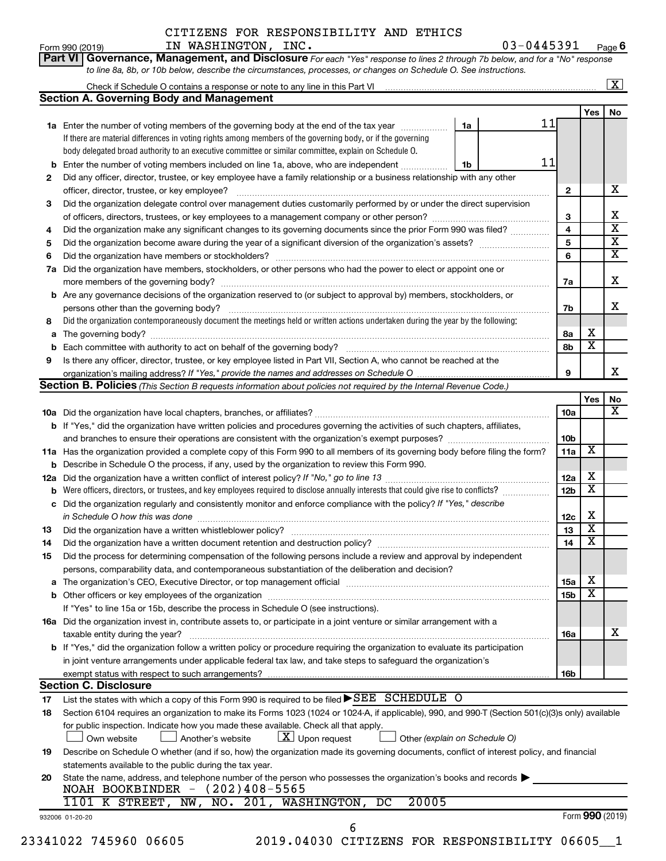#### Form 990 (2019)  $IN$   $NASHINGTON$ ,  $INC$ .  $03-0445391$   $Page$ 03-0445391 Page 6

|     |                                                                                                                                                  |    |    |              |                         | $\boxed{\textbf{X}}$ |
|-----|--------------------------------------------------------------------------------------------------------------------------------------------------|----|----|--------------|-------------------------|----------------------|
|     | <b>Section A. Governing Body and Management</b>                                                                                                  |    |    |              |                         |                      |
|     |                                                                                                                                                  |    |    |              | Yes                     | No                   |
|     | 1a Enter the number of voting members of the governing body at the end of the tax year                                                           | 1a | 11 |              |                         |                      |
|     | If there are material differences in voting rights among members of the governing body, or if the governing                                      |    |    |              |                         |                      |
|     | body delegated broad authority to an executive committee or similar committee, explain on Schedule O.                                            |    |    |              |                         |                      |
| b   | Enter the number of voting members included on line 1a, above, who are independent                                                               | 1b | 11 |              |                         |                      |
| 2   | Did any officer, director, trustee, or key employee have a family relationship or a business relationship with any other                         |    |    |              |                         |                      |
|     | officer, director, trustee, or key employee?                                                                                                     |    |    | $\mathbf{2}$ |                         |                      |
| 3   | Did the organization delegate control over management duties customarily performed by or under the direct supervision                            |    |    |              |                         |                      |
|     |                                                                                                                                                  |    |    | 3            |                         |                      |
| 4   | Did the organization make any significant changes to its governing documents since the prior Form 990 was filed?                                 |    |    | 4            |                         |                      |
| 5   |                                                                                                                                                  |    |    | 5            |                         |                      |
| 6   |                                                                                                                                                  |    |    | 6            |                         |                      |
| 7a  | Did the organization have members, stockholders, or other persons who had the power to elect or appoint one or                                   |    |    |              |                         |                      |
|     |                                                                                                                                                  |    |    | 7а           |                         |                      |
| b   | Are any governance decisions of the organization reserved to (or subject to approval by) members, stockholders, or                               |    |    |              |                         |                      |
|     | persons other than the governing body?                                                                                                           |    |    | 7b           |                         |                      |
|     | Did the organization contemporaneously document the meetings held or written actions undertaken during the year by the following:                |    |    |              |                         |                      |
| 8   |                                                                                                                                                  |    |    |              | х                       |                      |
| а   |                                                                                                                                                  |    |    | 8а           | $\overline{\textbf{x}}$ |                      |
| b   |                                                                                                                                                  |    |    | 8b           |                         |                      |
| 9   | Is there any officer, director, trustee, or key employee listed in Part VII, Section A, who cannot be reached at the                             |    |    |              |                         |                      |
|     |                                                                                                                                                  |    |    | 9            |                         |                      |
|     | Section B. Policies (This Section B requests information about policies not required by the Internal Revenue Code.)                              |    |    |              |                         | No                   |
|     |                                                                                                                                                  |    |    |              | Yes                     |                      |
|     |                                                                                                                                                  |    |    | <b>10a</b>   |                         |                      |
|     | <b>b</b> If "Yes," did the organization have written policies and procedures governing the activities of such chapters, affiliates,              |    |    |              |                         |                      |
|     |                                                                                                                                                  |    |    | 10b          |                         |                      |
|     | 11a Has the organization provided a complete copy of this Form 990 to all members of its governing body before filing the form?                  |    |    | 11a          | X                       |                      |
|     | Describe in Schedule O the process, if any, used by the organization to review this Form 990.                                                    |    |    |              |                         |                      |
| 12a |                                                                                                                                                  |    |    | 12a          | х                       |                      |
|     | Were officers, directors, or trustees, and key employees required to disclose annually interests that could give rise to conflicts?              |    |    | 12b          | $\overline{\textbf{x}}$ |                      |
| с   | Did the organization regularly and consistently monitor and enforce compliance with the policy? If "Yes," describe                               |    |    |              |                         |                      |
|     | in Schedule O how this was done manufactured and continuum and contact the was done manufactured and contact t                                   |    |    | 12c          | х                       |                      |
| 13  |                                                                                                                                                  |    |    | 13           | $\overline{\textbf{x}}$ |                      |
| 14  | Did the organization have a written document retention and destruction policy? [111] [12] manument contains an                                   |    |    | 14           | $\overline{\mathtt{x}}$ |                      |
| 15  | Did the process for determining compensation of the following persons include a review and approval by independent                               |    |    |              |                         |                      |
|     | persons, comparability data, and contemporaneous substantiation of the deliberation and decision?                                                |    |    |              |                         |                      |
| а   |                                                                                                                                                  |    |    | 15a          | х                       |                      |
|     |                                                                                                                                                  |    |    | 15b          | $\overline{\textbf{x}}$ |                      |
|     | If "Yes" to line 15a or 15b, describe the process in Schedule O (see instructions).                                                              |    |    |              |                         |                      |
|     |                                                                                                                                                  |    |    |              |                         |                      |
|     | 16a Did the organization invest in, contribute assets to, or participate in a joint venture or similar arrangement with a                        |    |    |              |                         |                      |
|     | taxable entity during the year?                                                                                                                  |    |    | 16a          |                         |                      |
|     | b If "Yes," did the organization follow a written policy or procedure requiring the organization to evaluate its participation                   |    |    |              |                         |                      |
|     | in joint venture arrangements under applicable federal tax law, and take steps to safeguard the organization's                                   |    |    |              |                         |                      |
|     | exempt status with respect to such arrangements?                                                                                                 |    |    | 16b          |                         |                      |
|     | <b>Section C. Disclosure</b>                                                                                                                     |    |    |              |                         |                      |
| 17  | List the states with which a copy of this Form 990 is required to be filed ▶SEE SCHEDULE O                                                       |    |    |              |                         |                      |
| 18  | Section 6104 requires an organization to make its Forms 1023 (1024 or 1024-A, if applicable), 990, and 990-T (Section 501(c)(3)s only) available |    |    |              |                         |                      |
|     | for public inspection. Indicate how you made these available. Check all that apply.                                                              |    |    |              |                         |                      |
|     | $\lfloor x \rfloor$ Upon request<br>Another's website<br>Other (explain on Schedule O)<br>Own website                                            |    |    |              |                         |                      |
| 19  | Describe on Schedule O whether (and if so, how) the organization made its governing documents, conflict of interest policy, and financial        |    |    |              |                         |                      |
|     | statements available to the public during the tax year.                                                                                          |    |    |              |                         |                      |
|     | State the name, address, and telephone number of the person who possesses the organization's books and records                                   |    |    |              |                         |                      |
| 20  | NOAH BOOKBINDER $-$ (202)408-5565                                                                                                                |    |    |              |                         |                      |
|     |                                                                                                                                                  |    |    |              |                         |                      |
|     | 20005<br>NO. 201, WASHINGTON, DC<br>1101 K STREET, NW,                                                                                           |    |    |              |                         |                      |
|     | 932006 01-20-20                                                                                                                                  |    |    |              | Form 990 (2019)         |                      |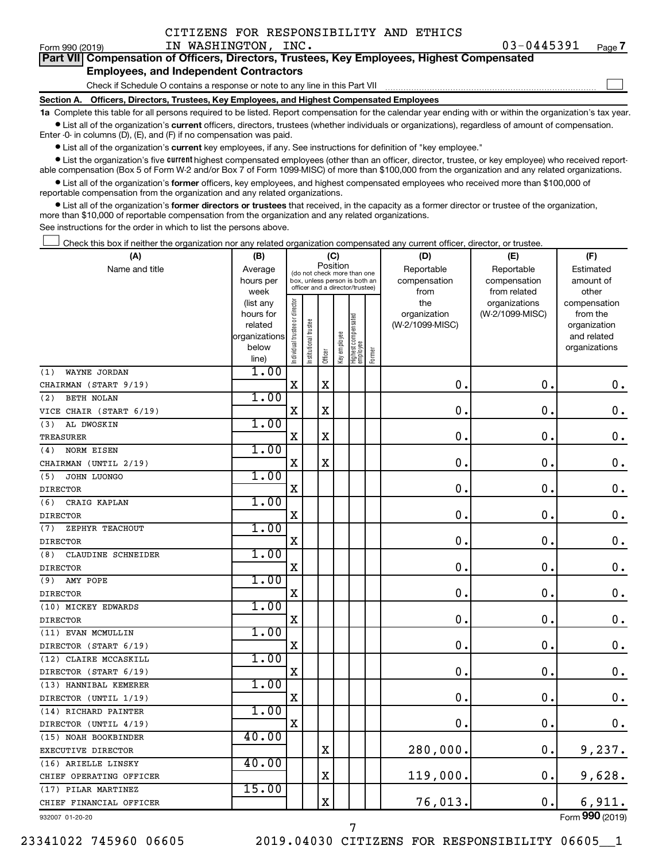$\Box$ 

|  |                                               |  | Part VII Compensation of Officers, Directors, Trustees, Key Employees, Highest Compensated |  |  |
|--|-----------------------------------------------|--|--------------------------------------------------------------------------------------------|--|--|
|  | <b>Employees, and Independent Contractors</b> |  |                                                                                            |  |  |

Check if Schedule O contains a response or note to any line in this Part VII

**Section A. Officers, Directors, Trustees, Key Employees, and Highest Compensated Employees**

**1a**  Complete this table for all persons required to be listed. Report compensation for the calendar year ending with or within the organization's tax year.  $\bullet$  List all of the organization's current officers, directors, trustees (whether individuals or organizations), regardless of amount of compensation.

Enter -0- in columns (D), (E), and (F) if no compensation was paid.

**•** List all of the organization's current key employees, if any. See instructions for definition of "key employee."

• List the organization's five *current* highest compensated employees (other than an officer, director, trustee, or key employee) who received reportable compensation (Box 5 of Form W-2 and/or Box 7 of Form 1099-MISC) of more than \$100,000 from the organization and any related organizations.

 $\bullet$  List all of the organization's former officers, key employees, and highest compensated employees who received more than \$100,000 of reportable compensation from the organization and any related organizations.

**•** List all of the organization's former directors or trustees that received, in the capacity as a former director or trustee of the organization, more than \$10,000 of reportable compensation from the organization and any related organizations.

See instructions for the order in which to list the persons above.

Check this box if neither the organization nor any related organization compensated any current officer, director, or trustee.  $\overline{a}$ 

| (A)                       | (B)                    |                                |                                                                  | (C)         |              |                                 |        | (D)             | (E)                              | (F)                      |
|---------------------------|------------------------|--------------------------------|------------------------------------------------------------------|-------------|--------------|---------------------------------|--------|-----------------|----------------------------------|--------------------------|
| Name and title            | Average                |                                | (do not check more than one                                      |             | Position     |                                 |        | Reportable      | Reportable                       | Estimated                |
|                           | hours per              |                                | box, unless person is both an<br>officer and a director/trustee) |             |              |                                 |        | compensation    | compensation                     | amount of                |
|                           | week                   |                                |                                                                  |             |              |                                 |        | from<br>the     | from related                     | other                    |
|                           | (list any<br>hours for |                                |                                                                  |             |              |                                 |        | organization    | organizations<br>(W-2/1099-MISC) | compensation<br>from the |
|                           | related                |                                |                                                                  |             |              |                                 |        | (W-2/1099-MISC) |                                  | organization             |
|                           | organizations          |                                |                                                                  |             |              |                                 |        |                 |                                  | and related              |
|                           | below                  | Individual trustee or director | nstitutional trustee                                             |             | Key employee | Highest compensated<br>employee |        |                 |                                  | organizations            |
|                           | line)                  |                                |                                                                  | Officer     |              |                                 | Former |                 |                                  |                          |
| WAYNE JORDAN<br>(1)       | 1.00                   |                                |                                                                  |             |              |                                 |        |                 |                                  |                          |
| CHAIRMAN (START 9/19)     |                        | $\mathbf X$                    |                                                                  | $\mathbf X$ |              |                                 |        | $\mathbf 0$ .   | $\mathbf 0$ .                    | $\mathbf 0$ .            |
| <b>BETH NOLAN</b><br>(2)  | 1.00                   |                                |                                                                  |             |              |                                 |        |                 |                                  |                          |
| VICE CHAIR (START 6/19)   |                        | X                              |                                                                  | $\mathbf X$ |              |                                 |        | $\mathbf 0$     | $\mathbf 0$ .                    | $\mathbf 0$ .            |
| AL DWOSKIN<br>(3)         | 1.00                   |                                |                                                                  |             |              |                                 |        |                 |                                  |                          |
| <b>TREASURER</b>          |                        | $\mathbf X$                    |                                                                  | $\mathbf X$ |              |                                 |        | $\mathbf 0$ .   | $\mathbf 0$ .                    | $\mathbf 0$ .            |
| <b>NORM EISEN</b><br>(4)  | 1.00                   |                                |                                                                  |             |              |                                 |        |                 |                                  |                          |
| CHAIRMAN (UNTIL 2/19)     |                        | $\mathbf X$                    |                                                                  | $\mathbf X$ |              |                                 |        | $\mathbf 0$ .   | $\mathbf 0$ .                    | $\mathbf 0$ .            |
| JOHN LUONGO<br>(5)        | 1.00                   |                                |                                                                  |             |              |                                 |        |                 |                                  |                          |
| <b>DIRECTOR</b>           |                        | X                              |                                                                  |             |              |                                 |        | 0               | 0.                               | $\mathbf 0$ .            |
| CRAIG KAPLAN<br>(6)       | 1.00                   |                                |                                                                  |             |              |                                 |        |                 |                                  |                          |
| <b>DIRECTOR</b>           |                        | X                              |                                                                  |             |              |                                 |        | 0               | $\mathbf 0$                      | $\mathbf 0$ .            |
| ZEPHYR TEACHOUT<br>(7)    | 1.00                   |                                |                                                                  |             |              |                                 |        |                 |                                  |                          |
| <b>DIRECTOR</b>           |                        | X                              |                                                                  |             |              |                                 |        | $\mathbf 0$     | $\mathbf 0$ .                    | $\mathbf 0$ .            |
| CLAUDINE SCHNEIDER<br>(8) | 1.00                   |                                |                                                                  |             |              |                                 |        |                 |                                  |                          |
| <b>DIRECTOR</b>           |                        | X                              |                                                                  |             |              |                                 |        | $\mathbf 0$ .   | $\mathbf 0$ .                    | $\mathbf 0$ .            |
| AMY POPE<br>(9)           | 1.00                   |                                |                                                                  |             |              |                                 |        |                 |                                  |                          |
| <b>DIRECTOR</b>           |                        | X                              |                                                                  |             |              |                                 |        | 0               | $\mathbf 0$ .                    | $\mathbf 0$ .            |
| (10) MICKEY EDWARDS       | 1.00                   |                                |                                                                  |             |              |                                 |        |                 |                                  |                          |
| <b>DIRECTOR</b>           |                        | $\mathbf X$                    |                                                                  |             |              |                                 |        | 0               | $\mathbf 0$ .                    | $\mathbf 0$ .            |
| (11) EVAN MCMULLIN        | 1.00                   |                                |                                                                  |             |              |                                 |        |                 |                                  |                          |
| DIRECTOR (START 6/19)     |                        | X                              |                                                                  |             |              |                                 |        | 0               | $\mathbf 0$ .                    | $\mathbf 0$ .            |
| (12) CLAIRE MCCASKILL     | 1.00                   |                                |                                                                  |             |              |                                 |        |                 |                                  |                          |
| DIRECTOR (START 6/19)     |                        | $\mathbf X$                    |                                                                  |             |              |                                 |        | $\mathbf 0$ .   | $\mathbf 0$ .                    | $\mathbf 0$ .            |
| (13) HANNIBAL KEMERER     | 1.00                   |                                |                                                                  |             |              |                                 |        |                 |                                  |                          |
| DIRECTOR (UNTIL 1/19)     |                        | X                              |                                                                  |             |              |                                 |        | 0               | $\mathbf 0$ .                    | 0.                       |
| (14) RICHARD PAINTER      | 1.00                   |                                |                                                                  |             |              |                                 |        |                 |                                  |                          |
| DIRECTOR (UNTIL 4/19)     |                        | $\mathbf X$                    |                                                                  |             |              |                                 |        | $\mathbf 0$ .   | $\mathbf 0$ .                    | 0.                       |
| (15) NOAH BOOKBINDER      | 40.00                  |                                |                                                                  |             |              |                                 |        |                 |                                  |                          |
| EXECUTIVE DIRECTOR        |                        |                                |                                                                  | X           |              |                                 |        | 280,000.        | 0.                               | 9,237.                   |
| (16) ARIELLE LINSKY       | 40.00                  |                                |                                                                  |             |              |                                 |        |                 |                                  |                          |
| CHIEF OPERATING OFFICER   |                        |                                |                                                                  | $\mathbf X$ |              |                                 |        | 119,000.        | 0.                               | 9,628.                   |
| (17) PILAR MARTINEZ       | 15.00                  |                                |                                                                  |             |              |                                 |        |                 |                                  |                          |
| CHIEF FINANCIAL OFFICER   |                        |                                |                                                                  | $\mathbf X$ |              |                                 |        | 76,013.         | $\mathbf 0$ .                    | 6,911.                   |
|                           |                        |                                |                                                                  |             |              |                                 |        |                 |                                  |                          |

932007 01-20-20

23341022 745960 06605 2019.04030 CITIZENS FOR RESPONSIBILITY 06605\_\_1

7

Form (2019) **990**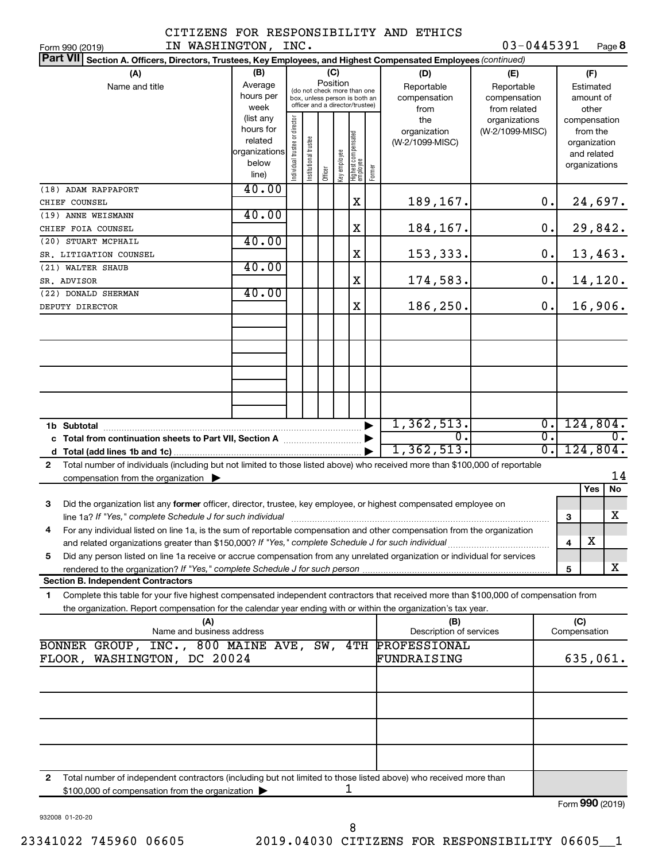#### CITIZENS FOR RESPONSIBILITY AND ETHICS IN WASHINGTON, INC.

| IN WASHINGTON, INC.<br>Form 990 (2019)                                                                                                       |               |                                |                       |         |              |                                                              |        |                         | 03-0445391      |                  |              | Page 8          |
|----------------------------------------------------------------------------------------------------------------------------------------------|---------------|--------------------------------|-----------------------|---------|--------------|--------------------------------------------------------------|--------|-------------------------|-----------------|------------------|--------------|-----------------|
| <b>Part VII</b><br>Section A. Officers, Directors, Trustees, Key Employees, and Highest Compensated Employees (continued)                    |               |                                |                       |         |              |                                                              |        |                         |                 |                  |              |                 |
| (A)                                                                                                                                          | (B)           |                                |                       |         | (C)          |                                                              |        | (D)                     | (E)             |                  |              | (F)             |
| Name and title                                                                                                                               | Average       |                                |                       |         | Position     |                                                              |        | Reportable              | Reportable      | Estimated        |              |                 |
|                                                                                                                                              | hours per     |                                |                       |         |              | (do not check more than one<br>box, unless person is both an |        | compensation            | compensation    |                  |              | amount of       |
|                                                                                                                                              | week          |                                |                       |         |              | officer and a director/trustee)                              |        | from                    | from related    |                  |              | other           |
|                                                                                                                                              | (list any     |                                |                       |         |              |                                                              |        | the                     | organizations   |                  |              | compensation    |
|                                                                                                                                              | hours for     |                                |                       |         |              |                                                              |        | organization            | (W-2/1099-MISC) |                  |              | from the        |
|                                                                                                                                              | related       |                                |                       |         |              |                                                              |        | (W-2/1099-MISC)         |                 |                  |              | organization    |
|                                                                                                                                              | organizations |                                |                       |         |              |                                                              |        |                         |                 |                  |              | and related     |
|                                                                                                                                              | below         |                                |                       |         |              |                                                              |        |                         |                 |                  |              | organizations   |
|                                                                                                                                              | line)         | Individual trustee or director | Institutional trustee | Officer | Key employee | Highest compensated<br>employee                              | Former |                         |                 |                  |              |                 |
| (18) ADAM RAPPAPORT                                                                                                                          | 40.00         |                                |                       |         |              |                                                              |        |                         |                 |                  |              |                 |
| CHIEF COUNSEL                                                                                                                                |               |                                |                       |         |              | X                                                            |        | 189,167.                |                 | $\mathbf 0$ .    |              | 24,697.         |
| (19) ANNE WEISMANN                                                                                                                           | 40.00         |                                |                       |         |              |                                                              |        |                         |                 |                  |              |                 |
| CHIEF FOIA COUNSEL                                                                                                                           |               |                                |                       |         |              | X                                                            |        | 184,167.                |                 | $0$ .            |              | 29,842.         |
| (20) STUART MCPHAIL                                                                                                                          | 40.00         |                                |                       |         |              |                                                              |        |                         |                 |                  |              |                 |
|                                                                                                                                              |               |                                |                       |         |              | X                                                            |        |                         |                 | $0$ .            |              |                 |
| SR. LITIGATION COUNSEL                                                                                                                       |               |                                |                       |         |              |                                                              |        | 153,333.                |                 |                  |              | 13,463.         |
| (21) WALTER SHAUB                                                                                                                            | 40.00         |                                |                       |         |              |                                                              |        |                         |                 |                  |              |                 |
| SR. ADVISOR                                                                                                                                  |               |                                |                       |         |              | X                                                            |        | 174,583.                |                 | $0$ .            |              | 14,120.         |
| (22) DONALD SHERMAN                                                                                                                          | 40.00         |                                |                       |         |              |                                                              |        |                         |                 |                  |              |                 |
| DEPUTY DIRECTOR                                                                                                                              |               |                                |                       |         |              | X                                                            |        | 186,250.                |                 | 0.               |              | 16,906.         |
|                                                                                                                                              |               |                                |                       |         |              |                                                              |        |                         |                 |                  |              |                 |
|                                                                                                                                              |               |                                |                       |         |              |                                                              |        |                         |                 |                  |              |                 |
|                                                                                                                                              |               |                                |                       |         |              |                                                              |        |                         |                 |                  |              |                 |
|                                                                                                                                              |               |                                |                       |         |              |                                                              |        |                         |                 |                  |              |                 |
|                                                                                                                                              |               |                                |                       |         |              |                                                              |        |                         |                 |                  |              |                 |
|                                                                                                                                              |               |                                |                       |         |              |                                                              |        |                         |                 |                  |              |                 |
|                                                                                                                                              |               |                                |                       |         |              |                                                              |        |                         |                 |                  |              |                 |
|                                                                                                                                              |               |                                |                       |         |              |                                                              |        |                         |                 |                  |              |                 |
|                                                                                                                                              |               |                                |                       |         |              |                                                              |        | 1,362,513.              |                 | $\overline{0}$ . |              | 124,804.        |
|                                                                                                                                              |               |                                |                       |         |              |                                                              |        | σ.                      |                 | $\overline{0}$ . |              | О.              |
|                                                                                                                                              |               |                                |                       |         |              |                                                              |        | 1,362,513.              |                 | $\overline{0}$ . |              | 124,804.        |
|                                                                                                                                              |               |                                |                       |         |              |                                                              |        |                         |                 |                  |              |                 |
| Total number of individuals (including but not limited to those listed above) who received more than \$100,000 of reportable<br>$\mathbf{2}$ |               |                                |                       |         |              |                                                              |        |                         |                 |                  |              |                 |
| compensation from the organization $\blacktriangleright$                                                                                     |               |                                |                       |         |              |                                                              |        |                         |                 |                  |              | 14              |
|                                                                                                                                              |               |                                |                       |         |              |                                                              |        |                         |                 |                  |              | Yes<br>No       |
| 3<br>Did the organization list any former officer, director, trustee, key employee, or highest compensated employee on                       |               |                                |                       |         |              |                                                              |        |                         |                 |                  |              |                 |
|                                                                                                                                              |               |                                |                       |         |              |                                                              |        |                         |                 |                  | 3            | X               |
| For any individual listed on line 1a, is the sum of reportable compensation and other compensation from the organization                     |               |                                |                       |         |              |                                                              |        |                         |                 |                  |              |                 |
| and related organizations greater than \$150,000? If "Yes," complete Schedule J for such individual                                          |               |                                |                       |         |              |                                                              |        |                         |                 |                  | 4            | х               |
| Did any person listed on line 1a receive or accrue compensation from any unrelated organization or individual for services<br>5              |               |                                |                       |         |              |                                                              |        |                         |                 |                  |              |                 |
|                                                                                                                                              |               |                                |                       |         |              |                                                              |        |                         |                 |                  | 5            | x               |
| <b>Section B. Independent Contractors</b>                                                                                                    |               |                                |                       |         |              |                                                              |        |                         |                 |                  |              |                 |
| Complete this table for your five highest compensated independent contractors that received more than \$100,000 of compensation from<br>1.   |               |                                |                       |         |              |                                                              |        |                         |                 |                  |              |                 |
| the organization. Report compensation for the calendar year ending with or within the organization's tax year.                               |               |                                |                       |         |              |                                                              |        |                         |                 |                  |              |                 |
| (A)                                                                                                                                          |               |                                |                       |         |              |                                                              |        | (B)                     |                 |                  | (C)          |                 |
| Name and business address                                                                                                                    |               |                                |                       |         |              |                                                              |        | Description of services |                 |                  | Compensation |                 |
| BONNER GROUP, INC., 800 MAINE AVE, SW, 4TH                                                                                                   |               |                                |                       |         |              |                                                              |        | PROFESSIONAL            |                 |                  |              |                 |
| FLOOR, WASHINGTON, DC 20024                                                                                                                  |               |                                |                       |         |              |                                                              |        | FUNDRAISING             |                 |                  |              | 635,061.        |
|                                                                                                                                              |               |                                |                       |         |              |                                                              |        |                         |                 |                  |              |                 |
|                                                                                                                                              |               |                                |                       |         |              |                                                              |        |                         |                 |                  |              |                 |
|                                                                                                                                              |               |                                |                       |         |              |                                                              |        |                         |                 |                  |              |                 |
|                                                                                                                                              |               |                                |                       |         |              |                                                              |        |                         |                 |                  |              |                 |
|                                                                                                                                              |               |                                |                       |         |              |                                                              |        |                         |                 |                  |              |                 |
|                                                                                                                                              |               |                                |                       |         |              |                                                              |        |                         |                 |                  |              |                 |
|                                                                                                                                              |               |                                |                       |         |              |                                                              |        |                         |                 |                  |              |                 |
|                                                                                                                                              |               |                                |                       |         |              |                                                              |        |                         |                 |                  |              |                 |
|                                                                                                                                              |               |                                |                       |         |              |                                                              |        |                         |                 |                  |              |                 |
| Total number of independent contractors (including but not limited to those listed above) who received more than<br>2                        |               |                                |                       |         |              |                                                              |        |                         |                 |                  |              |                 |
| \$100,000 of compensation from the organization                                                                                              |               |                                |                       |         |              | ı                                                            |        |                         |                 |                  |              |                 |
|                                                                                                                                              |               |                                |                       |         |              |                                                              |        |                         |                 |                  |              | Form 990 (2019) |

932008 01-20-20

Form 990 (2019)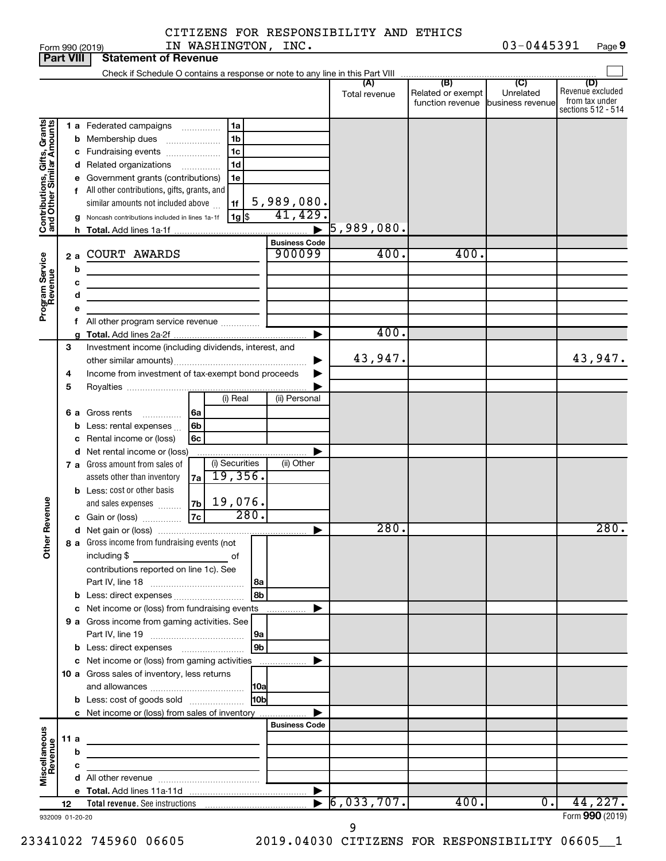Form 990 (2019)  $IN$   $NASHINGTON$ ,  $INC$ .  $03-0445391$  Page 03-0445391 Page 9

| <b>Part VIII</b>                                          |        |        | <b>Statement of Revenue</b>                                                                                                                                                           |                                  |                          |                                                        |                  |                                                                 |
|-----------------------------------------------------------|--------|--------|---------------------------------------------------------------------------------------------------------------------------------------------------------------------------------------|----------------------------------|--------------------------|--------------------------------------------------------|------------------|-----------------------------------------------------------------|
|                                                           |        |        | Check if Schedule O contains a response or note to any line in this Part VIII                                                                                                         |                                  |                          | $\overline{1}$ (B) (C) $\overline{1}$                  |                  |                                                                 |
|                                                           |        |        |                                                                                                                                                                                       |                                  | (A)<br>Total revenue     | Related or exempt<br>function revenue business revenue | Unrelated        | (D)<br>Revenue excluded<br>from tax under<br>sections 512 - 514 |
|                                                           |        |        | 1 a Federated campaigns<br>1a<br>.<br>1 <sub>b</sub><br><b>b</b> Membership dues<br>1c<br>c Fundraising events                                                                        |                                  |                          |                                                        |                  |                                                                 |
| Contributions, Gifts, Grants<br>and Other Similar Amounts |        |        | 1d<br>d Related organizations<br>.<br>e Government grants (contributions)<br>1e<br>f All other contributions, gifts, grants, and<br>similar amounts not included above<br>1f          | 5,989,080.                       |                          |                                                        |                  |                                                                 |
|                                                           |        |        | $1g$ \$<br>g Noncash contributions included in lines 1a-1f                                                                                                                            | 41,429.<br>$\blacktriangleright$ | $\overline{5}$ ,989,080. |                                                        |                  |                                                                 |
|                                                           | 2a     | b      | <b>COURT AWARDS</b>                                                                                                                                                                   | <b>Business Code</b><br>900099   | 400.                     | 400.                                                   |                  |                                                                 |
| Program Service<br>Revenue                                |        | c<br>d | <u> 1989 - Johann Stoff, deutscher Stoffen und der Stoffen und der Stoffen und der Stoffen und der Stoffen und der</u><br>the control of the control of the control of the control of |                                  |                          |                                                        |                  |                                                                 |
|                                                           |        | е      | f All other program service revenue                                                                                                                                                   | ▶                                | 400.                     |                                                        |                  |                                                                 |
|                                                           | 3      |        | Investment income (including dividends, interest, and                                                                                                                                 |                                  | 43,947.                  |                                                        |                  | 43,947.                                                         |
|                                                           | 4<br>5 |        | Income from investment of tax-exempt bond proceeds<br>(i) Real                                                                                                                        | (ii) Personal                    |                          |                                                        |                  |                                                                 |
|                                                           |        |        | <b>6 a</b> Gross rents<br>l 6a<br>6b<br><b>b</b> Less: rental expenses $\ldots$<br>c Rental income or (loss)<br>6c                                                                    |                                  |                          |                                                        |                  |                                                                 |
|                                                           |        |        | d Net rental income or (loss)<br>(i) Securities<br>7 a Gross amount from sales of<br>19,356.<br>7a<br>assets other than inventory                                                     | (ii) Other                       |                          |                                                        |                  |                                                                 |
| Revenue                                                   |        |        | <b>b</b> Less: cost or other basis<br>19,076.<br>7b<br>and sales expenses<br>280.<br> 7c <br>c Gain or (loss)                                                                         |                                  |                          |                                                        |                  |                                                                 |
|                                                           |        |        |                                                                                                                                                                                       | ▶                                | 280.                     |                                                        |                  | 280.                                                            |
| Š                                                         |        |        | 8 a Gross income from fundraising events (not<br>including \$<br>of<br>contributions reported on line 1c). See                                                                        |                                  |                          |                                                        |                  |                                                                 |
|                                                           |        |        | 8b<br>c Net income or (loss) from fundraising events<br>9 a Gross income from gaming activities. See                                                                                  | .                                |                          |                                                        |                  |                                                                 |
|                                                           |        |        | 9a<br>9 <sub>b</sub>                                                                                                                                                                  |                                  |                          |                                                        |                  |                                                                 |
|                                                           |        |        | c Net income or (loss) from gaming activities<br>10 a Gross sales of inventory, less returns                                                                                          |                                  |                          |                                                        |                  |                                                                 |
|                                                           |        |        | <b>HObl</b><br><b>b</b> Less: cost of goods sold<br>c Net income or (loss) from sales of inventory                                                                                    |                                  |                          |                                                        |                  |                                                                 |
|                                                           | 11 a   | b      | the control of the control of the control of the control of the control of                                                                                                            | <b>Business Code</b>             |                          |                                                        |                  |                                                                 |
| Miscellaneous<br>Revenue                                  |        | c      | the control of the control of the control of the control of                                                                                                                           |                                  |                          |                                                        |                  |                                                                 |
|                                                           |        |        |                                                                                                                                                                                       | $\blacktriangleright$            |                          |                                                        |                  |                                                                 |
|                                                           | 12     |        |                                                                                                                                                                                       |                                  | 6,033,707.               | 400.                                                   | $\overline{0}$ . | 44,227.<br>Form 990 (2019)                                      |
| 932009 01-20-20                                           |        |        |                                                                                                                                                                                       |                                  |                          |                                                        |                  |                                                                 |

9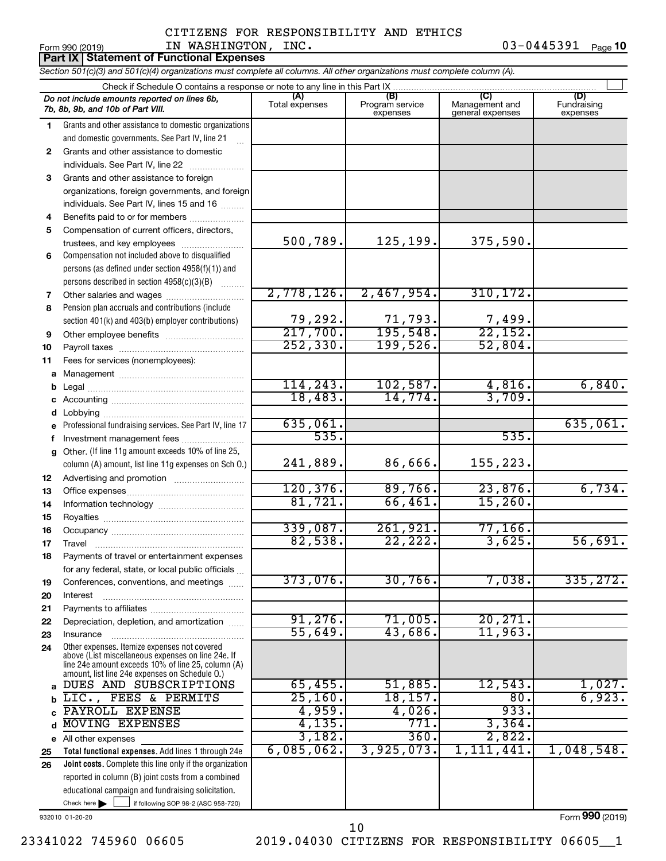#### Form 990 (2019) Page IN WASHINGTON, INC. 03-0445391 CITIZENS FOR RESPONSIBILITY AND ETHICS

 $03 - 0445391$  Page 10

|    | <b>Part IX Statement of Functional Expenses</b>                                                                                                                                                            |                       |                                    |                                           |                                |  |  |  |  |  |  |
|----|------------------------------------------------------------------------------------------------------------------------------------------------------------------------------------------------------------|-----------------------|------------------------------------|-------------------------------------------|--------------------------------|--|--|--|--|--|--|
|    | Section 501(c)(3) and 501(c)(4) organizations must complete all columns. All other organizations must complete column (A).                                                                                 |                       |                                    |                                           |                                |  |  |  |  |  |  |
|    | Check if Schedule O contains a response or note to any line in this Part IX                                                                                                                                |                       |                                    |                                           |                                |  |  |  |  |  |  |
|    | Do not include amounts reported on lines 6b,<br>7b, 8b, 9b, and 10b of Part VIII.                                                                                                                          | (A)<br>Total expenses | (B)<br>Program service<br>expenses | (C)<br>Management and<br>general expenses | (D)<br>Fundraising<br>expenses |  |  |  |  |  |  |
| 1  | Grants and other assistance to domestic organizations                                                                                                                                                      |                       |                                    |                                           |                                |  |  |  |  |  |  |
|    | and domestic governments. See Part IV, line 21                                                                                                                                                             |                       |                                    |                                           |                                |  |  |  |  |  |  |
| 2  | Grants and other assistance to domestic                                                                                                                                                                    |                       |                                    |                                           |                                |  |  |  |  |  |  |
|    | individuals. See Part IV, line 22                                                                                                                                                                          |                       |                                    |                                           |                                |  |  |  |  |  |  |
| 3  | Grants and other assistance to foreign                                                                                                                                                                     |                       |                                    |                                           |                                |  |  |  |  |  |  |
|    | organizations, foreign governments, and foreign                                                                                                                                                            |                       |                                    |                                           |                                |  |  |  |  |  |  |
|    | individuals. See Part IV, lines 15 and 16                                                                                                                                                                  |                       |                                    |                                           |                                |  |  |  |  |  |  |
| 4  | Benefits paid to or for members                                                                                                                                                                            |                       |                                    |                                           |                                |  |  |  |  |  |  |
| 5  | Compensation of current officers, directors,                                                                                                                                                               | 500,789.              | 125,199.                           | 375,590.                                  |                                |  |  |  |  |  |  |
|    | trustees, and key employees                                                                                                                                                                                |                       |                                    |                                           |                                |  |  |  |  |  |  |
| 6  | Compensation not included above to disqualified                                                                                                                                                            |                       |                                    |                                           |                                |  |  |  |  |  |  |
|    | persons (as defined under section 4958(f)(1)) and<br>persons described in section 4958(c)(3)(B)                                                                                                            |                       |                                    |                                           |                                |  |  |  |  |  |  |
| 7  |                                                                                                                                                                                                            | 2,778,126.            | 2,467,954.                         | 310, 172.                                 |                                |  |  |  |  |  |  |
| 8  | Pension plan accruals and contributions (include                                                                                                                                                           |                       |                                    |                                           |                                |  |  |  |  |  |  |
|    | section 401(k) and 403(b) employer contributions)                                                                                                                                                          | 79,292.               | 71,793.                            |                                           |                                |  |  |  |  |  |  |
| 9  |                                                                                                                                                                                                            | 217,700.              | 195,548.                           | $\frac{7,499}{22,152}$                    |                                |  |  |  |  |  |  |
| 10 |                                                                                                                                                                                                            | 252, 330.             | 199,526.                           | 52,804.                                   |                                |  |  |  |  |  |  |
| 11 | Fees for services (nonemployees):                                                                                                                                                                          |                       |                                    |                                           |                                |  |  |  |  |  |  |
|    |                                                                                                                                                                                                            |                       |                                    |                                           |                                |  |  |  |  |  |  |
| b  |                                                                                                                                                                                                            | 114, 243.             | 102,587.                           | 4,816.                                    | 6,840.                         |  |  |  |  |  |  |
| С  |                                                                                                                                                                                                            | 18,483.               | 14,774.                            | 3,709.                                    |                                |  |  |  |  |  |  |
| d  |                                                                                                                                                                                                            |                       |                                    |                                           |                                |  |  |  |  |  |  |
| е  | Professional fundraising services. See Part IV, line 17                                                                                                                                                    | 635,061.              |                                    |                                           | 635,061.                       |  |  |  |  |  |  |
| f. | Investment management fees                                                                                                                                                                                 | 535.                  |                                    | 535.                                      |                                |  |  |  |  |  |  |
| g  | Other. (If line 11g amount exceeds 10% of line 25,                                                                                                                                                         |                       |                                    |                                           |                                |  |  |  |  |  |  |
|    | column (A) amount, list line 11g expenses on Sch O.)                                                                                                                                                       | 241,889.              | 86,666.                            | 155,223.                                  |                                |  |  |  |  |  |  |
| 12 | Advertising and promotion <i>manually contained</i>                                                                                                                                                        |                       |                                    |                                           |                                |  |  |  |  |  |  |
| 13 |                                                                                                                                                                                                            | 120, 376.             | 89,766.                            | 23,876.                                   | 6,734.                         |  |  |  |  |  |  |
| 14 |                                                                                                                                                                                                            | 81,721.               | 66,461.                            | 15,260.                                   |                                |  |  |  |  |  |  |
| 15 |                                                                                                                                                                                                            | 339,087.              | 261,921.                           | 77,166.                                   |                                |  |  |  |  |  |  |
| 16 |                                                                                                                                                                                                            |                       | 22, 222.                           | 3,625.                                    | 56,691.                        |  |  |  |  |  |  |
| 17 |                                                                                                                                                                                                            | 82,538.               |                                    |                                           |                                |  |  |  |  |  |  |
| 18 | Payments of travel or entertainment expenses                                                                                                                                                               |                       |                                    |                                           |                                |  |  |  |  |  |  |
| 19 | for any federal, state, or local public officials<br>Conferences, conventions, and meetings                                                                                                                | 373,076.              | 30,766.                            | 7,038.                                    | 335, 272.                      |  |  |  |  |  |  |
| 20 | Interest                                                                                                                                                                                                   |                       |                                    |                                           |                                |  |  |  |  |  |  |
| 21 |                                                                                                                                                                                                            |                       |                                    |                                           |                                |  |  |  |  |  |  |
| 22 | Depreciation, depletion, and amortization                                                                                                                                                                  | 91, 276.              | 71,005.                            | 20, 271.                                  |                                |  |  |  |  |  |  |
| 23 | Insurance                                                                                                                                                                                                  | 55,649.               | 43,686.                            | 11,963.                                   |                                |  |  |  |  |  |  |
| 24 | Other expenses. Itemize expenses not covered<br>above (List miscellaneous expenses on line 24e. If<br>line 24e amount exceeds 10% of line 25, column (A)<br>amount, list line 24e expenses on Schedule O.) |                       |                                    |                                           |                                |  |  |  |  |  |  |
| a  | DUES AND SUBSCRIPTIONS                                                                                                                                                                                     | 65,455.               | 51,885.                            | $1\overline{2}$ , 543.                    | 1,027.                         |  |  |  |  |  |  |
| b  | LIC., FEES & PERMITS                                                                                                                                                                                       | 25,160.               | 18, 157.                           | 80.                                       | 6,923.                         |  |  |  |  |  |  |
|    | PAYROLL EXPENSE                                                                                                                                                                                            | 4,959.                | 4,026.                             | 933.                                      |                                |  |  |  |  |  |  |
| d  | MOVING EXPENSES                                                                                                                                                                                            | 4,135.                | 771.                               | 3,364.                                    |                                |  |  |  |  |  |  |
|    | e All other expenses                                                                                                                                                                                       | 3,182.                | 360.                               | 2,822.                                    |                                |  |  |  |  |  |  |
| 25 | Total functional expenses. Add lines 1 through 24e                                                                                                                                                         | 6,085,062.            | 3,925,073.                         | 1,111,441.                                | 1,048,548.                     |  |  |  |  |  |  |
| 26 | Joint costs. Complete this line only if the organization                                                                                                                                                   |                       |                                    |                                           |                                |  |  |  |  |  |  |
|    | reported in column (B) joint costs from a combined                                                                                                                                                         |                       |                                    |                                           |                                |  |  |  |  |  |  |
|    | educational campaign and fundraising solicitation.                                                                                                                                                         |                       |                                    |                                           |                                |  |  |  |  |  |  |
|    | Check here<br>if following SOP 98-2 (ASC 958-720)                                                                                                                                                          |                       |                                    |                                           |                                |  |  |  |  |  |  |

932010 01-20-20

23341022 745960 06605 2019.04030 CITIZENS FOR RESPONSIBILITY 06605\_\_1 10

Form (2019) **990**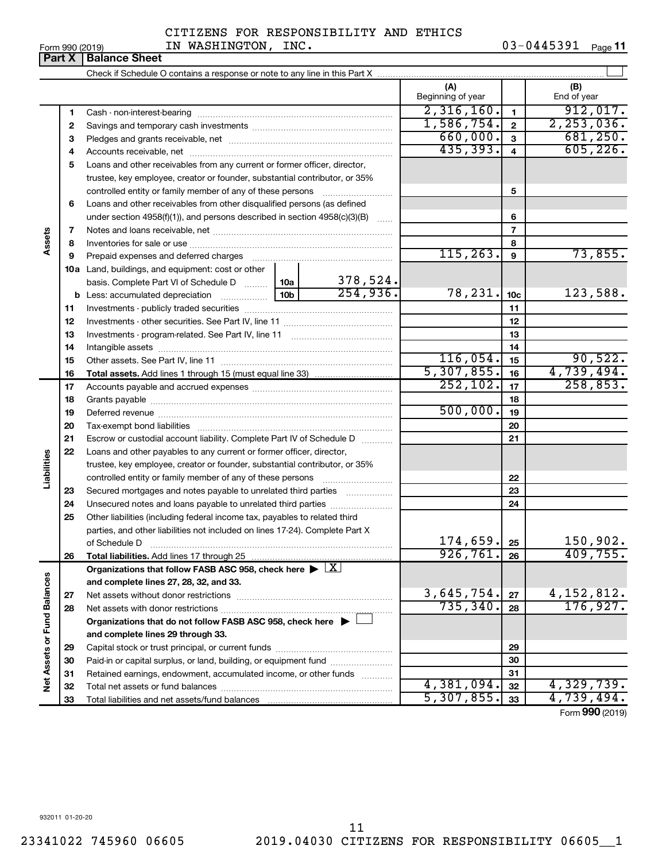**Part 890 (2019)**<br>**Part X Balance Sheet** 

# CITIZENS FOR RESPONSIBILITY AND ETHICS

Form 990 (2019) Page IN WASHINGTON, INC. 03-0445391 03-0445391 Page 11

|                             | . u. . x     | Pululivu Viluu                                                                                         |            |           |                             |                 |                               |
|-----------------------------|--------------|--------------------------------------------------------------------------------------------------------|------------|-----------|-----------------------------|-----------------|-------------------------------|
|                             |              |                                                                                                        |            |           |                             |                 |                               |
|                             |              |                                                                                                        |            |           | (A)<br>Beginning of year    |                 | (B)<br>End of year            |
|                             | 1            |                                                                                                        |            |           | 2,316,160.                  | $\mathbf{1}$    | 912,017.                      |
|                             | $\mathbf{2}$ |                                                                                                        |            |           | 1,586,754.                  | $\overline{2}$  | 2, 253, 036.                  |
|                             | з            |                                                                                                        |            |           | 660,000.                    | $\mathbf{3}$    | 681, 250.                     |
|                             | 4            |                                                                                                        |            |           | 435, 393.                   | $\overline{4}$  | 605, 226.                     |
|                             | 5            | Loans and other receivables from any current or former officer, director,                              |            |           |                             |                 |                               |
|                             |              | trustee, key employee, creator or founder, substantial contributor, or 35%                             |            |           |                             |                 |                               |
|                             |              | controlled entity or family member of any of these persons                                             |            |           | 5                           |                 |                               |
|                             | 6            | Loans and other receivables from other disqualified persons (as defined                                |            |           |                             |                 |                               |
|                             |              | under section $4958(f)(1)$ , and persons described in section $4958(c)(3)(B)$                          |            | 6         |                             |                 |                               |
|                             | 7            |                                                                                                        | $\ldots$   |           | $\overline{7}$              |                 |                               |
| Assets                      | 8            |                                                                                                        |            |           | 8                           |                 |                               |
|                             | 9            |                                                                                                        |            | 115, 263. | 9                           | 73,855.         |                               |
|                             |              | 10a Land, buildings, and equipment: cost or other                                                      |            |           |                             |                 |                               |
|                             |              | basis. Complete Part VI of Schedule D  10a                                                             |            | 378,524.  |                             |                 |                               |
|                             |              |                                                                                                        |            | 254,936.  | 78,231.                     | 10 <sub>c</sub> | 123,588.                      |
|                             | 11           |                                                                                                        |            |           |                             | 11              |                               |
|                             | 12           |                                                                                                        |            |           | 12                          |                 |                               |
|                             | 13           |                                                                                                        |            | 13        |                             |                 |                               |
|                             | 14           |                                                                                                        |            | 14        |                             |                 |                               |
|                             | 15           |                                                                                                        |            |           | 116,054.                    | 15              | 90,522.                       |
|                             | 16           |                                                                                                        |            |           | 5,307,855.                  | 16              | 4,739,494.                    |
|                             | 17           |                                                                                                        |            |           | 252, 102.                   | 17              | 258,853.                      |
|                             | 18           |                                                                                                        |            |           | 18                          |                 |                               |
|                             | 19           |                                                                                                        |            | 500,000.  | 19                          |                 |                               |
|                             | 20           | Tax-exempt bond liabilities                                                                            |            |           |                             | 20              |                               |
|                             | 21           | Escrow or custodial account liability. Complete Part IV of Schedule D                                  |            |           |                             | 21              |                               |
|                             | 22           | Loans and other payables to any current or former officer, director,                                   |            |           |                             |                 |                               |
| Liabilities                 |              | trustee, key employee, creator or founder, substantial contributor, or 35%                             |            |           |                             |                 |                               |
|                             |              | controlled entity or family member of any of these persons                                             |            |           |                             | 22              |                               |
|                             | 23           | Secured mortgages and notes payable to unrelated third parties                                         |            |           |                             | 23              |                               |
|                             | 24           | Unsecured notes and loans payable to unrelated third parties                                           |            |           |                             | 24              |                               |
|                             | 25           | Other liabilities (including federal income tax, payables to related third                             |            |           |                             |                 |                               |
|                             |              | parties, and other liabilities not included on lines 17-24). Complete Part X                           |            |           |                             |                 |                               |
|                             |              | of Schedule D                                                                                          |            |           | 174,659.                    | 25              | 150,902.                      |
|                             | 26           | Total liabilities. Add lines 17 through 25                                                             |            |           | 926, 761.                   | 26              | 409,755.                      |
|                             |              | Organizations that follow FASB ASC 958, check here $\blacktriangleright \lfloor \underline{X} \rfloor$ |            |           |                             |                 |                               |
|                             |              | and complete lines 27, 28, 32, and 33.                                                                 |            |           |                             |                 |                               |
|                             | 27           | Net assets without donor restrictions                                                                  |            |           | $\frac{3,645,754}{735,340}$ | 27              | $\frac{4,152,812.}{176,927.}$ |
|                             | 28           |                                                                                                        |            |           |                             | 28              |                               |
| Net Assets or Fund Balances |              | Organizations that do not follow FASB ASC 958, check here $\blacktriangleright$                        |            |           |                             |                 |                               |
|                             |              | and complete lines 29 through 33.                                                                      |            |           |                             |                 |                               |
|                             | 29           |                                                                                                        |            |           | 29                          |                 |                               |
|                             | 30           | Paid-in or capital surplus, or land, building, or equipment fund                                       |            |           |                             | 30              |                               |
|                             | 31           | Retained earnings, endowment, accumulated income, or other funds                                       |            |           |                             | 31              |                               |
|                             | 32           |                                                                                                        |            |           | 4,381,094.                  | 32              | 4,329,739.                    |
|                             | 33           |                                                                                                        | 5,307,855. | 33        | 4,739,494.                  |                 |                               |

Form (2019) **990**

932011 01-20-20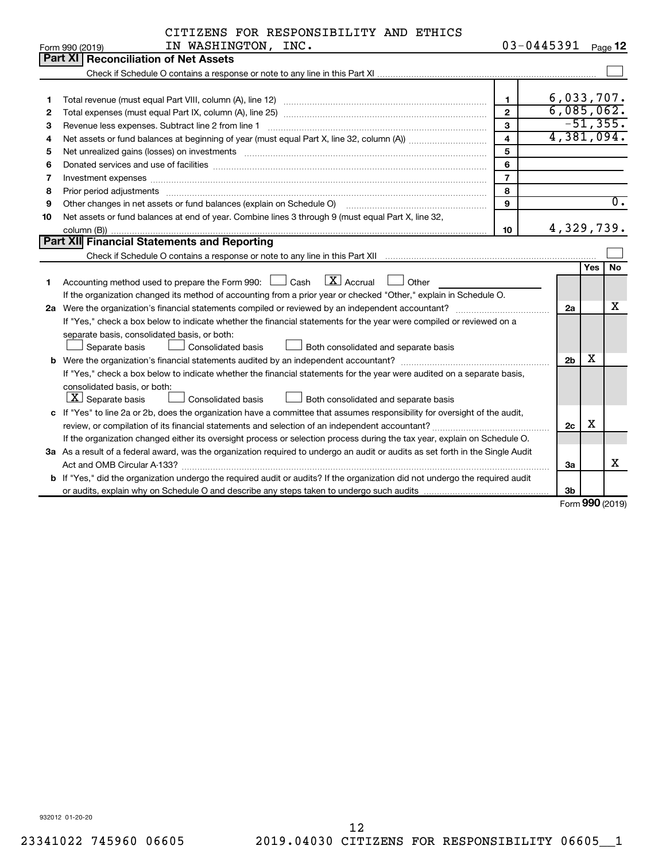|  |  | CITIZENS FOR RESPONSIBILITY AND ETHICS |  |  |
|--|--|----------------------------------------|--|--|
|--|--|----------------------------------------|--|--|

|    | IN WASHINGTON, INC.<br>Form 990 (2019)                                                                                               | 03-0445391     |                |            | Page 12          |  |  |
|----|--------------------------------------------------------------------------------------------------------------------------------------|----------------|----------------|------------|------------------|--|--|
|    | Part XI Reconciliation of Net Assets                                                                                                 |                |                |            |                  |  |  |
|    |                                                                                                                                      |                |                |            |                  |  |  |
|    |                                                                                                                                      |                |                |            |                  |  |  |
| 1  |                                                                                                                                      | $\mathbf{1}$   | 6,033,707.     |            |                  |  |  |
| 2  |                                                                                                                                      | $\overline{2}$ | 6,085,062.     |            | $-51, 355.$      |  |  |
| З  | $\mathbf{3}$                                                                                                                         |                |                |            |                  |  |  |
| 4  | 4,381,094.<br>$\overline{\mathbf{4}}$                                                                                                |                |                |            |                  |  |  |
| 5  |                                                                                                                                      | 5              |                |            |                  |  |  |
| 6  | Donated services and use of facilities [[111] matter contracts and all the services and use of facilities [[11                       | 6              |                |            |                  |  |  |
| 7  | Investment expenses www.communication.com/www.communication.com/www.communication.com/www.com                                        | $\overline{7}$ |                |            |                  |  |  |
| 8  | Prior period adjustments www.communication.communication.communication.com/news-managements                                          | 8              |                |            |                  |  |  |
| 9  | Other changes in net assets or fund balances (explain on Schedule O)                                                                 | 9              |                |            | $\overline{0}$ . |  |  |
| 10 | Net assets or fund balances at end of year. Combine lines 3 through 9 (must equal Part X, line 32,                                   |                |                |            |                  |  |  |
|    |                                                                                                                                      | 10             | 4,329,739.     |            |                  |  |  |
|    | <b>Part XII</b> Financial Statements and Reporting                                                                                   |                |                |            |                  |  |  |
|    |                                                                                                                                      |                |                |            |                  |  |  |
|    |                                                                                                                                      |                |                | <b>Yes</b> | No               |  |  |
| 1  | Accounting method used to prepare the Form 990: $\Box$ Cash $\Box$ Accrual $\Box$ Other                                              |                |                |            |                  |  |  |
|    | If the organization changed its method of accounting from a prior year or checked "Other," explain in Schedule O.                    |                |                |            |                  |  |  |
|    |                                                                                                                                      |                | 2a             |            | х                |  |  |
|    | If "Yes," check a box below to indicate whether the financial statements for the year were compiled or reviewed on a                 |                |                |            |                  |  |  |
|    | separate basis, consolidated basis, or both:                                                                                         |                |                |            |                  |  |  |
|    | Separate basis<br>Consolidated basis<br>Both consolidated and separate basis                                                         |                |                |            |                  |  |  |
|    |                                                                                                                                      |                | 2 <sub>b</sub> | х          |                  |  |  |
|    | If "Yes," check a box below to indicate whether the financial statements for the year were audited on a separate basis,              |                |                |            |                  |  |  |
|    | consolidated basis, or both:                                                                                                         |                |                |            |                  |  |  |
|    | $ \mathbf{X} $ Separate basis<br>Consolidated basis<br>Both consolidated and separate basis                                          |                |                |            |                  |  |  |
|    | c If "Yes" to line 2a or 2b, does the organization have a committee that assumes responsibility for oversight of the audit,          |                |                |            |                  |  |  |
|    |                                                                                                                                      |                |                |            |                  |  |  |
|    | If the organization changed either its oversight process or selection process during the tax year, explain on Schedule O.            |                |                |            |                  |  |  |
|    | 3a As a result of a federal award, was the organization required to undergo an audit or audits as set forth in the Single Audit      |                |                |            |                  |  |  |
|    |                                                                                                                                      |                | За             |            | x                |  |  |
|    | <b>b</b> If "Yes," did the organization undergo the required audit or audits? If the organization did not undergo the required audit |                |                |            |                  |  |  |
|    |                                                                                                                                      |                | 3b             |            |                  |  |  |

Form (2019) **990**

932012 01-20-20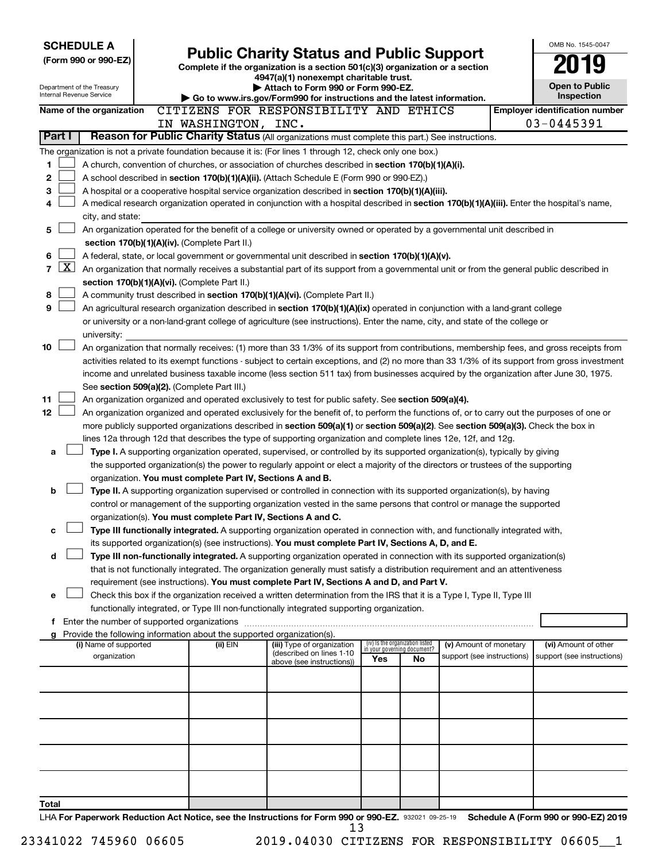| <b>SCHEDULE A</b><br><b>Public Charity Status and Public Support</b>                                                                      |                                                                                                                                                                                                                                                 |                                                                        |                                                                                                                                               |     |                                                                |                                                      | OMB No. 1545-0047 |                                                    |  |
|-------------------------------------------------------------------------------------------------------------------------------------------|-------------------------------------------------------------------------------------------------------------------------------------------------------------------------------------------------------------------------------------------------|------------------------------------------------------------------------|-----------------------------------------------------------------------------------------------------------------------------------------------|-----|----------------------------------------------------------------|------------------------------------------------------|-------------------|----------------------------------------------------|--|
| (Form 990 or 990-EZ)                                                                                                                      |                                                                                                                                                                                                                                                 |                                                                        | Complete if the organization is a section 501(c)(3) organization or a section                                                                 |     |                                                                |                                                      |                   |                                                    |  |
|                                                                                                                                           |                                                                                                                                                                                                                                                 |                                                                        | 4947(a)(1) nonexempt charitable trust.                                                                                                        |     |                                                                |                                                      |                   |                                                    |  |
| Department of the Treasury<br>Internal Revenue Service                                                                                    |                                                                                                                                                                                                                                                 |                                                                        | Attach to Form 990 or Form 990-EZ.                                                                                                            |     |                                                                |                                                      |                   | <b>Open to Public</b>                              |  |
|                                                                                                                                           |                                                                                                                                                                                                                                                 |                                                                        | Go to www.irs.gov/Form990 for instructions and the latest information.                                                                        |     |                                                                |                                                      |                   | Inspection                                         |  |
| Name of the organization                                                                                                                  |                                                                                                                                                                                                                                                 |                                                                        | CITIZENS FOR RESPONSIBILITY AND ETHICS                                                                                                        |     |                                                                |                                                      |                   | <b>Employer identification number</b>              |  |
|                                                                                                                                           |                                                                                                                                                                                                                                                 | IN WASHINGTON, INC.                                                    |                                                                                                                                               |     |                                                                |                                                      |                   | 03-0445391                                         |  |
| Part I                                                                                                                                    |                                                                                                                                                                                                                                                 |                                                                        | Reason for Public Charity Status (All organizations must complete this part.) See instructions.                                               |     |                                                                |                                                      |                   |                                                    |  |
| The organization is not a private foundation because it is: (For lines 1 through 12, check only one box.)                                 |                                                                                                                                                                                                                                                 |                                                                        |                                                                                                                                               |     |                                                                |                                                      |                   |                                                    |  |
| 1                                                                                                                                         |                                                                                                                                                                                                                                                 |                                                                        | A church, convention of churches, or association of churches described in section 170(b)(1)(A)(i).                                            |     |                                                                |                                                      |                   |                                                    |  |
| 2                                                                                                                                         | A school described in section 170(b)(1)(A)(ii). (Attach Schedule E (Form 990 or 990-EZ).)                                                                                                                                                       |                                                                        |                                                                                                                                               |     |                                                                |                                                      |                   |                                                    |  |
| 3                                                                                                                                         | A hospital or a cooperative hospital service organization described in section 170(b)(1)(A)(iii).<br>A medical research organization operated in conjunction with a hospital described in section 170(b)(1)(A)(iii). Enter the hospital's name, |                                                                        |                                                                                                                                               |     |                                                                |                                                      |                   |                                                    |  |
| 4<br>city, and state:                                                                                                                     |                                                                                                                                                                                                                                                 |                                                                        |                                                                                                                                               |     |                                                                |                                                      |                   |                                                    |  |
| 5                                                                                                                                         |                                                                                                                                                                                                                                                 |                                                                        | An organization operated for the benefit of a college or university owned or operated by a governmental unit described in                     |     |                                                                |                                                      |                   |                                                    |  |
|                                                                                                                                           |                                                                                                                                                                                                                                                 | section 170(b)(1)(A)(iv). (Complete Part II.)                          |                                                                                                                                               |     |                                                                |                                                      |                   |                                                    |  |
| 6                                                                                                                                         |                                                                                                                                                                                                                                                 |                                                                        | A federal, state, or local government or governmental unit described in section 170(b)(1)(A)(v).                                              |     |                                                                |                                                      |                   |                                                    |  |
| $\mathbf{X}$<br>$\overline{7}$                                                                                                            |                                                                                                                                                                                                                                                 |                                                                        | An organization that normally receives a substantial part of its support from a governmental unit or from the general public described in     |     |                                                                |                                                      |                   |                                                    |  |
|                                                                                                                                           |                                                                                                                                                                                                                                                 | section 170(b)(1)(A)(vi). (Complete Part II.)                          |                                                                                                                                               |     |                                                                |                                                      |                   |                                                    |  |
| 8                                                                                                                                         |                                                                                                                                                                                                                                                 |                                                                        | A community trust described in section 170(b)(1)(A)(vi). (Complete Part II.)                                                                  |     |                                                                |                                                      |                   |                                                    |  |
| 9                                                                                                                                         |                                                                                                                                                                                                                                                 |                                                                        | An agricultural research organization described in section 170(b)(1)(A)(ix) operated in conjunction with a land-grant college                 |     |                                                                |                                                      |                   |                                                    |  |
|                                                                                                                                           |                                                                                                                                                                                                                                                 |                                                                        | or university or a non-land-grant college of agriculture (see instructions). Enter the name, city, and state of the college or                |     |                                                                |                                                      |                   |                                                    |  |
| university:                                                                                                                               |                                                                                                                                                                                                                                                 |                                                                        |                                                                                                                                               |     |                                                                |                                                      |                   |                                                    |  |
| 10                                                                                                                                        |                                                                                                                                                                                                                                                 |                                                                        | An organization that normally receives: (1) more than 33 1/3% of its support from contributions, membership fees, and gross receipts from     |     |                                                                |                                                      |                   |                                                    |  |
|                                                                                                                                           |                                                                                                                                                                                                                                                 |                                                                        | activities related to its exempt functions - subject to certain exceptions, and (2) no more than 33 1/3% of its support from gross investment |     |                                                                |                                                      |                   |                                                    |  |
|                                                                                                                                           |                                                                                                                                                                                                                                                 |                                                                        | income and unrelated business taxable income (less section 511 tax) from businesses acquired by the organization after June 30, 1975.         |     |                                                                |                                                      |                   |                                                    |  |
|                                                                                                                                           |                                                                                                                                                                                                                                                 | See section 509(a)(2). (Complete Part III.)                            |                                                                                                                                               |     |                                                                |                                                      |                   |                                                    |  |
| 11                                                                                                                                        |                                                                                                                                                                                                                                                 |                                                                        | An organization organized and operated exclusively to test for public safety. See section 509(a)(4).                                          |     |                                                                |                                                      |                   |                                                    |  |
| 12 <sub>2</sub>                                                                                                                           |                                                                                                                                                                                                                                                 |                                                                        | An organization organized and operated exclusively for the benefit of, to perform the functions of, or to carry out the purposes of one or    |     |                                                                |                                                      |                   |                                                    |  |
|                                                                                                                                           |                                                                                                                                                                                                                                                 |                                                                        | more publicly supported organizations described in section 509(a)(1) or section 509(a)(2). See section 509(a)(3). Check the box in            |     |                                                                |                                                      |                   |                                                    |  |
|                                                                                                                                           |                                                                                                                                                                                                                                                 |                                                                        | lines 12a through 12d that describes the type of supporting organization and complete lines 12e, 12f, and 12g.                                |     |                                                                |                                                      |                   |                                                    |  |
| a                                                                                                                                         |                                                                                                                                                                                                                                                 |                                                                        | Type I. A supporting organization operated, supervised, or controlled by its supported organization(s), typically by giving                   |     |                                                                |                                                      |                   |                                                    |  |
|                                                                                                                                           |                                                                                                                                                                                                                                                 | organization. You must complete Part IV, Sections A and B.             | the supported organization(s) the power to regularly appoint or elect a majority of the directors or trustees of the supporting               |     |                                                                |                                                      |                   |                                                    |  |
| b                                                                                                                                         |                                                                                                                                                                                                                                                 |                                                                        | Type II. A supporting organization supervised or controlled in connection with its supported organization(s), by having                       |     |                                                                |                                                      |                   |                                                    |  |
|                                                                                                                                           |                                                                                                                                                                                                                                                 |                                                                        | control or management of the supporting organization vested in the same persons that control or manage the supported                          |     |                                                                |                                                      |                   |                                                    |  |
|                                                                                                                                           |                                                                                                                                                                                                                                                 | organization(s). You must complete Part IV, Sections A and C.          |                                                                                                                                               |     |                                                                |                                                      |                   |                                                    |  |
|                                                                                                                                           |                                                                                                                                                                                                                                                 |                                                                        | Type III functionally integrated. A supporting organization operated in connection with, and functionally integrated with,                    |     |                                                                |                                                      |                   |                                                    |  |
|                                                                                                                                           |                                                                                                                                                                                                                                                 |                                                                        | its supported organization(s) (see instructions). You must complete Part IV, Sections A, D, and E.                                            |     |                                                                |                                                      |                   |                                                    |  |
| d                                                                                                                                         |                                                                                                                                                                                                                                                 |                                                                        | Type III non-functionally integrated. A supporting organization operated in connection with its supported organization(s)                     |     |                                                                |                                                      |                   |                                                    |  |
|                                                                                                                                           |                                                                                                                                                                                                                                                 |                                                                        | that is not functionally integrated. The organization generally must satisfy a distribution requirement and an attentiveness                  |     |                                                                |                                                      |                   |                                                    |  |
|                                                                                                                                           |                                                                                                                                                                                                                                                 |                                                                        | requirement (see instructions). You must complete Part IV, Sections A and D, and Part V.                                                      |     |                                                                |                                                      |                   |                                                    |  |
| е                                                                                                                                         |                                                                                                                                                                                                                                                 |                                                                        | Check this box if the organization received a written determination from the IRS that it is a Type I, Type II, Type III                       |     |                                                                |                                                      |                   |                                                    |  |
|                                                                                                                                           |                                                                                                                                                                                                                                                 |                                                                        | functionally integrated, or Type III non-functionally integrated supporting organization.                                                     |     |                                                                |                                                      |                   |                                                    |  |
| f Enter the number of supported organizations                                                                                             |                                                                                                                                                                                                                                                 |                                                                        |                                                                                                                                               |     |                                                                |                                                      |                   |                                                    |  |
|                                                                                                                                           |                                                                                                                                                                                                                                                 | Provide the following information about the supported organization(s). |                                                                                                                                               |     |                                                                |                                                      |                   |                                                    |  |
| (i) Name of supported<br>organization                                                                                                     |                                                                                                                                                                                                                                                 | (ii) EIN                                                               | (iii) Type of organization<br>(described on lines 1-10                                                                                        |     | (iv) Is the organization listed<br>in your governing document? | (v) Amount of monetary<br>support (see instructions) |                   | (vi) Amount of other<br>support (see instructions) |  |
|                                                                                                                                           |                                                                                                                                                                                                                                                 |                                                                        | above (see instructions))                                                                                                                     | Yes | No                                                             |                                                      |                   |                                                    |  |
|                                                                                                                                           |                                                                                                                                                                                                                                                 |                                                                        |                                                                                                                                               |     |                                                                |                                                      |                   |                                                    |  |
|                                                                                                                                           |                                                                                                                                                                                                                                                 |                                                                        |                                                                                                                                               |     |                                                                |                                                      |                   |                                                    |  |
|                                                                                                                                           |                                                                                                                                                                                                                                                 |                                                                        |                                                                                                                                               |     |                                                                |                                                      |                   |                                                    |  |
|                                                                                                                                           |                                                                                                                                                                                                                                                 |                                                                        |                                                                                                                                               |     |                                                                |                                                      |                   |                                                    |  |
|                                                                                                                                           |                                                                                                                                                                                                                                                 |                                                                        |                                                                                                                                               |     |                                                                |                                                      |                   |                                                    |  |
|                                                                                                                                           |                                                                                                                                                                                                                                                 |                                                                        |                                                                                                                                               |     |                                                                |                                                      |                   |                                                    |  |
|                                                                                                                                           |                                                                                                                                                                                                                                                 |                                                                        |                                                                                                                                               |     |                                                                |                                                      |                   |                                                    |  |
|                                                                                                                                           |                                                                                                                                                                                                                                                 |                                                                        |                                                                                                                                               |     |                                                                |                                                      |                   |                                                    |  |
|                                                                                                                                           |                                                                                                                                                                                                                                                 |                                                                        |                                                                                                                                               |     |                                                                |                                                      |                   |                                                    |  |
| Total                                                                                                                                     |                                                                                                                                                                                                                                                 |                                                                        |                                                                                                                                               |     |                                                                |                                                      |                   |                                                    |  |
| LHA For Paperwork Reduction Act Notice, see the Instructions for Form 990 or 990-FZ, 932021 09-25-19 Schedule A (Form 990 or 990-FZ) 2019 |                                                                                                                                                                                                                                                 |                                                                        |                                                                                                                                               |     |                                                                |                                                      |                   |                                                    |  |

932021 09-25-19 **For Paperwork Reduction Act Notice, see the Instructions for Form 990 or 990-EZ. Schedule A (Form 990 or 990-EZ) 2019** LHA  $\overline{13}$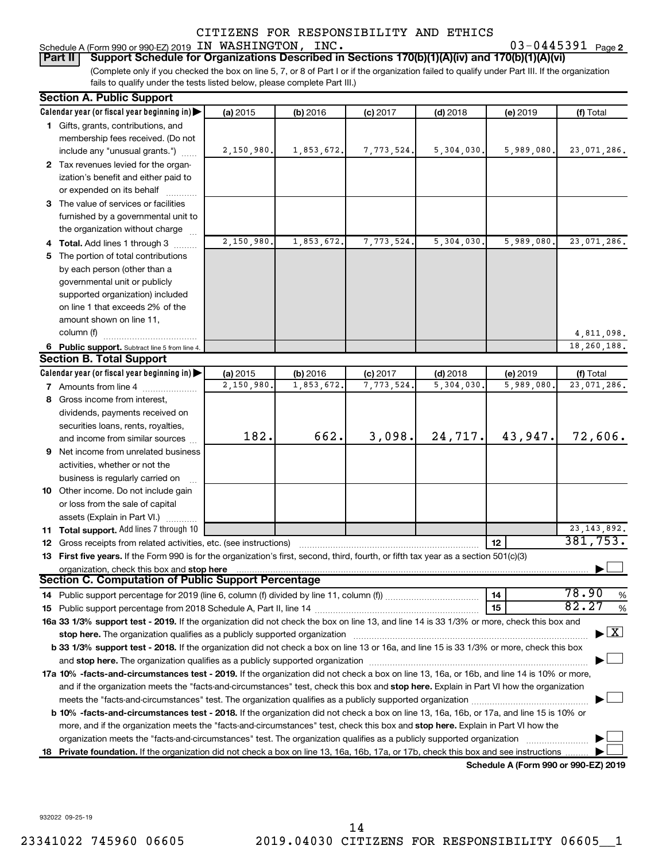#### Schedule A (Form 990 or 990-EZ) 2019 IN WASHINGTON, INC.  $03-0445391$  Page

03-0445391 Page 2

(Complete only if you checked the box on line 5, 7, or 8 of Part I or if the organization failed to qualify under Part III. If the organization **Part II Support Schedule for Organizations Described in Sections 170(b)(1)(A)(iv) and 170(b)(1)(A)(vi)**

fails to qualify under the tests listed below, please complete Part III.)

|    | <b>Section A. Public Support</b>                                                                                                                                                                                              |            |            |            |            |                                      |                                    |
|----|-------------------------------------------------------------------------------------------------------------------------------------------------------------------------------------------------------------------------------|------------|------------|------------|------------|--------------------------------------|------------------------------------|
|    | Calendar year (or fiscal year beginning in)                                                                                                                                                                                   | (a) 2015   | (b) 2016   | $(c)$ 2017 | $(d)$ 2018 | (e) 2019                             | (f) Total                          |
|    | 1 Gifts, grants, contributions, and                                                                                                                                                                                           |            |            |            |            |                                      |                                    |
|    | membership fees received. (Do not                                                                                                                                                                                             |            |            |            |            |                                      |                                    |
|    | include any "unusual grants.")                                                                                                                                                                                                | 2,150,980. | 1,853,672. | 7,773,524. | 5,304,030. | 5,989,080.                           | 23,071,286.                        |
|    | 2 Tax revenues levied for the organ-                                                                                                                                                                                          |            |            |            |            |                                      |                                    |
|    | ization's benefit and either paid to                                                                                                                                                                                          |            |            |            |            |                                      |                                    |
|    | or expended on its behalf                                                                                                                                                                                                     |            |            |            |            |                                      |                                    |
|    | 3 The value of services or facilities                                                                                                                                                                                         |            |            |            |            |                                      |                                    |
|    | furnished by a governmental unit to                                                                                                                                                                                           |            |            |            |            |                                      |                                    |
|    | the organization without charge                                                                                                                                                                                               |            |            |            |            |                                      |                                    |
|    | 4 Total. Add lines 1 through 3                                                                                                                                                                                                | 2,150,980. | 1,853,672. | 7,773,524. | 5,304,030. | 5,989,080.                           | 23,071,286.                        |
|    | 5 The portion of total contributions                                                                                                                                                                                          |            |            |            |            |                                      |                                    |
|    | by each person (other than a                                                                                                                                                                                                  |            |            |            |            |                                      |                                    |
|    | governmental unit or publicly                                                                                                                                                                                                 |            |            |            |            |                                      |                                    |
|    | supported organization) included                                                                                                                                                                                              |            |            |            |            |                                      |                                    |
|    | on line 1 that exceeds 2% of the                                                                                                                                                                                              |            |            |            |            |                                      |                                    |
|    | amount shown on line 11,                                                                                                                                                                                                      |            |            |            |            |                                      |                                    |
|    | column (f)                                                                                                                                                                                                                    |            |            |            |            |                                      | 4,811,098.                         |
|    | 6 Public support. Subtract line 5 from line 4.                                                                                                                                                                                |            |            |            |            |                                      | 18, 260, 188.                      |
|    | <b>Section B. Total Support</b>                                                                                                                                                                                               |            |            |            |            |                                      |                                    |
|    | Calendar year (or fiscal year beginning in)                                                                                                                                                                                   | (a) 2015   | (b) 2016   | $(c)$ 2017 | $(d)$ 2018 | (e) 2019                             | (f) Total                          |
|    | <b>7</b> Amounts from line 4                                                                                                                                                                                                  | 2,150,980. | 1,853,672. | 7,773,524  | 5,304,030  | 5,989,080                            | 23,071,286.                        |
|    | 8 Gross income from interest,                                                                                                                                                                                                 |            |            |            |            |                                      |                                    |
|    | dividends, payments received on                                                                                                                                                                                               |            |            |            |            |                                      |                                    |
|    | securities loans, rents, royalties,                                                                                                                                                                                           |            |            |            |            |                                      |                                    |
|    | and income from similar sources                                                                                                                                                                                               | 182.       | 662.       | 3,098.     | 24,717.    | 43,947.                              | 72,606.                            |
| 9. | Net income from unrelated business                                                                                                                                                                                            |            |            |            |            |                                      |                                    |
|    | activities, whether or not the                                                                                                                                                                                                |            |            |            |            |                                      |                                    |
|    | business is regularly carried on                                                                                                                                                                                              |            |            |            |            |                                      |                                    |
|    | 10 Other income. Do not include gain                                                                                                                                                                                          |            |            |            |            |                                      |                                    |
|    | or loss from the sale of capital                                                                                                                                                                                              |            |            |            |            |                                      |                                    |
|    | assets (Explain in Part VI.)                                                                                                                                                                                                  |            |            |            |            |                                      |                                    |
|    | 11 Total support. Add lines 7 through 10                                                                                                                                                                                      |            |            |            |            |                                      | 23, 143, 892.                      |
|    | 12 Gross receipts from related activities, etc. (see instructions)                                                                                                                                                            |            |            |            |            | 12                                   | 381,753.                           |
|    | 13 First five years. If the Form 990 is for the organization's first, second, third, fourth, or fifth tax year as a section 501(c)(3)                                                                                         |            |            |            |            |                                      |                                    |
|    | organization, check this box and stop here<br>Section C. Computation of Public Support Percentage                                                                                                                             |            |            |            |            |                                      |                                    |
|    |                                                                                                                                                                                                                               |            |            |            |            | 14                                   | 78.90<br>%                         |
|    |                                                                                                                                                                                                                               |            |            |            |            | 15                                   | 82.27<br>$\%$                      |
|    | 16a 33 1/3% support test - 2019. If the organization did not check the box on line 13, and line 14 is 33 1/3% or more, check this box and                                                                                     |            |            |            |            |                                      |                                    |
|    | stop here. The organization qualifies as a publicly supported organization manufaction manufacture or the organization manufacture or the organization manufacture or the organization of the state of the state of the state |            |            |            |            |                                      | $\blacktriangleright$ $\mathbf{X}$ |
|    | b 33 1/3% support test - 2018. If the organization did not check a box on line 13 or 16a, and line 15 is 33 1/3% or more, check this box                                                                                      |            |            |            |            |                                      |                                    |
|    |                                                                                                                                                                                                                               |            |            |            |            |                                      |                                    |
|    | 17a 10% -facts-and-circumstances test - 2019. If the organization did not check a box on line 13, 16a, or 16b, and line 14 is 10% or more,                                                                                    |            |            |            |            |                                      |                                    |
|    | and if the organization meets the "facts-and-circumstances" test, check this box and stop here. Explain in Part VI how the organization                                                                                       |            |            |            |            |                                      |                                    |
|    | meets the "facts-and-circumstances" test. The organization qualifies as a publicly supported organization <i></i>                                                                                                             |            |            |            |            |                                      |                                    |
|    | b 10% -facts-and-circumstances test - 2018. If the organization did not check a box on line 13, 16a, 16b, or 17a, and line 15 is 10% or                                                                                       |            |            |            |            |                                      |                                    |
|    | more, and if the organization meets the "facts-and-circumstances" test, check this box and stop here. Explain in Part VI how the                                                                                              |            |            |            |            |                                      |                                    |
|    | organization meets the "facts-and-circumstances" test. The organization qualifies as a publicly supported organization                                                                                                        |            |            |            |            |                                      |                                    |
|    | 18 Private foundation. If the organization did not check a box on line 13, 16a, 16b, 17a, or 17b, check this box and see instructions                                                                                         |            |            |            |            |                                      |                                    |
|    |                                                                                                                                                                                                                               |            |            |            |            | Schedule A (Form 990 or 990-EZ) 2019 |                                    |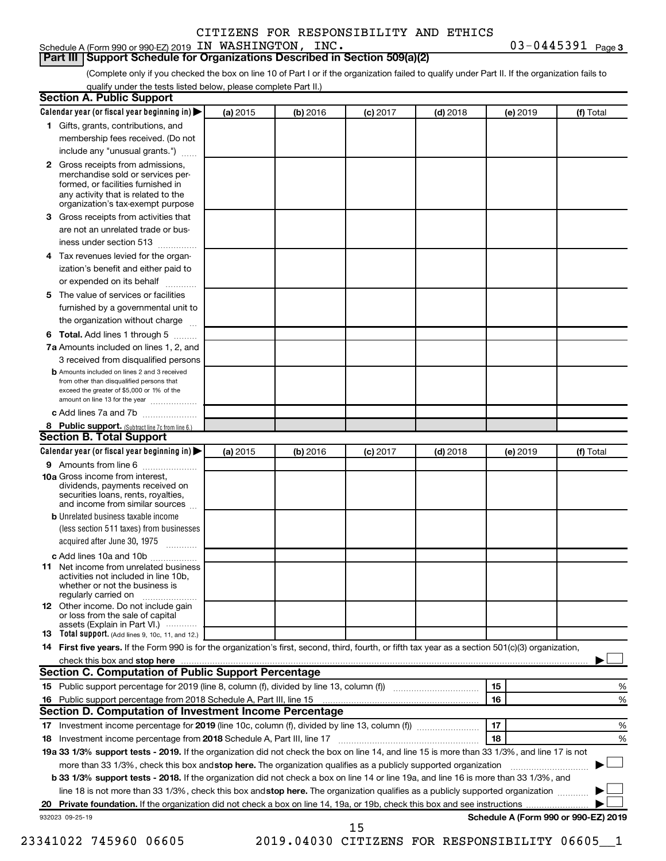## Schedule A (Form 990 or 990-EZ) 2019 IN WASHINGTON, INC.  $03-0445391$  Page

03-0445391 Page 3

(Complete only if you checked the box on line 10 of Part I or if the organization failed to qualify under Part II. If the organization fails to **Part III Support Schedule for Organizations Described in Section 509(a)(2)** 

qualify under the tests listed below, please complete Part II.)

|    | Calendar year (or fiscal year beginning in)                                                                                                                                                                                                                              | (a) 2015 | (b) 2016 | $(c)$ 2017 | $(d)$ 2018                                   | (e) 2019 | (f) Total                            |   |
|----|--------------------------------------------------------------------------------------------------------------------------------------------------------------------------------------------------------------------------------------------------------------------------|----------|----------|------------|----------------------------------------------|----------|--------------------------------------|---|
|    | 1 Gifts, grants, contributions, and                                                                                                                                                                                                                                      |          |          |            |                                              |          |                                      |   |
|    | membership fees received. (Do not                                                                                                                                                                                                                                        |          |          |            |                                              |          |                                      |   |
|    | include any "unusual grants.")                                                                                                                                                                                                                                           |          |          |            |                                              |          |                                      |   |
|    | 2 Gross receipts from admissions,<br>merchandise sold or services per-<br>formed, or facilities furnished in<br>any activity that is related to the                                                                                                                      |          |          |            |                                              |          |                                      |   |
|    | organization's tax-exempt purpose                                                                                                                                                                                                                                        |          |          |            |                                              |          |                                      |   |
| 3. | Gross receipts from activities that                                                                                                                                                                                                                                      |          |          |            |                                              |          |                                      |   |
|    | are not an unrelated trade or bus-<br>iness under section 513                                                                                                                                                                                                            |          |          |            |                                              |          |                                      |   |
| 4  | Tax revenues levied for the organ-                                                                                                                                                                                                                                       |          |          |            |                                              |          |                                      |   |
|    | ization's benefit and either paid to<br>or expended on its behalf<br>.                                                                                                                                                                                                   |          |          |            |                                              |          |                                      |   |
| 5. | The value of services or facilities                                                                                                                                                                                                                                      |          |          |            |                                              |          |                                      |   |
|    | furnished by a governmental unit to<br>the organization without charge                                                                                                                                                                                                   |          |          |            |                                              |          |                                      |   |
| 6  | Total. Add lines 1 through 5                                                                                                                                                                                                                                             |          |          |            |                                              |          |                                      |   |
|    | 7a Amounts included on lines 1, 2, and                                                                                                                                                                                                                                   |          |          |            |                                              |          |                                      |   |
|    | 3 received from disqualified persons                                                                                                                                                                                                                                     |          |          |            |                                              |          |                                      |   |
|    | <b>b</b> Amounts included on lines 2 and 3 received                                                                                                                                                                                                                      |          |          |            |                                              |          |                                      |   |
|    | from other than disqualified persons that<br>exceed the greater of \$5,000 or 1% of the<br>amount on line 13 for the year                                                                                                                                                |          |          |            |                                              |          |                                      |   |
|    | c Add lines 7a and 7b                                                                                                                                                                                                                                                    |          |          |            |                                              |          |                                      |   |
|    | 8 Public support. (Subtract line 7c from line 6.)                                                                                                                                                                                                                        |          |          |            |                                              |          |                                      |   |
|    | <b>Section B. Total Support</b>                                                                                                                                                                                                                                          |          |          |            |                                              |          |                                      |   |
|    | Calendar year (or fiscal year beginning in)                                                                                                                                                                                                                              | (a) 2015 | (b) 2016 | $(c)$ 2017 | $(d)$ 2018                                   | (e) 2019 | (f) Total                            |   |
|    | <b>9</b> Amounts from line 6                                                                                                                                                                                                                                             |          |          |            |                                              |          |                                      |   |
|    | <b>10a</b> Gross income from interest,<br>dividends, payments received on<br>securities loans, rents, royalties,<br>and income from similar sources                                                                                                                      |          |          |            |                                              |          |                                      |   |
|    | <b>b</b> Unrelated business taxable income                                                                                                                                                                                                                               |          |          |            |                                              |          |                                      |   |
|    | (less section 511 taxes) from businesses<br>acquired after June 30, 1975 [[11, 11, 11, 11]                                                                                                                                                                               |          |          |            |                                              |          |                                      |   |
|    | c Add lines 10a and 10b                                                                                                                                                                                                                                                  |          |          |            |                                              |          |                                      |   |
| 11 | Net income from unrelated business<br>activities not included in line 10b.<br>whether or not the business is<br>regularly carried on                                                                                                                                     |          |          |            |                                              |          |                                      |   |
|    | <b>12</b> Other income. Do not include gain<br>or loss from the sale of capital<br>assets (Explain in Part VI.)                                                                                                                                                          |          |          |            |                                              |          |                                      |   |
|    | <b>13</b> Total support. (Add lines 9, 10c, 11, and 12.)                                                                                                                                                                                                                 |          |          |            |                                              |          |                                      |   |
|    | 14 First five years. If the Form 990 is for the organization's first, second, third, fourth, or fifth tax year as a section 501(c)(3) organization,                                                                                                                      |          |          |            |                                              |          |                                      |   |
|    |                                                                                                                                                                                                                                                                          |          |          |            |                                              |          |                                      |   |
|    | <b>Section C. Computation of Public Support Percentage</b>                                                                                                                                                                                                               |          |          |            |                                              |          |                                      |   |
|    |                                                                                                                                                                                                                                                                          |          |          |            |                                              | 15       |                                      | % |
|    |                                                                                                                                                                                                                                                                          |          |          |            |                                              | 16       |                                      | % |
|    | Section D. Computation of Investment Income Percentage                                                                                                                                                                                                                   |          |          |            |                                              |          |                                      |   |
|    |                                                                                                                                                                                                                                                                          |          |          |            |                                              | 17       |                                      | % |
|    | 18 Investment income percentage from 2018 Schedule A, Part III, line 17                                                                                                                                                                                                  |          |          |            |                                              | 18       |                                      | % |
|    | 19a 33 1/3% support tests - 2019. If the organization did not check the box on line 14, and line 15 is more than 33 1/3%, and line 17 is not                                                                                                                             |          |          |            |                                              |          |                                      |   |
|    | more than 33 1/3%, check this box and stop here. The organization qualifies as a publicly supported organization                                                                                                                                                         |          |          |            |                                              |          |                                      |   |
|    | b 33 1/3% support tests - 2018. If the organization did not check a box on line 14 or line 19a, and line 16 is more than 33 1/3%, and<br>line 18 is not more than 33 1/3%, check this box and stop here. The organization qualifies as a publicly supported organization |          |          |            |                                              |          |                                      |   |
|    |                                                                                                                                                                                                                                                                          |          |          |            |                                              |          |                                      |   |
|    | 932023 09-25-19                                                                                                                                                                                                                                                          |          |          |            |                                              |          | Schedule A (Form 990 or 990-EZ) 2019 |   |
|    |                                                                                                                                                                                                                                                                          |          |          | 15         |                                              |          |                                      |   |
|    | 23341022 745960 06605                                                                                                                                                                                                                                                    |          |          |            | 2019.04030 CITIZENS FOR RESPONSIBILITY 06605 |          |                                      |   |
|    |                                                                                                                                                                                                                                                                          |          |          |            |                                              |          |                                      |   |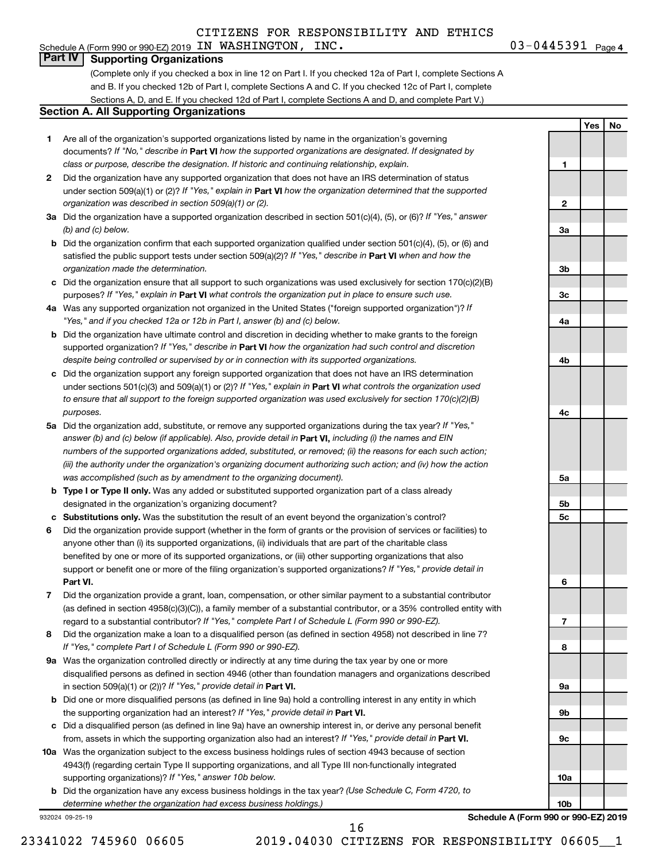Schedule A (Form 990 or 990-EZ) 2019 IN WASHINGTON, INC.  $03-0445391$  Page

03-0445391 Page 4

**1**

**Yes No**

#### **Part IV Supporting Organizations**

(Complete only if you checked a box in line 12 on Part I. If you checked 12a of Part I, complete Sections A and B. If you checked 12b of Part I, complete Sections A and C. If you checked 12c of Part I, complete Sections A, D, and E. If you checked 12d of Part I, complete Sections A and D, and complete Part V.)

#### **Section A. All Supporting Organizations**

- **1** Are all of the organization's supported organizations listed by name in the organization's governing documents? If "No," describe in Part VI how the supported organizations are designated. If designated by *class or purpose, describe the designation. If historic and continuing relationship, explain.*
- **2** Did the organization have any supported organization that does not have an IRS determination of status under section 509(a)(1) or (2)? If "Yes," explain in Part **VI** how the organization determined that the supported *organization was described in section 509(a)(1) or (2).*
- **3a** Did the organization have a supported organization described in section 501(c)(4), (5), or (6)? If "Yes," answer *(b) and (c) below.*
- **b** Did the organization confirm that each supported organization qualified under section 501(c)(4), (5), or (6) and satisfied the public support tests under section 509(a)(2)? If "Yes," describe in Part VI when and how the *organization made the determination.*
- **c** Did the organization ensure that all support to such organizations was used exclusively for section 170(c)(2)(B) purposes? If "Yes," explain in Part VI what controls the organization put in place to ensure such use.
- **4 a** *If* Was any supported organization not organized in the United States ("foreign supported organization")? *"Yes," and if you checked 12a or 12b in Part I, answer (b) and (c) below.*
- **b** Did the organization have ultimate control and discretion in deciding whether to make grants to the foreign supported organization? If "Yes," describe in Part VI how the organization had such control and discretion *despite being controlled or supervised by or in connection with its supported organizations.*
- **c** Did the organization support any foreign supported organization that does not have an IRS determination under sections 501(c)(3) and 509(a)(1) or (2)? If "Yes," explain in Part VI what controls the organization used *to ensure that all support to the foreign supported organization was used exclusively for section 170(c)(2)(B) purposes.*
- **5a** Did the organization add, substitute, or remove any supported organizations during the tax year? If "Yes," answer (b) and (c) below (if applicable). Also, provide detail in **Part VI,** including (i) the names and EIN *numbers of the supported organizations added, substituted, or removed; (ii) the reasons for each such action; (iii) the authority under the organization's organizing document authorizing such action; and (iv) how the action was accomplished (such as by amendment to the organizing document).*
- **b Type I or Type II only.** Was any added or substituted supported organization part of a class already designated in the organization's organizing document?
- **c Substitutions only.**  Was the substitution the result of an event beyond the organization's control?
- **6** Did the organization provide support (whether in the form of grants or the provision of services or facilities) to **Part VI.** support or benefit one or more of the filing organization's supported organizations? If "Yes," provide detail in anyone other than (i) its supported organizations, (ii) individuals that are part of the charitable class benefited by one or more of its supported organizations, or (iii) other supporting organizations that also
- **7** Did the organization provide a grant, loan, compensation, or other similar payment to a substantial contributor regard to a substantial contributor? If "Yes," complete Part I of Schedule L (Form 990 or 990-EZ). (as defined in section 4958(c)(3)(C)), a family member of a substantial contributor, or a 35% controlled entity with
- **8** Did the organization make a loan to a disqualified person (as defined in section 4958) not described in line 7? *If "Yes," complete Part I of Schedule L (Form 990 or 990-EZ).*
- **9 a** Was the organization controlled directly or indirectly at any time during the tax year by one or more in section 509(a)(1) or (2))? If "Yes," provide detail in **Part VI.** disqualified persons as defined in section 4946 (other than foundation managers and organizations described
- **b** Did one or more disqualified persons (as defined in line 9a) hold a controlling interest in any entity in which the supporting organization had an interest? If "Yes," provide detail in Part VI.
- **c** Did a disqualified person (as defined in line 9a) have an ownership interest in, or derive any personal benefit from, assets in which the supporting organization also had an interest? If "Yes," provide detail in Part VI.
- **10 a** Was the organization subject to the excess business holdings rules of section 4943 because of section supporting organizations)? If "Yes," answer 10b below. 4943(f) (regarding certain Type II supporting organizations, and all Type III non-functionally integrated
	- **b** Did the organization have any excess business holdings in the tax year? (Use Schedule C, Form 4720, to *determine whether the organization had excess business holdings.)*

932024 09-25-19

**2 3a 3b 3c 4a 4b 4c 5a 5b 5c 6 7 8 9a 9b 9c 10a**

**Schedule A (Form 990 or 990-EZ) 2019**

**10b**

23341022 745960 06605 2019.04030 CITIZENS FOR RESPONSIBILITY 06605\_\_1

16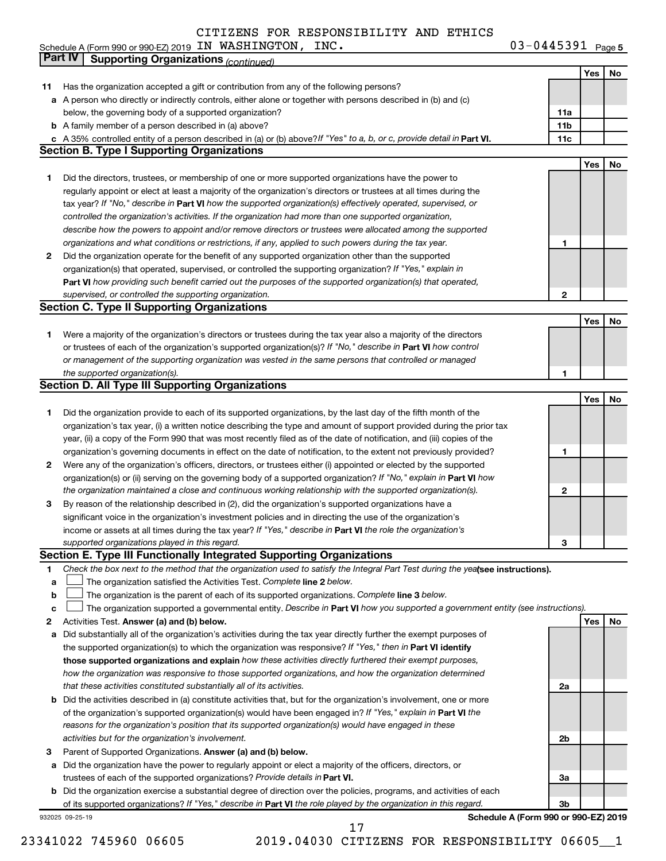Schedule A (Form 990 or 990-EZ) 2019 Page IN WASHINGTON, INC. 03-0445391

03-0445391 Page 5

|    | Part IV<br><b>Supporting Organizations (continued)</b>                                                                          |                 |     |    |
|----|---------------------------------------------------------------------------------------------------------------------------------|-----------------|-----|----|
|    |                                                                                                                                 |                 | Yes | No |
| 11 | Has the organization accepted a gift or contribution from any of the following persons?                                         |                 |     |    |
|    | a A person who directly or indirectly controls, either alone or together with persons described in (b) and (c)                  |                 |     |    |
|    | below, the governing body of a supported organization?                                                                          | 11a             |     |    |
|    | <b>b</b> A family member of a person described in (a) above?                                                                    | 11 <sub>b</sub> |     |    |
|    | c A 35% controlled entity of a person described in (a) or (b) above? If "Yes" to a, b, or c, provide detail in Part VI.         | 11c             |     |    |
|    | <b>Section B. Type I Supporting Organizations</b>                                                                               |                 |     |    |
|    |                                                                                                                                 |                 | Yes | No |
| 1  | Did the directors, trustees, or membership of one or more supported organizations have the power to                             |                 |     |    |
|    | regularly appoint or elect at least a majority of the organization's directors or trustees at all times during the              |                 |     |    |
|    | tax year? If "No," describe in Part VI how the supported organization(s) effectively operated, supervised, or                   |                 |     |    |
|    | controlled the organization's activities. If the organization had more than one supported organization,                         |                 |     |    |
|    | describe how the powers to appoint and/or remove directors or trustees were allocated among the supported                       |                 |     |    |
|    | organizations and what conditions or restrictions, if any, applied to such powers during the tax year.                          | 1               |     |    |
| 2  | Did the organization operate for the benefit of any supported organization other than the supported                             |                 |     |    |
|    | organization(s) that operated, supervised, or controlled the supporting organization? If "Yes," explain in                      |                 |     |    |
|    | Part VI how providing such benefit carried out the purposes of the supported organization(s) that operated,                     |                 |     |    |
|    |                                                                                                                                 |                 |     |    |
|    | supervised, or controlled the supporting organization.                                                                          | 2               |     |    |
|    | <b>Section C. Type II Supporting Organizations</b>                                                                              |                 |     |    |
|    |                                                                                                                                 |                 | Yes | No |
| 1  | Were a majority of the organization's directors or trustees during the tax year also a majority of the directors                |                 |     |    |
|    | or trustees of each of the organization's supported organization(s)? If "No," describe in Part VI how control                   |                 |     |    |
|    | or management of the supporting organization was vested in the same persons that controlled or managed                          |                 |     |    |
|    | the supported organization(s).                                                                                                  | 1               |     |    |
|    | <b>Section D. All Type III Supporting Organizations</b>                                                                         |                 |     |    |
|    |                                                                                                                                 |                 | Yes | No |
| 1  | Did the organization provide to each of its supported organizations, by the last day of the fifth month of the                  |                 |     |    |
|    | organization's tax year, (i) a written notice describing the type and amount of support provided during the prior tax           |                 |     |    |
|    | year, (ii) a copy of the Form 990 that was most recently filed as of the date of notification, and (iii) copies of the          |                 |     |    |
|    | organization's governing documents in effect on the date of notification, to the extent not previously provided?                | 1               |     |    |
| 2  | Were any of the organization's officers, directors, or trustees either (i) appointed or elected by the supported                |                 |     |    |
|    | organization(s) or (ii) serving on the governing body of a supported organization? If "No," explain in Part VI how              |                 |     |    |
|    | the organization maintained a close and continuous working relationship with the supported organization(s).                     | $\mathbf{2}$    |     |    |
| 3  | By reason of the relationship described in (2), did the organization's supported organizations have a                           |                 |     |    |
|    | significant voice in the organization's investment policies and in directing the use of the organization's                      |                 |     |    |
|    | income or assets at all times during the tax year? If "Yes," describe in Part VI the role the organization's                    |                 |     |    |
|    | supported organizations played in this regard.                                                                                  | з               |     |    |
|    | Section E. Type III Functionally Integrated Supporting Organizations                                                            |                 |     |    |
| 1  | Check the box next to the method that the organization used to satisfy the Integral Part Test during the yealsee instructions). |                 |     |    |
| a  | The organization satisfied the Activities Test. Complete line 2 below.                                                          |                 |     |    |
| b  | The organization is the parent of each of its supported organizations. Complete line 3 below.                                   |                 |     |    |
| c  | The organization supported a governmental entity. Describe in Part VI how you supported a government entity (see instructions). |                 |     |    |
| 2  | Activities Test. Answer (a) and (b) below.                                                                                      |                 | Yes | No |
| а  | Did substantially all of the organization's activities during the tax year directly further the exempt purposes of              |                 |     |    |
|    | the supported organization(s) to which the organization was responsive? If "Yes," then in Part VI identify                      |                 |     |    |
|    | those supported organizations and explain how these activities directly furthered their exempt purposes,                        |                 |     |    |
|    | how the organization was responsive to those supported organizations, and how the organization determined                       |                 |     |    |
|    | that these activities constituted substantially all of its activities.                                                          | 2a              |     |    |
| b  | Did the activities described in (a) constitute activities that, but for the organization's involvement, one or more             |                 |     |    |
|    | of the organization's supported organization(s) would have been engaged in? If "Yes," explain in Part VI the                    |                 |     |    |
|    | reasons for the organization's position that its supported organization(s) would have engaged in these                          |                 |     |    |
|    | activities but for the organization's involvement.                                                                              | 2b              |     |    |
| З  | Parent of Supported Organizations. Answer (a) and (b) below.                                                                    |                 |     |    |
| а  | Did the organization have the power to regularly appoint or elect a majority of the officers, directors, or                     |                 |     |    |
|    | trustees of each of the supported organizations? Provide details in Part VI.                                                    | За              |     |    |
|    | <b>b</b> Did the organization exercise a substantial degree of direction over the policies, programs, and activities of each    |                 |     |    |
|    | of its supported organizations? If "Yes," describe in Part VI the role played by the organization in this regard.               | Зb              |     |    |
|    | Schedule A (Form 990 or 990-EZ) 2019<br>932025 09-25-19                                                                         |                 |     |    |

23341022 745960 06605 2019.04030 CITIZENS FOR RESPONSIBILITY 06605\_\_1 17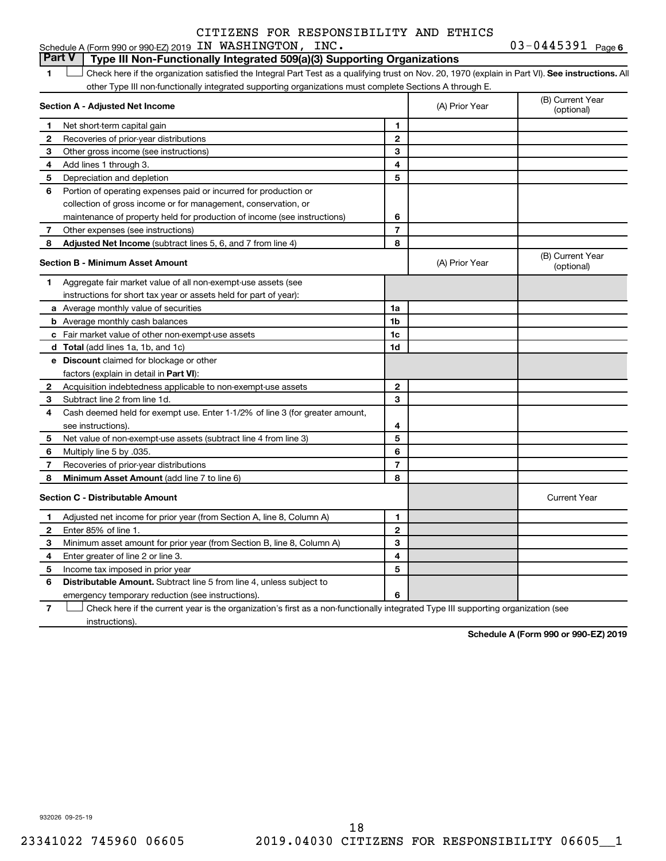### 03-0445391 Page 6 Schedule A (Form 990 or 990-EZ) 2019 IN WASHINGTON, INC.  $03-0445391$  Page **Part V Type III Non-Functionally Integrated 509(a)(3) Supporting Organizations**

1 **Letter See instructions.** All Check here if the organization satisfied the Integral Part Test as a qualifying trust on Nov. 20, 1970 (explain in Part VI). See instructions. All other Type III non-functionally integrated supporting organizations must complete Sections A through E.

|              | Section A - Adjusted Net Income                                              | (A) Prior Year | (B) Current Year<br>(optional) |                                |
|--------------|------------------------------------------------------------------------------|----------------|--------------------------------|--------------------------------|
| 1            | Net short-term capital gain                                                  | 1              |                                |                                |
| 2            | Recoveries of prior-year distributions                                       | $\mathbf{2}$   |                                |                                |
| 3            | Other gross income (see instructions)                                        | 3              |                                |                                |
| 4            | Add lines 1 through 3.                                                       | 4              |                                |                                |
| 5            | Depreciation and depletion                                                   | 5              |                                |                                |
| 6            | Portion of operating expenses paid or incurred for production or             |                |                                |                                |
|              | collection of gross income or for management, conservation, or               |                |                                |                                |
|              | maintenance of property held for production of income (see instructions)     | 6              |                                |                                |
| 7            | Other expenses (see instructions)                                            | $\overline{7}$ |                                |                                |
| 8            | Adjusted Net Income (subtract lines 5, 6, and 7 from line 4)                 | 8              |                                |                                |
|              | <b>Section B - Minimum Asset Amount</b>                                      |                | (A) Prior Year                 | (B) Current Year<br>(optional) |
| 1.           | Aggregate fair market value of all non-exempt-use assets (see                |                |                                |                                |
|              | instructions for short tax year or assets held for part of year):            |                |                                |                                |
|              | a Average monthly value of securities                                        | 1a             |                                |                                |
|              | <b>b</b> Average monthly cash balances                                       | 1b             |                                |                                |
|              | c Fair market value of other non-exempt-use assets                           | 1c             |                                |                                |
|              | d Total (add lines 1a, 1b, and 1c)                                           | 1d             |                                |                                |
|              | <b>e</b> Discount claimed for blockage or other                              |                |                                |                                |
|              | factors (explain in detail in <b>Part VI</b> ):                              |                |                                |                                |
| 2            | Acquisition indebtedness applicable to non-exempt-use assets                 | 2              |                                |                                |
| З            | Subtract line 2 from line 1d.                                                | 3              |                                |                                |
| 4            | Cash deemed held for exempt use. Enter 1-1/2% of line 3 (for greater amount, |                |                                |                                |
|              | see instructions).                                                           | 4              |                                |                                |
| 5            | Net value of non-exempt-use assets (subtract line 4 from line 3)             | 5              |                                |                                |
| 6            | Multiply line 5 by .035.                                                     | 6              |                                |                                |
| 7            | Recoveries of prior-year distributions                                       | 7              |                                |                                |
| 8            | Minimum Asset Amount (add line 7 to line 6)                                  | 8              |                                |                                |
|              | <b>Section C - Distributable Amount</b>                                      |                |                                | <b>Current Year</b>            |
| 1            | Adjusted net income for prior year (from Section A, line 8, Column A)        | 1              |                                |                                |
| $\mathbf{2}$ | Enter 85% of line 1.                                                         | $\overline{2}$ |                                |                                |
| З            | Minimum asset amount for prior year (from Section B, line 8, Column A)       | 3              |                                |                                |
| 4            | Enter greater of line 2 or line 3.                                           | 4              |                                |                                |
| 5            | Income tax imposed in prior year                                             | 5              |                                |                                |
| 6            | Distributable Amount. Subtract line 5 from line 4, unless subject to         |                |                                |                                |
|              | emergency temporary reduction (see instructions).                            | 6              |                                |                                |
|              |                                                                              |                |                                |                                |

**7** Check here if the current year is the organization's first as a non-functionally integrated Type III supporting organization (see † instructions).

**Schedule A (Form 990 or 990-EZ) 2019**

932026 09-25-19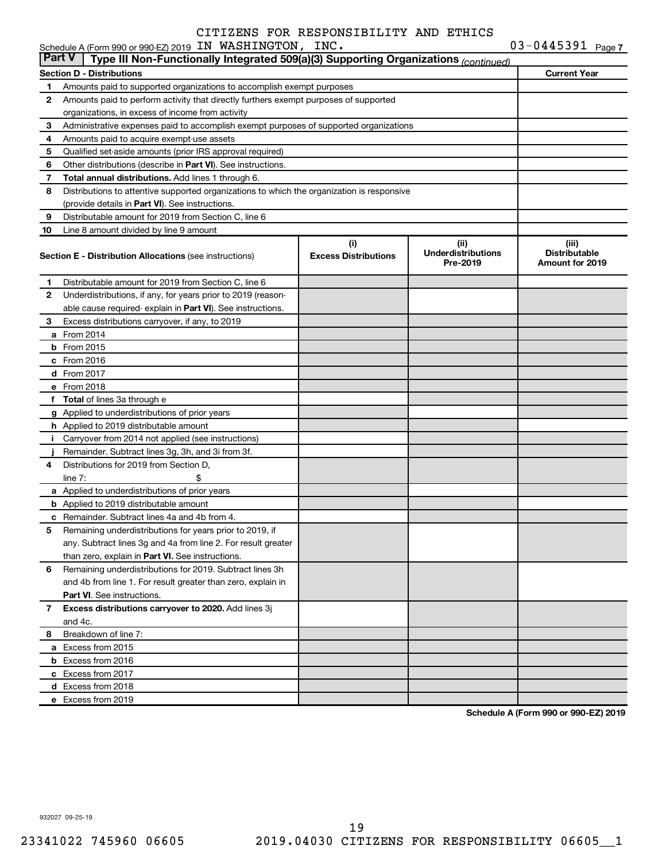| <b>Part V</b> | Type III Non-Functionally Integrated 509(a)(3) Supporting Organizations (continued)                   |                                    |                                                |                                                  |  |  |  |  |  |
|---------------|-------------------------------------------------------------------------------------------------------|------------------------------------|------------------------------------------------|--------------------------------------------------|--|--|--|--|--|
|               | <b>Section D - Distributions</b>                                                                      |                                    |                                                | <b>Current Year</b>                              |  |  |  |  |  |
| 1             | Amounts paid to supported organizations to accomplish exempt purposes                                 |                                    |                                                |                                                  |  |  |  |  |  |
| 2             | Amounts paid to perform activity that directly furthers exempt purposes of supported                  |                                    |                                                |                                                  |  |  |  |  |  |
|               | organizations, in excess of income from activity                                                      |                                    |                                                |                                                  |  |  |  |  |  |
| 3             | Administrative expenses paid to accomplish exempt purposes of supported organizations                 |                                    |                                                |                                                  |  |  |  |  |  |
| 4             | Amounts paid to acquire exempt-use assets                                                             |                                    |                                                |                                                  |  |  |  |  |  |
| 5             | Qualified set-aside amounts (prior IRS approval required)                                             |                                    |                                                |                                                  |  |  |  |  |  |
| 6             | Other distributions (describe in Part VI). See instructions.                                          |                                    |                                                |                                                  |  |  |  |  |  |
| 7             | Total annual distributions. Add lines 1 through 6.                                                    |                                    |                                                |                                                  |  |  |  |  |  |
| 8             | Distributions to attentive supported organizations to which the organization is responsive            |                                    |                                                |                                                  |  |  |  |  |  |
|               | (provide details in Part VI). See instructions.                                                       |                                    |                                                |                                                  |  |  |  |  |  |
| 9             | Distributable amount for 2019 from Section C, line 6                                                  |                                    |                                                |                                                  |  |  |  |  |  |
| 10            | Line 8 amount divided by line 9 amount                                                                |                                    |                                                |                                                  |  |  |  |  |  |
|               | <b>Section E - Distribution Allocations (see instructions)</b>                                        | (i)<br><b>Excess Distributions</b> | (iii)<br><b>Underdistributions</b><br>Pre-2019 | (iii)<br><b>Distributable</b><br>Amount for 2019 |  |  |  |  |  |
| 1             | Distributable amount for 2019 from Section C, line 6                                                  |                                    |                                                |                                                  |  |  |  |  |  |
| 2             | Underdistributions, if any, for years prior to 2019 (reason-                                          |                                    |                                                |                                                  |  |  |  |  |  |
|               | able cause required- explain in Part VI). See instructions.                                           |                                    |                                                |                                                  |  |  |  |  |  |
| З             | Excess distributions carryover, if any, to 2019                                                       |                                    |                                                |                                                  |  |  |  |  |  |
|               | <b>a</b> From 2014                                                                                    |                                    |                                                |                                                  |  |  |  |  |  |
|               | <b>b</b> From 2015                                                                                    |                                    |                                                |                                                  |  |  |  |  |  |
|               | $c$ From 2016                                                                                         |                                    |                                                |                                                  |  |  |  |  |  |
|               | d From 2017                                                                                           |                                    |                                                |                                                  |  |  |  |  |  |
|               | e From 2018                                                                                           |                                    |                                                |                                                  |  |  |  |  |  |
|               | f Total of lines 3a through e                                                                         |                                    |                                                |                                                  |  |  |  |  |  |
|               | g Applied to underdistributions of prior years                                                        |                                    |                                                |                                                  |  |  |  |  |  |
|               | <b>h</b> Applied to 2019 distributable amount                                                         |                                    |                                                |                                                  |  |  |  |  |  |
|               | i Carryover from 2014 not applied (see instructions)                                                  |                                    |                                                |                                                  |  |  |  |  |  |
|               | Remainder. Subtract lines 3g, 3h, and 3i from 3f.                                                     |                                    |                                                |                                                  |  |  |  |  |  |
| 4             | Distributions for 2019 from Section D,                                                                |                                    |                                                |                                                  |  |  |  |  |  |
|               | line $7:$                                                                                             |                                    |                                                |                                                  |  |  |  |  |  |
|               | a Applied to underdistributions of prior years                                                        |                                    |                                                |                                                  |  |  |  |  |  |
|               | <b>b</b> Applied to 2019 distributable amount<br><b>c</b> Remainder. Subtract lines 4a and 4b from 4. |                                    |                                                |                                                  |  |  |  |  |  |
| 5.            | Remaining underdistributions for years prior to 2019, if                                              |                                    |                                                |                                                  |  |  |  |  |  |
|               | any. Subtract lines 3g and 4a from line 2. For result greater                                         |                                    |                                                |                                                  |  |  |  |  |  |
|               | than zero, explain in Part VI. See instructions.                                                      |                                    |                                                |                                                  |  |  |  |  |  |
| 6             | Remaining underdistributions for 2019. Subtract lines 3h                                              |                                    |                                                |                                                  |  |  |  |  |  |
|               | and 4b from line 1. For result greater than zero, explain in                                          |                                    |                                                |                                                  |  |  |  |  |  |
|               | <b>Part VI.</b> See instructions.                                                                     |                                    |                                                |                                                  |  |  |  |  |  |
| 7             | Excess distributions carryover to 2020. Add lines 3j                                                  |                                    |                                                |                                                  |  |  |  |  |  |
|               | and 4c.                                                                                               |                                    |                                                |                                                  |  |  |  |  |  |
| 8             | Breakdown of line 7:                                                                                  |                                    |                                                |                                                  |  |  |  |  |  |
|               | a Excess from 2015                                                                                    |                                    |                                                |                                                  |  |  |  |  |  |
|               | <b>b</b> Excess from 2016                                                                             |                                    |                                                |                                                  |  |  |  |  |  |
|               | c Excess from 2017                                                                                    |                                    |                                                |                                                  |  |  |  |  |  |
|               | d Excess from 2018                                                                                    |                                    |                                                |                                                  |  |  |  |  |  |
|               | e Excess from 2019                                                                                    |                                    |                                                |                                                  |  |  |  |  |  |
|               |                                                                                                       |                                    |                                                |                                                  |  |  |  |  |  |

**Schedule A (Form 990 or 990-EZ) 2019**

932027 09-25-19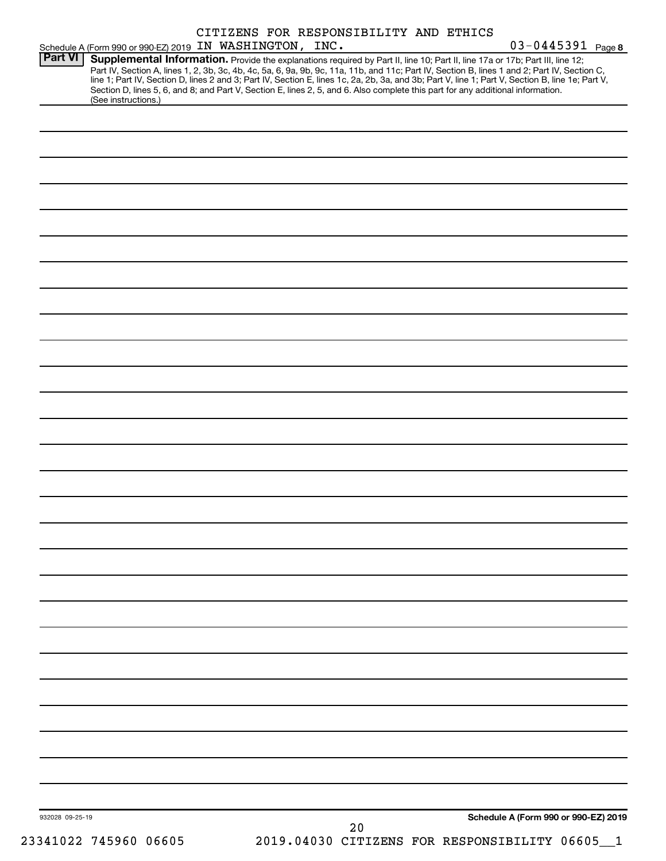| Supplemental Information. Provide the explanations required by Part II, line 10; Part II, line 17a or 17b; Part III, line 12;<br>Part IV, Section A, lines 1, 2, 3b, 3c, 4b, 4c, 5a, 6, 9a, 9b, 9c, 11a, 11b, and 11c; Part IV, Section B, lines 1 and 2; Part IV, Section C,<br>line 1; Part IV, Section D, lines 2 and 3; Part IV, Section E, lines 1c, 2a, 2b, 3a, and 3b; Part V, line 1; Part V, Section B, line 1e; Part V,<br>Section D, lines 5, 6, and 8; and Part V, Section E, lines 2, 5, and 6. Also complete this part for any additional information.<br>(See instructions.) | <b>Part VI</b> | Schedule A (Form 990 or 990-EZ) 2019 IN WASHINGTON, INC. |  | CITIZENS FOR RESPONSIBILITY AND ETHICS |  | 03-0445391 Page 8 |
|---------------------------------------------------------------------------------------------------------------------------------------------------------------------------------------------------------------------------------------------------------------------------------------------------------------------------------------------------------------------------------------------------------------------------------------------------------------------------------------------------------------------------------------------------------------------------------------------|----------------|----------------------------------------------------------|--|----------------------------------------|--|-------------------|
|                                                                                                                                                                                                                                                                                                                                                                                                                                                                                                                                                                                             |                |                                                          |  |                                        |  |                   |
|                                                                                                                                                                                                                                                                                                                                                                                                                                                                                                                                                                                             |                |                                                          |  |                                        |  |                   |
|                                                                                                                                                                                                                                                                                                                                                                                                                                                                                                                                                                                             |                |                                                          |  |                                        |  |                   |
|                                                                                                                                                                                                                                                                                                                                                                                                                                                                                                                                                                                             |                |                                                          |  |                                        |  |                   |
|                                                                                                                                                                                                                                                                                                                                                                                                                                                                                                                                                                                             |                |                                                          |  |                                        |  |                   |
|                                                                                                                                                                                                                                                                                                                                                                                                                                                                                                                                                                                             |                |                                                          |  |                                        |  |                   |
|                                                                                                                                                                                                                                                                                                                                                                                                                                                                                                                                                                                             |                |                                                          |  |                                        |  |                   |
|                                                                                                                                                                                                                                                                                                                                                                                                                                                                                                                                                                                             |                |                                                          |  |                                        |  |                   |
|                                                                                                                                                                                                                                                                                                                                                                                                                                                                                                                                                                                             |                |                                                          |  |                                        |  |                   |
|                                                                                                                                                                                                                                                                                                                                                                                                                                                                                                                                                                                             |                |                                                          |  |                                        |  |                   |
|                                                                                                                                                                                                                                                                                                                                                                                                                                                                                                                                                                                             |                |                                                          |  |                                        |  |                   |
|                                                                                                                                                                                                                                                                                                                                                                                                                                                                                                                                                                                             |                |                                                          |  |                                        |  |                   |
|                                                                                                                                                                                                                                                                                                                                                                                                                                                                                                                                                                                             |                |                                                          |  |                                        |  |                   |
|                                                                                                                                                                                                                                                                                                                                                                                                                                                                                                                                                                                             |                |                                                          |  |                                        |  |                   |
|                                                                                                                                                                                                                                                                                                                                                                                                                                                                                                                                                                                             |                |                                                          |  |                                        |  |                   |
|                                                                                                                                                                                                                                                                                                                                                                                                                                                                                                                                                                                             |                |                                                          |  |                                        |  |                   |
|                                                                                                                                                                                                                                                                                                                                                                                                                                                                                                                                                                                             |                |                                                          |  |                                        |  |                   |
|                                                                                                                                                                                                                                                                                                                                                                                                                                                                                                                                                                                             |                |                                                          |  |                                        |  |                   |
|                                                                                                                                                                                                                                                                                                                                                                                                                                                                                                                                                                                             |                |                                                          |  |                                        |  |                   |
|                                                                                                                                                                                                                                                                                                                                                                                                                                                                                                                                                                                             |                |                                                          |  |                                        |  |                   |
|                                                                                                                                                                                                                                                                                                                                                                                                                                                                                                                                                                                             |                |                                                          |  |                                        |  |                   |
|                                                                                                                                                                                                                                                                                                                                                                                                                                                                                                                                                                                             |                |                                                          |  |                                        |  |                   |
|                                                                                                                                                                                                                                                                                                                                                                                                                                                                                                                                                                                             |                |                                                          |  |                                        |  |                   |
|                                                                                                                                                                                                                                                                                                                                                                                                                                                                                                                                                                                             |                |                                                          |  |                                        |  |                   |
|                                                                                                                                                                                                                                                                                                                                                                                                                                                                                                                                                                                             |                |                                                          |  |                                        |  |                   |
|                                                                                                                                                                                                                                                                                                                                                                                                                                                                                                                                                                                             |                |                                                          |  |                                        |  |                   |
|                                                                                                                                                                                                                                                                                                                                                                                                                                                                                                                                                                                             |                |                                                          |  |                                        |  |                   |
| Schedule A (Form 990 or 990-EZ) 2019<br>932028 09-25-19<br>20                                                                                                                                                                                                                                                                                                                                                                                                                                                                                                                               |                |                                                          |  |                                        |  |                   |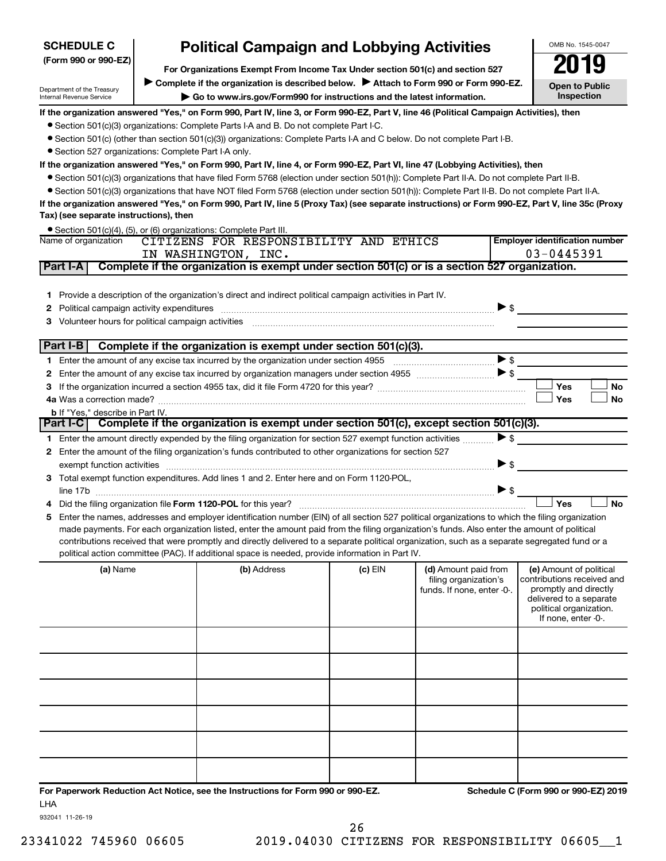| (Form 990 or 990-EZ) |                                                      | <b>Political Campaign and Lobbying Activities</b><br>For Organizations Exempt From Income Tax Under section 501(c) and section 527<br>Complete if the organization is described below. > Attach to Form 990 or Form 990-EZ.<br>If the organization answered "Yes," on Form 990, Part IV, line 3, or Form 990-EZ, Part V, line 46 (Political Campaign Activities), then                                                                                                                              |                                                                                                                                                                                                        |                       | ПY<br><b>Open to Public</b>                                                                                                                                                                                                                                                                                                                                                                                                                                                                                                                                                                                                                                                                                                                                                                                                                                                                                                                                                                                                                                                                                                                                                                                                                                                                                                                                                                                                                                                                                                                                                                                                                                                                                                                                                                                                                                                                                                                                                                                                                                                                                                             |  |  |  |  |  |
|----------------------|------------------------------------------------------|-----------------------------------------------------------------------------------------------------------------------------------------------------------------------------------------------------------------------------------------------------------------------------------------------------------------------------------------------------------------------------------------------------------------------------------------------------------------------------------------------------|--------------------------------------------------------------------------------------------------------------------------------------------------------------------------------------------------------|-----------------------|-----------------------------------------------------------------------------------------------------------------------------------------------------------------------------------------------------------------------------------------------------------------------------------------------------------------------------------------------------------------------------------------------------------------------------------------------------------------------------------------------------------------------------------------------------------------------------------------------------------------------------------------------------------------------------------------------------------------------------------------------------------------------------------------------------------------------------------------------------------------------------------------------------------------------------------------------------------------------------------------------------------------------------------------------------------------------------------------------------------------------------------------------------------------------------------------------------------------------------------------------------------------------------------------------------------------------------------------------------------------------------------------------------------------------------------------------------------------------------------------------------------------------------------------------------------------------------------------------------------------------------------------------------------------------------------------------------------------------------------------------------------------------------------------------------------------------------------------------------------------------------------------------------------------------------------------------------------------------------------------------------------------------------------------------------------------------------------------------------------------------------------------|--|--|--|--|--|
|                      |                                                      |                                                                                                                                                                                                                                                                                                                                                                                                                                                                                                     |                                                                                                                                                                                                        |                       |                                                                                                                                                                                                                                                                                                                                                                                                                                                                                                                                                                                                                                                                                                                                                                                                                                                                                                                                                                                                                                                                                                                                                                                                                                                                                                                                                                                                                                                                                                                                                                                                                                                                                                                                                                                                                                                                                                                                                                                                                                                                                                                                         |  |  |  |  |  |
|                      |                                                      |                                                                                                                                                                                                                                                                                                                                                                                                                                                                                                     | Department of the Treasury<br>Go to www.irs.gov/Form990 for instructions and the latest information.<br>Internal Revenue Service                                                                       |                       |                                                                                                                                                                                                                                                                                                                                                                                                                                                                                                                                                                                                                                                                                                                                                                                                                                                                                                                                                                                                                                                                                                                                                                                                                                                                                                                                                                                                                                                                                                                                                                                                                                                                                                                                                                                                                                                                                                                                                                                                                                                                                                                                         |  |  |  |  |  |
|                      | • Section 527 organizations: Complete Part I-A only. | • Section 501(c)(3) organizations: Complete Parts I-A and B. Do not complete Part I-C.<br>• Section 501(c) (other than section 501(c)(3)) organizations: Complete Parts I-A and C below. Do not complete Part I-B.<br>If the organization answered "Yes," on Form 990, Part IV, line 4, or Form 990-EZ, Part VI, line 47 (Lobbying Activities), then<br>● Section 501(c)(3) organizations that have filed Form 5768 (election under section 501(h)): Complete Part II-A. Do not complete Part II-B. |                                                                                                                                                                                                        |                       |                                                                                                                                                                                                                                                                                                                                                                                                                                                                                                                                                                                                                                                                                                                                                                                                                                                                                                                                                                                                                                                                                                                                                                                                                                                                                                                                                                                                                                                                                                                                                                                                                                                                                                                                                                                                                                                                                                                                                                                                                                                                                                                                         |  |  |  |  |  |
|                      |                                                      |                                                                                                                                                                                                                                                                                                                                                                                                                                                                                                     |                                                                                                                                                                                                        |                       |                                                                                                                                                                                                                                                                                                                                                                                                                                                                                                                                                                                                                                                                                                                                                                                                                                                                                                                                                                                                                                                                                                                                                                                                                                                                                                                                                                                                                                                                                                                                                                                                                                                                                                                                                                                                                                                                                                                                                                                                                                                                                                                                         |  |  |  |  |  |
|                      |                                                      |                                                                                                                                                                                                                                                                                                                                                                                                                                                                                                     |                                                                                                                                                                                                        |                       |                                                                                                                                                                                                                                                                                                                                                                                                                                                                                                                                                                                                                                                                                                                                                                                                                                                                                                                                                                                                                                                                                                                                                                                                                                                                                                                                                                                                                                                                                                                                                                                                                                                                                                                                                                                                                                                                                                                                                                                                                                                                                                                                         |  |  |  |  |  |
|                      |                                                      |                                                                                                                                                                                                                                                                                                                                                                                                                                                                                                     |                                                                                                                                                                                                        |                       |                                                                                                                                                                                                                                                                                                                                                                                                                                                                                                                                                                                                                                                                                                                                                                                                                                                                                                                                                                                                                                                                                                                                                                                                                                                                                                                                                                                                                                                                                                                                                                                                                                                                                                                                                                                                                                                                                                                                                                                                                                                                                                                                         |  |  |  |  |  |
| Name of organization |                                                      |                                                                                                                                                                                                                                                                                                                                                                                                                                                                                                     |                                                                                                                                                                                                        |                       | <b>Employer identification number</b>                                                                                                                                                                                                                                                                                                                                                                                                                                                                                                                                                                                                                                                                                                                                                                                                                                                                                                                                                                                                                                                                                                                                                                                                                                                                                                                                                                                                                                                                                                                                                                                                                                                                                                                                                                                                                                                                                                                                                                                                                                                                                                   |  |  |  |  |  |
|                      |                                                      |                                                                                                                                                                                                                                                                                                                                                                                                                                                                                                     |                                                                                                                                                                                                        |                       | $03 - 0445391$                                                                                                                                                                                                                                                                                                                                                                                                                                                                                                                                                                                                                                                                                                                                                                                                                                                                                                                                                                                                                                                                                                                                                                                                                                                                                                                                                                                                                                                                                                                                                                                                                                                                                                                                                                                                                                                                                                                                                                                                                                                                                                                          |  |  |  |  |  |
|                      |                                                      |                                                                                                                                                                                                                                                                                                                                                                                                                                                                                                     |                                                                                                                                                                                                        |                       |                                                                                                                                                                                                                                                                                                                                                                                                                                                                                                                                                                                                                                                                                                                                                                                                                                                                                                                                                                                                                                                                                                                                                                                                                                                                                                                                                                                                                                                                                                                                                                                                                                                                                                                                                                                                                                                                                                                                                                                                                                                                                                                                         |  |  |  |  |  |
|                      |                                                      |                                                                                                                                                                                                                                                                                                                                                                                                                                                                                                     |                                                                                                                                                                                                        |                       |                                                                                                                                                                                                                                                                                                                                                                                                                                                                                                                                                                                                                                                                                                                                                                                                                                                                                                                                                                                                                                                                                                                                                                                                                                                                                                                                                                                                                                                                                                                                                                                                                                                                                                                                                                                                                                                                                                                                                                                                                                                                                                                                         |  |  |  |  |  |
|                      |                                                      |                                                                                                                                                                                                                                                                                                                                                                                                                                                                                                     |                                                                                                                                                                                                        |                       |                                                                                                                                                                                                                                                                                                                                                                                                                                                                                                                                                                                                                                                                                                                                                                                                                                                                                                                                                                                                                                                                                                                                                                                                                                                                                                                                                                                                                                                                                                                                                                                                                                                                                                                                                                                                                                                                                                                                                                                                                                                                                                                                         |  |  |  |  |  |
|                      |                                                      |                                                                                                                                                                                                                                                                                                                                                                                                                                                                                                     |                                                                                                                                                                                                        |                       |                                                                                                                                                                                                                                                                                                                                                                                                                                                                                                                                                                                                                                                                                                                                                                                                                                                                                                                                                                                                                                                                                                                                                                                                                                                                                                                                                                                                                                                                                                                                                                                                                                                                                                                                                                                                                                                                                                                                                                                                                                                                                                                                         |  |  |  |  |  |
|                      |                                                      |                                                                                                                                                                                                                                                                                                                                                                                                                                                                                                     |                                                                                                                                                                                                        |                       |                                                                                                                                                                                                                                                                                                                                                                                                                                                                                                                                                                                                                                                                                                                                                                                                                                                                                                                                                                                                                                                                                                                                                                                                                                                                                                                                                                                                                                                                                                                                                                                                                                                                                                                                                                                                                                                                                                                                                                                                                                                                                                                                         |  |  |  |  |  |
|                      |                                                      |                                                                                                                                                                                                                                                                                                                                                                                                                                                                                                     |                                                                                                                                                                                                        |                       | Yes<br>No                                                                                                                                                                                                                                                                                                                                                                                                                                                                                                                                                                                                                                                                                                                                                                                                                                                                                                                                                                                                                                                                                                                                                                                                                                                                                                                                                                                                                                                                                                                                                                                                                                                                                                                                                                                                                                                                                                                                                                                                                                                                                                                               |  |  |  |  |  |
|                      |                                                      |                                                                                                                                                                                                                                                                                                                                                                                                                                                                                                     |                                                                                                                                                                                                        |                       | Yes<br>No                                                                                                                                                                                                                                                                                                                                                                                                                                                                                                                                                                                                                                                                                                                                                                                                                                                                                                                                                                                                                                                                                                                                                                                                                                                                                                                                                                                                                                                                                                                                                                                                                                                                                                                                                                                                                                                                                                                                                                                                                                                                                                                               |  |  |  |  |  |
|                      |                                                      |                                                                                                                                                                                                                                                                                                                                                                                                                                                                                                     |                                                                                                                                                                                                        |                       |                                                                                                                                                                                                                                                                                                                                                                                                                                                                                                                                                                                                                                                                                                                                                                                                                                                                                                                                                                                                                                                                                                                                                                                                                                                                                                                                                                                                                                                                                                                                                                                                                                                                                                                                                                                                                                                                                                                                                                                                                                                                                                                                         |  |  |  |  |  |
|                      |                                                      |                                                                                                                                                                                                                                                                                                                                                                                                                                                                                                     |                                                                                                                                                                                                        |                       |                                                                                                                                                                                                                                                                                                                                                                                                                                                                                                                                                                                                                                                                                                                                                                                                                                                                                                                                                                                                                                                                                                                                                                                                                                                                                                                                                                                                                                                                                                                                                                                                                                                                                                                                                                                                                                                                                                                                                                                                                                                                                                                                         |  |  |  |  |  |
|                      |                                                      |                                                                                                                                                                                                                                                                                                                                                                                                                                                                                                     |                                                                                                                                                                                                        |                       |                                                                                                                                                                                                                                                                                                                                                                                                                                                                                                                                                                                                                                                                                                                                                                                                                                                                                                                                                                                                                                                                                                                                                                                                                                                                                                                                                                                                                                                                                                                                                                                                                                                                                                                                                                                                                                                                                                                                                                                                                                                                                                                                         |  |  |  |  |  |
|                      |                                                      |                                                                                                                                                                                                                                                                                                                                                                                                                                                                                                     |                                                                                                                                                                                                        |                       |                                                                                                                                                                                                                                                                                                                                                                                                                                                                                                                                                                                                                                                                                                                                                                                                                                                                                                                                                                                                                                                                                                                                                                                                                                                                                                                                                                                                                                                                                                                                                                                                                                                                                                                                                                                                                                                                                                                                                                                                                                                                                                                                         |  |  |  |  |  |
|                      |                                                      |                                                                                                                                                                                                                                                                                                                                                                                                                                                                                                     |                                                                                                                                                                                                        |                       |                                                                                                                                                                                                                                                                                                                                                                                                                                                                                                                                                                                                                                                                                                                                                                                                                                                                                                                                                                                                                                                                                                                                                                                                                                                                                                                                                                                                                                                                                                                                                                                                                                                                                                                                                                                                                                                                                                                                                                                                                                                                                                                                         |  |  |  |  |  |
|                      |                                                      |                                                                                                                                                                                                                                                                                                                                                                                                                                                                                                     |                                                                                                                                                                                                        |                       |                                                                                                                                                                                                                                                                                                                                                                                                                                                                                                                                                                                                                                                                                                                                                                                                                                                                                                                                                                                                                                                                                                                                                                                                                                                                                                                                                                                                                                                                                                                                                                                                                                                                                                                                                                                                                                                                                                                                                                                                                                                                                                                                         |  |  |  |  |  |
|                      |                                                      |                                                                                                                                                                                                                                                                                                                                                                                                                                                                                                     |                                                                                                                                                                                                        |                       | <b>No</b><br>Yes                                                                                                                                                                                                                                                                                                                                                                                                                                                                                                                                                                                                                                                                                                                                                                                                                                                                                                                                                                                                                                                                                                                                                                                                                                                                                                                                                                                                                                                                                                                                                                                                                                                                                                                                                                                                                                                                                                                                                                                                                                                                                                                        |  |  |  |  |  |
|                      |                                                      | (b) Address                                                                                                                                                                                                                                                                                                                                                                                                                                                                                         | (c) EIN                                                                                                                                                                                                | filing organization's | (e) Amount of political<br>contributions received and<br>promptly and directly<br>delivered to a separate<br>political organization.<br>If none, enter -0-.                                                                                                                                                                                                                                                                                                                                                                                                                                                                                                                                                                                                                                                                                                                                                                                                                                                                                                                                                                                                                                                                                                                                                                                                                                                                                                                                                                                                                                                                                                                                                                                                                                                                                                                                                                                                                                                                                                                                                                             |  |  |  |  |  |
|                      |                                                      |                                                                                                                                                                                                                                                                                                                                                                                                                                                                                                     |                                                                                                                                                                                                        |                       |                                                                                                                                                                                                                                                                                                                                                                                                                                                                                                                                                                                                                                                                                                                                                                                                                                                                                                                                                                                                                                                                                                                                                                                                                                                                                                                                                                                                                                                                                                                                                                                                                                                                                                                                                                                                                                                                                                                                                                                                                                                                                                                                         |  |  |  |  |  |
|                      | Part $I-B$<br>(a) Name                               | Tax) (see separate instructions), then<br><b>b</b> If "Yes," describe in Part IV.                                                                                                                                                                                                                                                                                                                                                                                                                   | • Section 501(c)(4), (5), or (6) organizations: Complete Part III.<br>IN WASHINGTON, INC.<br>Political campaign activity expenditures<br>Did the filing organization file Form 1120-POL for this year? |                       | • Section 501(c)(3) organizations that have NOT filed Form 5768 (election under section 501(h)): Complete Part II-B. Do not complete Part II-A.<br>If the organization answered "Yes," on Form 990, Part IV, line 5 (Proxy Tax) (see separate instructions) or Form 990-EZ, Part V, line 35c (Proxy<br>CITIZENS FOR RESPONSIBILITY AND ETHICS<br>Complete if the organization is exempt under section 501(c) or is a section 527 organization.<br>1 Provide a description of the organization's direct and indirect political campaign activities in Part IV.<br>$\triangleright$ s<br>3 Volunteer hours for political campaign activities [11] [12] Content and Marian Marian Marian Marian Marian Ma<br>Complete if the organization is exempt under section 501(c)(3).<br>$\triangleright$ \$<br>Part I-C Complete if the organization is exempt under section 501(c), except section 501(c)(3).<br>$\triangleright$ \$<br>1 Enter the amount directly expended by the filing organization for section 527 exempt function activities<br>2 Enter the amount of the filing organization's funds contributed to other organizations for section 527<br>▶ \$<br>exempt function activities material content and activities and activities are activities and activities and activities and activities and activities and activities and activities and activities and activities and activitie<br>3 Total exempt function expenditures. Add lines 1 and 2. Enter here and on Form 1120-POL,<br>$\blacktriangleright$ \$<br>5 Enter the names, addresses and employer identification number (EIN) of all section 527 political organizations to which the filing organization<br>made payments. For each organization listed, enter the amount paid from the filing organization's funds. Also enter the amount of political<br>contributions received that were promptly and directly delivered to a separate political organization, such as a separate segregated fund or a<br>political action committee (PAC). If additional space is needed, provide information in Part IV.<br>(d) Amount paid from<br>funds. If none, enter -0-. |  |  |  |  |  |

**For Paperwork Reduction Act Notice, see the Instructions for Form 990 or 990-EZ. Schedule C (Form 990 or 990-EZ) 2019** LHA

932041 11-26-19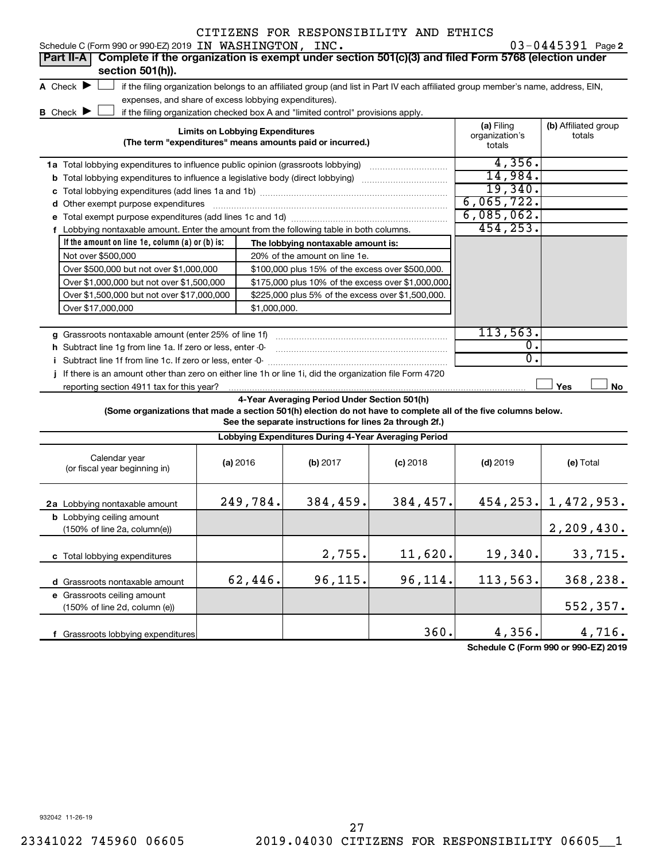| Schedule C (Form 990 or 990-EZ) 2019 IN WASHINGTON, INC.                                                                                             |                                        |              |                                                                                                         | CITIZENS FOR RESPONSIBILITY AND ETHICS                                                                                            |                                        | 03-0445391 Page 2              |
|------------------------------------------------------------------------------------------------------------------------------------------------------|----------------------------------------|--------------|---------------------------------------------------------------------------------------------------------|-----------------------------------------------------------------------------------------------------------------------------------|----------------------------------------|--------------------------------|
| Complete if the organization is exempt under section 501(c)(3) and filed Form 5768 (election under<br>Part II-A                                      |                                        |              |                                                                                                         |                                                                                                                                   |                                        |                                |
| section 501(h)).                                                                                                                                     |                                        |              |                                                                                                         |                                                                                                                                   |                                        |                                |
| A Check $\blacktriangleright$                                                                                                                        |                                        |              |                                                                                                         | if the filing organization belongs to an affiliated group (and list in Part IV each affiliated group member's name, address, EIN, |                                        |                                |
| expenses, and share of excess lobbying expenditures).                                                                                                |                                        |              |                                                                                                         |                                                                                                                                   |                                        |                                |
| <b>B</b> Check $\blacktriangleright$                                                                                                                 |                                        |              | if the filing organization checked box A and "limited control" provisions apply.                        |                                                                                                                                   |                                        |                                |
|                                                                                                                                                      | <b>Limits on Lobbying Expenditures</b> |              | (The term "expenditures" means amounts paid or incurred.)                                               |                                                                                                                                   | (a) Filing<br>organization's<br>totals | (b) Affiliated group<br>totals |
| 1a Total lobbying expenditures to influence public opinion (grassroots lobbying)                                                                     |                                        |              |                                                                                                         |                                                                                                                                   | 4,356.                                 |                                |
| <b>b</b> Total lobbying expenditures to influence a legislative body (direct lobbying)                                                               | 14,984.                                |              |                                                                                                         |                                                                                                                                   |                                        |                                |
| с                                                                                                                                                    |                                        |              |                                                                                                         |                                                                                                                                   | 19,340.                                |                                |
| Other exempt purpose expenditures<br>d                                                                                                               |                                        |              |                                                                                                         |                                                                                                                                   | 6,065,722.                             |                                |
|                                                                                                                                                      |                                        |              |                                                                                                         |                                                                                                                                   | 6,085,062.                             |                                |
| f Lobbying nontaxable amount. Enter the amount from the following table in both columns.                                                             |                                        |              |                                                                                                         |                                                                                                                                   | 454, 253.                              |                                |
| If the amount on line 1e, column $(a)$ or $(b)$ is:                                                                                                  |                                        |              | The lobbying nontaxable amount is:                                                                      |                                                                                                                                   |                                        |                                |
| Not over \$500,000                                                                                                                                   |                                        |              | 20% of the amount on line 1e.                                                                           |                                                                                                                                   |                                        |                                |
| Over \$500,000 but not over \$1,000,000                                                                                                              |                                        |              | \$100,000 plus 15% of the excess over \$500,000.                                                        |                                                                                                                                   |                                        |                                |
| Over \$1,000,000 but not over \$1,500,000                                                                                                            |                                        |              | \$175,000 plus 10% of the excess over \$1,000,000.                                                      |                                                                                                                                   |                                        |                                |
| Over \$1,500,000 but not over \$17,000,000                                                                                                           |                                        |              | \$225,000 plus 5% of the excess over \$1,500,000.                                                       |                                                                                                                                   |                                        |                                |
| Over \$17,000,000                                                                                                                                    |                                        | \$1,000,000. |                                                                                                         |                                                                                                                                   |                                        |                                |
|                                                                                                                                                      |                                        |              |                                                                                                         |                                                                                                                                   |                                        |                                |
| g Grassroots nontaxable amount (enter 25% of line 1f)                                                                                                | 113,563.                               |              |                                                                                                         |                                                                                                                                   |                                        |                                |
| h Subtract line 1g from line 1a. If zero or less, enter -0-                                                                                          |                                        |              |                                                                                                         |                                                                                                                                   | 0.                                     |                                |
| i Subtract line 1f from line 1c. If zero or less, enter -0-                                                                                          |                                        |              |                                                                                                         |                                                                                                                                   | 0.                                     |                                |
| If there is an amount other than zero on either line 1h or line 1i, did the organization file Form 4720<br>reporting section 4911 tax for this year? |                                        |              |                                                                                                         |                                                                                                                                   |                                        | Yes<br>No                      |
| (Some organizations that made a section 501(h) election do not have to complete all of the five columns below.                                       |                                        |              | 4-Year Averaging Period Under Section 501(h)<br>See the separate instructions for lines 2a through 2f.) |                                                                                                                                   |                                        |                                |
|                                                                                                                                                      |                                        |              | Lobbying Expenditures During 4-Year Averaging Period                                                    |                                                                                                                                   |                                        |                                |
| Calendar year<br>(or fiscal year beginning in)                                                                                                       | (a) 2016                               |              | (b) 2017                                                                                                | $(c)$ 2018                                                                                                                        | $(d)$ 2019                             | (e) Total                      |
| <b>2a</b> Lobbying nontaxable amount                                                                                                                 | 249,784.                               |              | 384, 459.                                                                                               | 384, 457.                                                                                                                         |                                        | 454, 253. 1, 472, 953.         |
| <b>b</b> Lobbying ceiling amount<br>(150% of line 2a, column(e))                                                                                     |                                        |              |                                                                                                         |                                                                                                                                   |                                        | 2, 209, 430.                   |
| c Total lobbying expenditures                                                                                                                        |                                        |              | 2,755.                                                                                                  | 11,620.                                                                                                                           | 19,340.                                | 33,715.                        |
| d Grassroots nontaxable amount                                                                                                                       | 62,446.                                |              | 96,115.                                                                                                 | 96,114.                                                                                                                           | 113,563.                               | 368,238.                       |
| e Grassroots ceiling amount<br>(150% of line 2d, column (e))                                                                                         |                                        |              |                                                                                                         |                                                                                                                                   |                                        | 552,357.                       |
| f Grassroots lobbying expenditures                                                                                                                   |                                        |              |                                                                                                         | 360.                                                                                                                              | 4,356.                                 | 4,716.                         |

**Schedule C (Form 990 or 990-EZ) 2019**

932042 11-26-19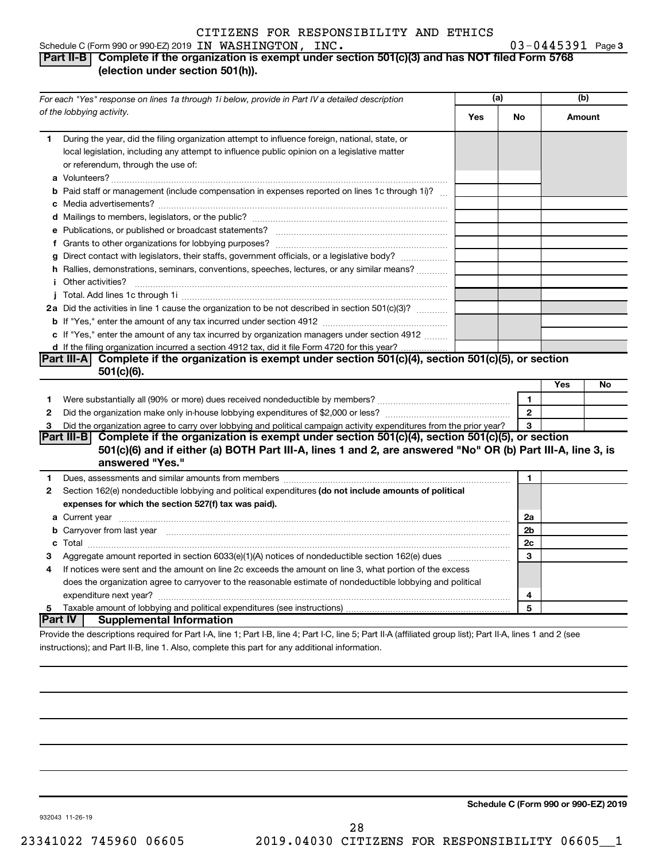#### Schedule C (Form 990 or 990-EZ) 2019 Page IN WASHINGTON, INC. 03-0445391

#### 03-0445391 Page 3 **Part II-B Complete if the organization is exempt under section 501(c)(3) and has NOT filed Form 5768 (election under section 501(h)).**

|              | For each "Yes" response on lines 1a through 1i below, provide in Part IV a detailed description                                                                                                                                      |     | (a)            | (b)    |    |
|--------------|--------------------------------------------------------------------------------------------------------------------------------------------------------------------------------------------------------------------------------------|-----|----------------|--------|----|
|              | of the lobbying activity.                                                                                                                                                                                                            | Yes | No             | Amount |    |
| 1            | During the year, did the filing organization attempt to influence foreign, national, state, or<br>local legislation, including any attempt to influence public opinion on a legislative matter<br>or referendum, through the use of: |     |                |        |    |
|              | <b>b</b> Paid staff or management (include compensation in expenses reported on lines 1c through 1i)?                                                                                                                                |     |                |        |    |
|              |                                                                                                                                                                                                                                      |     |                |        |    |
|              |                                                                                                                                                                                                                                      |     |                |        |    |
|              |                                                                                                                                                                                                                                      |     |                |        |    |
|              | g Direct contact with legislators, their staffs, government officials, or a legislative body?                                                                                                                                        |     |                |        |    |
|              | h Rallies, demonstrations, seminars, conventions, speeches, lectures, or any similar means?                                                                                                                                          |     |                |        |    |
|              | <i>i</i> Other activities?                                                                                                                                                                                                           |     |                |        |    |
|              |                                                                                                                                                                                                                                      |     |                |        |    |
|              | 2a Did the activities in line 1 cause the organization to be not described in section 501(c)(3)?                                                                                                                                     |     |                |        |    |
|              |                                                                                                                                                                                                                                      |     |                |        |    |
|              | c If "Yes," enter the amount of any tax incurred by organization managers under section 4912                                                                                                                                         |     |                |        |    |
|              | d If the filing organization incurred a section 4912 tax, did it file Form 4720 for this year?                                                                                                                                       |     |                |        |    |
|              | Part III-A Complete if the organization is exempt under section $501(c)(4)$ , section $501(c)(5)$ , or section                                                                                                                       |     |                |        |    |
|              | $501(c)(6)$ .                                                                                                                                                                                                                        |     |                |        |    |
|              |                                                                                                                                                                                                                                      |     |                | Yes    | No |
| 1            | Were substantially all (90% or more) dues received nondeductible by members? <i>manually all (90% or more</i> ) dues received nondeductible by members?                                                                              |     | 1              |        |    |
| $\mathbf{2}$ |                                                                                                                                                                                                                                      |     | $\overline{2}$ |        |    |
| 3            | Did the organization agree to carry over lobbying and political campaign activity expenditures from the prior year?                                                                                                                  |     | 3              |        |    |
|              | Part III-B Complete if the organization is exempt under section 501(c)(4), section 501(c)(5), or section                                                                                                                             |     |                |        |    |
|              | 501(c)(6) and if either (a) BOTH Part III-A, lines 1 and 2, are answered "No" OR (b) Part III-A, line 3, is                                                                                                                          |     |                |        |    |
|              | answered "Yes."                                                                                                                                                                                                                      |     |                |        |    |
| 1            |                                                                                                                                                                                                                                      |     | 1              |        |    |
| $\mathbf{2}$ | Section 162(e) nondeductible lobbying and political expenditures (do not include amounts of political                                                                                                                                |     |                |        |    |
|              | expenses for which the section 527(f) tax was paid).                                                                                                                                                                                 |     |                |        |    |
|              |                                                                                                                                                                                                                                      |     | 2a             |        |    |
|              | b Carryover from last year manufactured and continuum control of the control of the control of the control of the control of the control of the control of the control of the control of the control of the control of the con       |     | 2b             |        |    |
|              |                                                                                                                                                                                                                                      |     | 2c             |        |    |
| З            |                                                                                                                                                                                                                                      |     | 3              |        |    |
| 4            | If notices were sent and the amount on line 2c exceeds the amount on line 3, what portion of the excess                                                                                                                              |     |                |        |    |
|              | does the organization agree to carryover to the reasonable estimate of nondeductible lobbying and political                                                                                                                          |     |                |        |    |
|              |                                                                                                                                                                                                                                      |     | 4              |        |    |
| 5            |                                                                                                                                                                                                                                      |     | 5              |        |    |
|              | Part IV  <br><b>Supplemental Information</b>                                                                                                                                                                                         |     |                |        |    |
|              | Provide the descriptions required for Part I-A line 1: Part I-R line 4: Part I-C, line 5: Part II-A (affiliated group list): Part II-A lines 1 and 2 (see                                                                            |     |                |        |    |

Provide the descriptions required for Part I-A, line 1; Part I-B, line 4; Part I-C, line 5; Part II-A (affiliated group list); Part II-A, lines 1 and 2 (see instructions); and Part II-B, line 1. Also, complete this part for any additional information.

**Schedule C (Form 990 or 990-EZ) 2019**

932043 11-26-19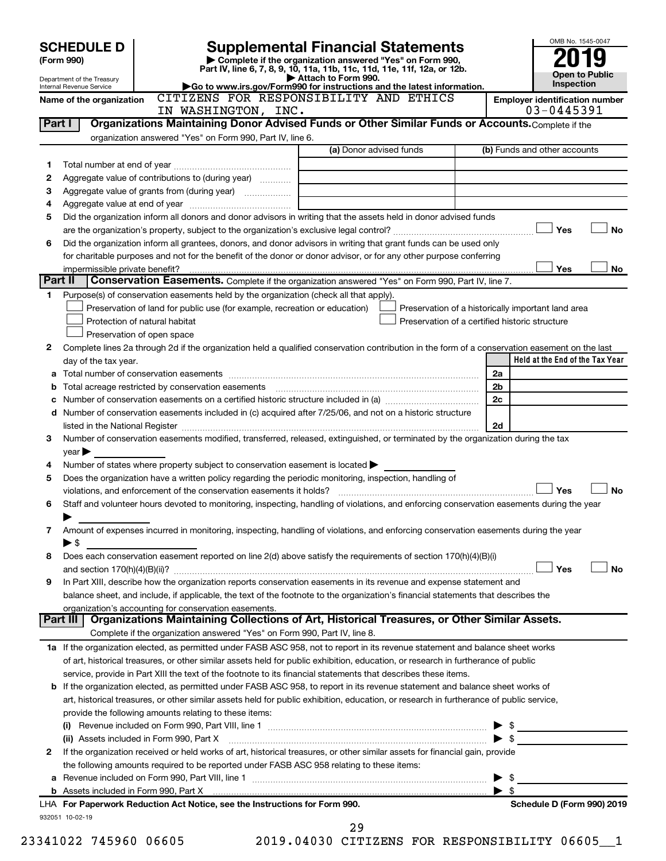| <b>SCHEDULE D</b><br>(Form 990)                        |                                                           | <b>Supplemental Financial Statements</b><br>Complete if the organization answered "Yes" on Form 990,<br>Part IV, line 6, 7, 8, 9, 10, 11a, 11b, 11c, 11d, 11e, 11f, 12a, or 12b.                                               |                                                |                                                    |
|--------------------------------------------------------|-----------------------------------------------------------|--------------------------------------------------------------------------------------------------------------------------------------------------------------------------------------------------------------------------------|------------------------------------------------|----------------------------------------------------|
| Department of the Treasury<br>Internal Revenue Service |                                                           | Attach to Form 990.<br>Go to www.irs.gov/Form990 for instructions and the latest information.                                                                                                                                  |                                                | Open to Public<br>Inspection                       |
| Name of the organization                               |                                                           | CITIZENS FOR RESPONSIBILITY AND ETHICS                                                                                                                                                                                         |                                                | <b>Employer identification number</b>              |
|                                                        | IN WASHINGTON, INC.                                       |                                                                                                                                                                                                                                |                                                | 03-0445391                                         |
| Part I                                                 |                                                           | Organizations Maintaining Donor Advised Funds or Other Similar Funds or Accounts. Complete if the                                                                                                                              |                                                |                                                    |
|                                                        | organization answered "Yes" on Form 990, Part IV, line 6. |                                                                                                                                                                                                                                |                                                |                                                    |
|                                                        |                                                           | (a) Donor advised funds                                                                                                                                                                                                        |                                                | (b) Funds and other accounts                       |
| 1                                                      |                                                           |                                                                                                                                                                                                                                |                                                |                                                    |
| 2                                                      | Aggregate value of contributions to (during year)         |                                                                                                                                                                                                                                |                                                |                                                    |
| з                                                      |                                                           |                                                                                                                                                                                                                                |                                                |                                                    |
| 4<br>5                                                 |                                                           | Did the organization inform all donors and donor advisors in writing that the assets held in donor advised funds                                                                                                               |                                                |                                                    |
|                                                        |                                                           |                                                                                                                                                                                                                                |                                                | Yes<br>No                                          |
| 6                                                      |                                                           | Did the organization inform all grantees, donors, and donor advisors in writing that grant funds can be used only                                                                                                              |                                                |                                                    |
|                                                        |                                                           | for charitable purposes and not for the benefit of the donor or donor advisor, or for any other purpose conferring                                                                                                             |                                                |                                                    |
|                                                        | impermissible private benefit?                            |                                                                                                                                                                                                                                |                                                | Yes<br>No.                                         |
| Part II                                                |                                                           | Conservation Easements. Complete if the organization answered "Yes" on Form 990, Part IV, line 7.                                                                                                                              |                                                |                                                    |
| 1                                                      |                                                           | Purpose(s) of conservation easements held by the organization (check all that apply).                                                                                                                                          |                                                |                                                    |
|                                                        |                                                           | Preservation of land for public use (for example, recreation or education)                                                                                                                                                     |                                                | Preservation of a historically important land area |
|                                                        | Protection of natural habitat                             |                                                                                                                                                                                                                                | Preservation of a certified historic structure |                                                    |
|                                                        | Preservation of open space                                |                                                                                                                                                                                                                                |                                                |                                                    |
| 2                                                      |                                                           | Complete lines 2a through 2d if the organization held a qualified conservation contribution in the form of a conservation easement on the last                                                                                 |                                                |                                                    |
| day of the tax year.                                   |                                                           |                                                                                                                                                                                                                                |                                                | Held at the End of the Tax Year                    |
|                                                        |                                                           |                                                                                                                                                                                                                                |                                                | 2a                                                 |
| b                                                      |                                                           |                                                                                                                                                                                                                                |                                                | 2 <sub>b</sub>                                     |
| с                                                      |                                                           |                                                                                                                                                                                                                                |                                                | 2c                                                 |
| d                                                      |                                                           | Number of conservation easements included in (c) acquired after 7/25/06, and not on a historic structure                                                                                                                       |                                                |                                                    |
|                                                        |                                                           | listed in the National Register [1,1,2000] [1,2000] [1,2000] [1,2000] [1,2000] [1,2000] [1,2000] [1,2000] [1,2000] [1,2000] [1,2000] [1,2000] [1,2000] [1,2000] [1,2000] [1,2000] [1,2000] [1,2000] [1,2000] [1,2000] [1,2000] |                                                | 2d                                                 |
| 3                                                      |                                                           | Number of conservation easements modified, transferred, released, extinguished, or terminated by the organization during the tax                                                                                               |                                                |                                                    |
| $year \triangleright$                                  |                                                           |                                                                                                                                                                                                                                |                                                |                                                    |
| 4<br>5                                                 |                                                           | Number of states where property subject to conservation easement is located $\blacktriangleright$<br>Does the organization have a written policy regarding the periodic monitoring, inspection, handling of                    |                                                |                                                    |
|                                                        |                                                           |                                                                                                                                                                                                                                |                                                | Yes<br>No                                          |
| 6                                                      |                                                           | Staff and volunteer hours devoted to monitoring, inspecting, handling of violations, and enforcing conservation easements during the year                                                                                      |                                                |                                                    |
|                                                        |                                                           |                                                                                                                                                                                                                                |                                                |                                                    |
| 7                                                      |                                                           | Amount of expenses incurred in monitoring, inspecting, handling of violations, and enforcing conservation easements during the year                                                                                            |                                                |                                                    |
| $\blacktriangleright$ \$                               |                                                           |                                                                                                                                                                                                                                |                                                |                                                    |
| 8                                                      |                                                           | Does each conservation easement reported on line 2(d) above satisfy the requirements of section 170(h)(4)(B)(i)                                                                                                                |                                                |                                                    |
|                                                        |                                                           |                                                                                                                                                                                                                                |                                                | Yes<br>No                                          |
| 9                                                      |                                                           | In Part XIII, describe how the organization reports conservation easements in its revenue and expense statement and                                                                                                            |                                                |                                                    |
|                                                        |                                                           | balance sheet, and include, if applicable, the text of the footnote to the organization's financial statements that describes the                                                                                              |                                                |                                                    |
|                                                        | organization's accounting for conservation easements.     |                                                                                                                                                                                                                                |                                                |                                                    |
| Part III                                               |                                                           | Organizations Maintaining Collections of Art, Historical Treasures, or Other Similar Assets.                                                                                                                                   |                                                |                                                    |
|                                                        |                                                           | Complete if the organization answered "Yes" on Form 990, Part IV, line 8.                                                                                                                                                      |                                                |                                                    |
|                                                        |                                                           | 1a If the organization elected, as permitted under FASB ASC 958, not to report in its revenue statement and balance sheet works                                                                                                |                                                |                                                    |
|                                                        |                                                           | of art, historical treasures, or other similar assets held for public exhibition, education, or research in furtherance of public                                                                                              |                                                |                                                    |
|                                                        |                                                           | service, provide in Part XIII the text of the footnote to its financial statements that describes these items.                                                                                                                 |                                                |                                                    |
|                                                        |                                                           | <b>b</b> If the organization elected, as permitted under FASB ASC 958, to report in its revenue statement and balance sheet works of                                                                                           |                                                |                                                    |
|                                                        |                                                           | art, historical treasures, or other similar assets held for public exhibition, education, or research in furtherance of public service,                                                                                        |                                                |                                                    |
|                                                        | provide the following amounts relating to these items:    |                                                                                                                                                                                                                                |                                                |                                                    |
|                                                        |                                                           |                                                                                                                                                                                                                                |                                                |                                                    |
| 2                                                      | (ii) Assets included in Form 990, Part X                  |                                                                                                                                                                                                                                |                                                |                                                    |
|                                                        |                                                           | If the organization received or held works of art, historical treasures, or other similar assets for financial gain, provide<br>the following amounts required to be reported under FASB ASC 958 relating to these items:      |                                                |                                                    |
| а                                                      |                                                           |                                                                                                                                                                                                                                |                                                | $\blacktriangleright$ \$                           |
|                                                        |                                                           |                                                                                                                                                                                                                                |                                                | $\blacktriangleright$ s                            |
|                                                        |                                                           | LHA For Paperwork Reduction Act Notice, see the Instructions for Form 990.                                                                                                                                                     |                                                | Schedule D (Form 990) 2019                         |
| 932051 10-02-19                                        |                                                           |                                                                                                                                                                                                                                |                                                |                                                    |
|                                                        |                                                           | 29                                                                                                                                                                                                                             |                                                |                                                    |
|                                                        |                                                           |                                                                                                                                                                                                                                |                                                |                                                    |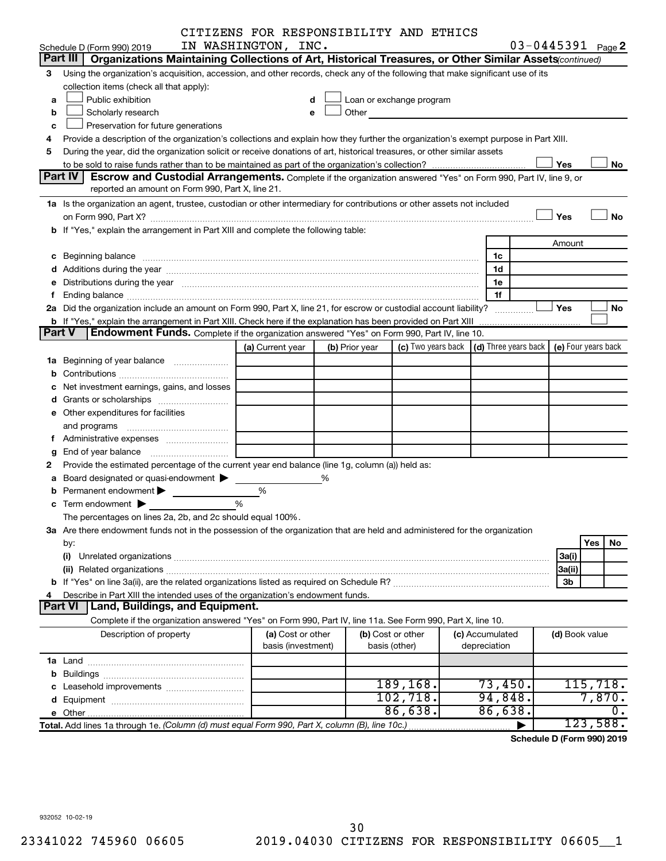|        |                                                                                                                                                                                                                                | CITIZENS FOR RESPONSIBILITY AND ETHICS  |                |                                                                                                                                                                                                                               |                                 |                       |                            |
|--------|--------------------------------------------------------------------------------------------------------------------------------------------------------------------------------------------------------------------------------|-----------------------------------------|----------------|-------------------------------------------------------------------------------------------------------------------------------------------------------------------------------------------------------------------------------|---------------------------------|-----------------------|----------------------------|
|        | Schedule D (Form 990) 2019                                                                                                                                                                                                     | IN WASHINGTON, INC.                     |                |                                                                                                                                                                                                                               |                                 | $03 - 0445391$ Page 2 |                            |
|        | Part III   Organizations Maintaining Collections of Art, Historical Treasures, or Other Similar Assets (continued)                                                                                                             |                                         |                |                                                                                                                                                                                                                               |                                 |                       |                            |
| 3      | Using the organization's acquisition, accession, and other records, check any of the following that make significant use of its                                                                                                |                                         |                |                                                                                                                                                                                                                               |                                 |                       |                            |
|        | collection items (check all that apply):                                                                                                                                                                                       |                                         |                |                                                                                                                                                                                                                               |                                 |                       |                            |
| a      | Public exhibition                                                                                                                                                                                                              |                                         |                | Loan or exchange program                                                                                                                                                                                                      |                                 |                       |                            |
| b      | Scholarly research                                                                                                                                                                                                             |                                         |                | Other and the contract of the contract of the contract of the contract of the contract of the contract of the contract of the contract of the contract of the contract of the contract of the contract of the contract of the |                                 |                       |                            |
| с      | Preservation for future generations                                                                                                                                                                                            |                                         |                |                                                                                                                                                                                                                               |                                 |                       |                            |
|        | Provide a description of the organization's collections and explain how they further the organization's exempt purpose in Part XIII.                                                                                           |                                         |                |                                                                                                                                                                                                                               |                                 |                       |                            |
| 5      | During the year, did the organization solicit or receive donations of art, historical treasures, or other similar assets                                                                                                       |                                         |                |                                                                                                                                                                                                                               |                                 |                       |                            |
|        |                                                                                                                                                                                                                                |                                         |                |                                                                                                                                                                                                                               |                                 | Yes                   | No                         |
|        | <b>Part IV</b><br><b>Escrow and Custodial Arrangements.</b> Complete if the organization answered "Yes" on Form 990, Part IV, line 9, or                                                                                       |                                         |                |                                                                                                                                                                                                                               |                                 |                       |                            |
|        | reported an amount on Form 990, Part X, line 21.                                                                                                                                                                               |                                         |                |                                                                                                                                                                                                                               |                                 |                       |                            |
|        | 1a Is the organization an agent, trustee, custodian or other intermediary for contributions or other assets not included                                                                                                       |                                         |                |                                                                                                                                                                                                                               |                                 |                       |                            |
|        |                                                                                                                                                                                                                                |                                         |                |                                                                                                                                                                                                                               |                                 | Yes                   | No                         |
|        | b If "Yes," explain the arrangement in Part XIII and complete the following table:                                                                                                                                             |                                         |                |                                                                                                                                                                                                                               |                                 |                       |                            |
|        |                                                                                                                                                                                                                                |                                         |                |                                                                                                                                                                                                                               |                                 | Amount                |                            |
|        |                                                                                                                                                                                                                                |                                         |                |                                                                                                                                                                                                                               | 1c                              |                       |                            |
|        |                                                                                                                                                                                                                                |                                         |                |                                                                                                                                                                                                                               | 1d                              |                       |                            |
|        | e Distributions during the year manufactured and contain an account of the year manufactured and the year manufactured and the year manufactured and the year manufactured and the year manufactured and the year manufactured |                                         |                |                                                                                                                                                                                                                               | 1e                              |                       |                            |
|        |                                                                                                                                                                                                                                |                                         |                |                                                                                                                                                                                                                               | 1f                              |                       |                            |
|        | 2a Did the organization include an amount on Form 990, Part X, line 21, for escrow or custodial account liability?                                                                                                             |                                         |                |                                                                                                                                                                                                                               | .                               | Yes                   | No                         |
|        | <b>b</b> If "Yes," explain the arrangement in Part XIII. Check here if the explanation has been provided on Part XIII                                                                                                          |                                         |                |                                                                                                                                                                                                                               |                                 |                       |                            |
| Part V | <b>Endowment Funds.</b> Complete if the organization answered "Yes" on Form 990, Part IV, line 10.                                                                                                                             |                                         |                |                                                                                                                                                                                                                               |                                 |                       |                            |
|        |                                                                                                                                                                                                                                | (a) Current year                        | (b) Prior year | (c) Two years back $\vert$ (d) Three years back $\vert$                                                                                                                                                                       |                                 | (e) Four years back   |                            |
|        |                                                                                                                                                                                                                                |                                         |                |                                                                                                                                                                                                                               |                                 |                       |                            |
|        |                                                                                                                                                                                                                                |                                         |                |                                                                                                                                                                                                                               |                                 |                       |                            |
|        | Net investment earnings, gains, and losses                                                                                                                                                                                     |                                         |                |                                                                                                                                                                                                                               |                                 |                       |                            |
|        |                                                                                                                                                                                                                                |                                         |                |                                                                                                                                                                                                                               |                                 |                       |                            |
|        | e Other expenditures for facilities                                                                                                                                                                                            |                                         |                |                                                                                                                                                                                                                               |                                 |                       |                            |
|        |                                                                                                                                                                                                                                |                                         |                |                                                                                                                                                                                                                               |                                 |                       |                            |
|        |                                                                                                                                                                                                                                |                                         |                |                                                                                                                                                                                                                               |                                 |                       |                            |
| g      |                                                                                                                                                                                                                                |                                         |                |                                                                                                                                                                                                                               |                                 |                       |                            |
|        | Provide the estimated percentage of the current year end balance (line 1g, column (a)) held as:                                                                                                                                |                                         |                |                                                                                                                                                                                                                               |                                 |                       |                            |
|        | a Board designated or quasi-endowment >                                                                                                                                                                                        |                                         | %              |                                                                                                                                                                                                                               |                                 |                       |                            |
|        | Permanent endowment >                                                                                                                                                                                                          | %                                       |                |                                                                                                                                                                                                                               |                                 |                       |                            |
|        | <b>c</b> Term endowment $\blacktriangleright$                                                                                                                                                                                  | %                                       |                |                                                                                                                                                                                                                               |                                 |                       |                            |
|        | The percentages on lines 2a, 2b, and 2c should equal 100%.                                                                                                                                                                     |                                         |                |                                                                                                                                                                                                                               |                                 |                       |                            |
|        | 3a Are there endowment funds not in the possession of the organization that are held and administered for the organization                                                                                                     |                                         |                |                                                                                                                                                                                                                               |                                 |                       |                            |
|        | by:                                                                                                                                                                                                                            |                                         |                |                                                                                                                                                                                                                               |                                 |                       | Yes<br>No                  |
|        | (i)                                                                                                                                                                                                                            |                                         |                |                                                                                                                                                                                                                               |                                 | 3a(i)                 |                            |
|        |                                                                                                                                                                                                                                |                                         |                |                                                                                                                                                                                                                               |                                 | 3a(ii)                |                            |
|        |                                                                                                                                                                                                                                |                                         |                |                                                                                                                                                                                                                               |                                 | 3b                    |                            |
|        | Describe in Part XIII the intended uses of the organization's endowment funds.                                                                                                                                                 |                                         |                |                                                                                                                                                                                                                               |                                 |                       |                            |
|        | Land, Buildings, and Equipment.<br><b>Part VI</b>                                                                                                                                                                              |                                         |                |                                                                                                                                                                                                                               |                                 |                       |                            |
|        | Complete if the organization answered "Yes" on Form 990, Part IV, line 11a. See Form 990, Part X, line 10.                                                                                                                     |                                         |                |                                                                                                                                                                                                                               |                                 |                       |                            |
|        | Description of property                                                                                                                                                                                                        | (a) Cost or other<br>basis (investment) |                | (b) Cost or other<br>basis (other)                                                                                                                                                                                            | (c) Accumulated<br>depreciation | (d) Book value        |                            |
|        |                                                                                                                                                                                                                                |                                         |                |                                                                                                                                                                                                                               |                                 |                       |                            |
|        |                                                                                                                                                                                                                                |                                         |                |                                                                                                                                                                                                                               |                                 |                       |                            |
|        |                                                                                                                                                                                                                                |                                         |                | 189, 168.                                                                                                                                                                                                                     | 73,450.                         |                       | 115,718.                   |
|        |                                                                                                                                                                                                                                |                                         |                | 102, 718.                                                                                                                                                                                                                     | 94,848.                         |                       | 7,870.                     |
|        |                                                                                                                                                                                                                                |                                         |                | 86,638.                                                                                                                                                                                                                       | 86,638.                         |                       | $\overline{0}$ .           |
|        | Total. Add lines 1a through 1e. (Column (d) must equal Form 990, Part X, column (B), line 10c.)                                                                                                                                |                                         |                |                                                                                                                                                                                                                               |                                 |                       | 123,588.                   |
|        |                                                                                                                                                                                                                                |                                         |                |                                                                                                                                                                                                                               |                                 |                       | Schodule D (Form 000) 2010 |

**Schedule D (Form 990) 2019**

932052 10-02-19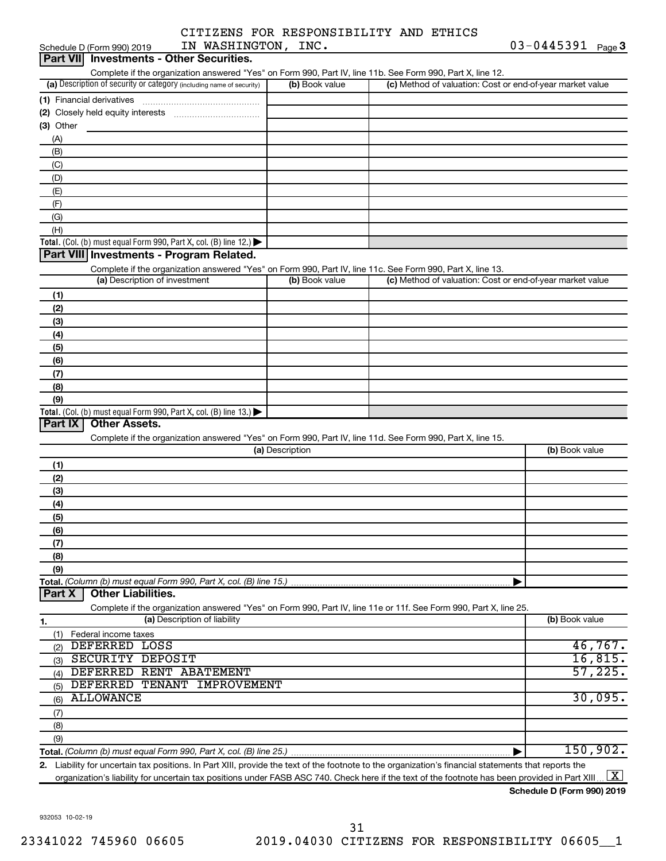| IN WASHINGTON, INC.<br>Schedule D (Form 990) 2019                                                                                                    |                 |                                                           | $03 - 0445391$ Page 3 |  |
|------------------------------------------------------------------------------------------------------------------------------------------------------|-----------------|-----------------------------------------------------------|-----------------------|--|
| Part VII Investments - Other Securities.                                                                                                             |                 |                                                           |                       |  |
| Complete if the organization answered "Yes" on Form 990, Part IV, line 11b. See Form 990, Part X, line 12.                                           |                 |                                                           |                       |  |
| (a) Description of security or category (including name of security)                                                                                 | (b) Book value  | (c) Method of valuation: Cost or end-of-year market value |                       |  |
|                                                                                                                                                      |                 |                                                           |                       |  |
|                                                                                                                                                      |                 |                                                           |                       |  |
| (3) Other                                                                                                                                            |                 |                                                           |                       |  |
|                                                                                                                                                      |                 |                                                           |                       |  |
| (A)                                                                                                                                                  |                 |                                                           |                       |  |
| (B)                                                                                                                                                  |                 |                                                           |                       |  |
| (C)                                                                                                                                                  |                 |                                                           |                       |  |
| (D)                                                                                                                                                  |                 |                                                           |                       |  |
| (E)                                                                                                                                                  |                 |                                                           |                       |  |
| (F)                                                                                                                                                  |                 |                                                           |                       |  |
| (G)                                                                                                                                                  |                 |                                                           |                       |  |
| (H)                                                                                                                                                  |                 |                                                           |                       |  |
| Total. (Col. (b) must equal Form 990, Part X, col. (B) line 12.)                                                                                     |                 |                                                           |                       |  |
| Part VIII Investments - Program Related.                                                                                                             |                 |                                                           |                       |  |
| Complete if the organization answered "Yes" on Form 990, Part IV, line 11c. See Form 990, Part X, line 13.                                           |                 |                                                           |                       |  |
| (a) Description of investment                                                                                                                        | (b) Book value  | (c) Method of valuation: Cost or end-of-year market value |                       |  |
| (1)                                                                                                                                                  |                 |                                                           |                       |  |
|                                                                                                                                                      |                 |                                                           |                       |  |
| (2)                                                                                                                                                  |                 |                                                           |                       |  |
| (3)                                                                                                                                                  |                 |                                                           |                       |  |
| (4)                                                                                                                                                  |                 |                                                           |                       |  |
| (5)                                                                                                                                                  |                 |                                                           |                       |  |
| (6)                                                                                                                                                  |                 |                                                           |                       |  |
| (7)                                                                                                                                                  |                 |                                                           |                       |  |
| (8)                                                                                                                                                  |                 |                                                           |                       |  |
| (9)                                                                                                                                                  |                 |                                                           |                       |  |
| Total. (Col. (b) must equal Form 990, Part X, col. (B) line 13.)                                                                                     |                 |                                                           |                       |  |
| Part IX<br><b>Other Assets.</b>                                                                                                                      |                 |                                                           |                       |  |
| Complete if the organization answered "Yes" on Form 990, Part IV, line 11d. See Form 990, Part X, line 15.                                           |                 |                                                           |                       |  |
|                                                                                                                                                      | (a) Description |                                                           | (b) Book value        |  |
| (1)                                                                                                                                                  |                 |                                                           |                       |  |
| (2)                                                                                                                                                  |                 |                                                           |                       |  |
| (3)                                                                                                                                                  |                 |                                                           |                       |  |
|                                                                                                                                                      |                 |                                                           |                       |  |
| (4)                                                                                                                                                  |                 |                                                           |                       |  |
| (5)                                                                                                                                                  |                 |                                                           |                       |  |
| (6)                                                                                                                                                  |                 |                                                           |                       |  |
| (7)                                                                                                                                                  |                 |                                                           |                       |  |
| (8)                                                                                                                                                  |                 |                                                           |                       |  |
| (9)                                                                                                                                                  |                 |                                                           |                       |  |
| Total. (Column (b) must equal Form 990, Part X, col. (B) line 15.)                                                                                   |                 |                                                           |                       |  |
| <b>Other Liabilities.</b><br>Part X                                                                                                                  |                 |                                                           |                       |  |
| Complete if the organization answered "Yes" on Form 990, Part IV, line 11e or 11f. See Form 990, Part X, line 25.                                    |                 |                                                           |                       |  |
| (a) Description of liability<br>1.                                                                                                                   |                 |                                                           | (b) Book value        |  |
| (1) Federal income taxes                                                                                                                             |                 |                                                           |                       |  |
| DEFERRED LOSS<br>(2)                                                                                                                                 |                 |                                                           | 46,767.               |  |
| SECURITY DEPOSIT<br>(3)                                                                                                                              |                 |                                                           | 16,815.               |  |
| (4) DEFERRED RENT ABATEMENT                                                                                                                          |                 |                                                           | 57,225.               |  |
| DEFERRED TENANT IMPROVEMENT<br>(5)                                                                                                                   |                 |                                                           |                       |  |
| <b>ALLOWANCE</b><br>(6)                                                                                                                              |                 |                                                           | 30,095.               |  |
|                                                                                                                                                      |                 |                                                           |                       |  |
| (7)                                                                                                                                                  |                 |                                                           |                       |  |
| (8)                                                                                                                                                  |                 |                                                           |                       |  |
| (9)                                                                                                                                                  |                 |                                                           |                       |  |
|                                                                                                                                                      |                 |                                                           | 150,902.              |  |
| 2. Liability for uncertain tax positions. In Part XIII, provide the text of the footnote to the organization's financial statements that reports the |                 |                                                           |                       |  |

organization's liability for uncertain tax positions under FASB ASC 740. Check here if the text of the footnote has been provided in Part XIII…  $\boxed{\mathrm{X}}$ 

**Schedule D (Form 990) 2019**

932053 10-02-19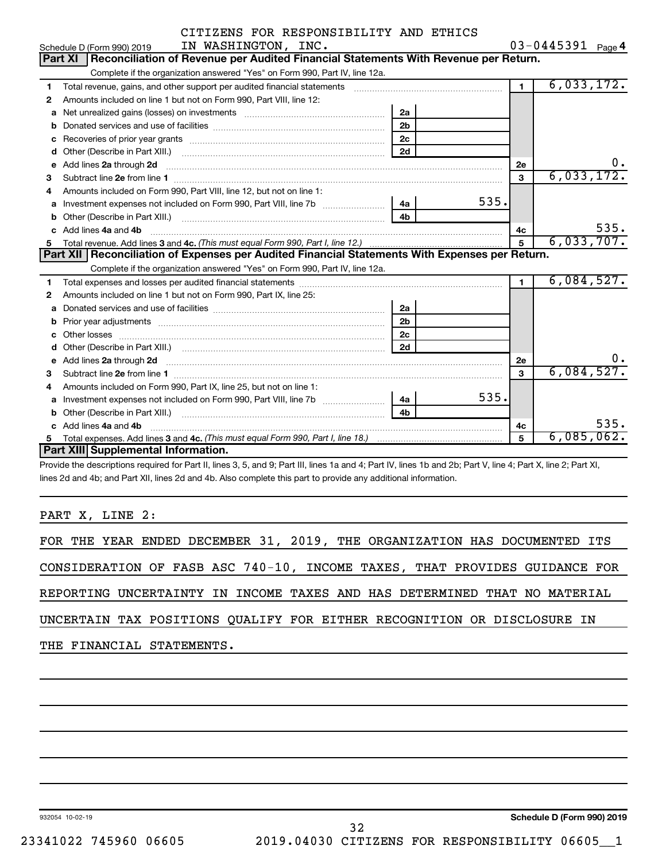| $03 - 0445391$ Page 4 |  |
|-----------------------|--|
|-----------------------|--|

|    | IN WASHINGTON, INC.<br>Schedule D (Form 990) 2019                                                                                                                                                                                    |                |      |                | $03 - 0445391$ Page 4 |
|----|--------------------------------------------------------------------------------------------------------------------------------------------------------------------------------------------------------------------------------------|----------------|------|----------------|-----------------------|
|    | Reconciliation of Revenue per Audited Financial Statements With Revenue per Return.<br>Part XI                                                                                                                                       |                |      |                |                       |
|    | Complete if the organization answered "Yes" on Form 990, Part IV, line 12a.                                                                                                                                                          |                |      |                |                       |
| 1  | Total revenue, gains, and other support per audited financial statements [111] [11] Total revenue, gains, and other support per audited financial statements                                                                         |                |      | $\mathbf 1$    | 6,033,172.            |
| 2  | Amounts included on line 1 but not on Form 990, Part VIII, line 12:                                                                                                                                                                  |                |      |                |                       |
| a  | Net unrealized gains (losses) on investments [11] matter contains the unrealized gains (losses) on investments                                                                                                                       | 2a             |      |                |                       |
|    |                                                                                                                                                                                                                                      | 2 <sub>b</sub> |      |                |                       |
| с  |                                                                                                                                                                                                                                      | 2 <sub>c</sub> |      |                |                       |
| d  | Other (Describe in Part XIII.) <b>Construction Contract Construction</b> [100]                                                                                                                                                       | 2d             |      |                |                       |
| е  | Add lines 2a through 2d <b>continuum continuum contract and all the contract of the contract of the contract of the contract of the contract of the contract of the contract of the contract of the contract of the contract of </b> |                |      | 2e             | 0.                    |
| 3  |                                                                                                                                                                                                                                      |                |      | 3              | 6,033,172.            |
| 4  | Amounts included on Form 990, Part VIII, line 12, but not on line 1:                                                                                                                                                                 |                |      |                |                       |
| a  | Investment expenses not included on Form 990, Part VIII, line 7b [100] [200] 4a [                                                                                                                                                    |                | 535. |                |                       |
| b  |                                                                                                                                                                                                                                      | 4 <sub>b</sub> |      |                |                       |
| C. | Add lines 4a and 4b                                                                                                                                                                                                                  |                |      | 4c             | 535.                  |
| 5. |                                                                                                                                                                                                                                      |                |      | $\overline{5}$ | 6,033,707.            |
|    |                                                                                                                                                                                                                                      |                |      |                |                       |
|    | Part XII   Reconciliation of Expenses per Audited Financial Statements With Expenses per Return.                                                                                                                                     |                |      |                |                       |
|    | Complete if the organization answered "Yes" on Form 990, Part IV, line 12a.                                                                                                                                                          |                |      |                |                       |
| 1  |                                                                                                                                                                                                                                      |                |      | $\blacksquare$ | 6,084,527.            |
| 2  | Amounts included on line 1 but not on Form 990, Part IX, line 25:                                                                                                                                                                    |                |      |                |                       |
| a  |                                                                                                                                                                                                                                      | 2a             |      |                |                       |
| b  |                                                                                                                                                                                                                                      | 2 <sub>b</sub> |      |                |                       |
| с  |                                                                                                                                                                                                                                      | 2 <sub>c</sub> |      |                |                       |
|    |                                                                                                                                                                                                                                      | 2d             |      |                |                       |
| e  | Add lines 2a through 2d <b>[10]</b> University of the state of the state of the state of the state of the state of the state of the state of the state of the state of the state of the state of the state of the state of the stat  |                |      | 2е             | υ.                    |
| 3  |                                                                                                                                                                                                                                      |                |      | 3              | 6,084,527.            |
| 4  | Amounts included on Form 990, Part IX, line 25, but not on line 1:                                                                                                                                                                   |                |      |                |                       |
| a  |                                                                                                                                                                                                                                      | 4a l           | 535. |                |                       |
|    | Other (Describe in Part XIII.) <b>Construction Contract Construction</b> Chemistry Chemistry Chemistry Chemistry Chemistry                                                                                                           | 4 <sub>b</sub> |      |                |                       |
|    | Add lines 4a and 4b                                                                                                                                                                                                                  |                |      | 4c             | 535.                  |
| 5  | Part XIII Supplemental Information.                                                                                                                                                                                                  |                |      | 5              | $6,085,062$ .         |

Provide the descriptions required for Part II, lines 3, 5, and 9; Part III, lines 1a and 4; Part IV, lines 1b and 2b; Part V, line 4; Part X, line 2; Part XI, lines 2d and 4b; and Part XII, lines 2d and 4b. Also complete this part to provide any additional information.

PART X, LINE 2:

|  |                           |  |  |  | FOR THE YEAR ENDED DECEMBER 31, 2019, THE ORGANIZATION HAS DOCUMENTED ITS  |  |  |  |
|--|---------------------------|--|--|--|----------------------------------------------------------------------------|--|--|--|
|  |                           |  |  |  | CONSIDERATION OF FASB ASC 740-10, INCOME TAXES, THAT PROVIDES GUIDANCE FOR |  |  |  |
|  |                           |  |  |  | REPORTING UNCERTAINTY IN INCOME TAXES AND HAS DETERMINED THAT NO MATERIAL  |  |  |  |
|  |                           |  |  |  | UNCERTAIN TAX POSITIONS QUALIFY FOR EITHER RECOGNITION OR DISCLOSURE IN    |  |  |  |
|  | THE FINANCIAL STATEMENTS. |  |  |  |                                                                            |  |  |  |

932054 10-02-19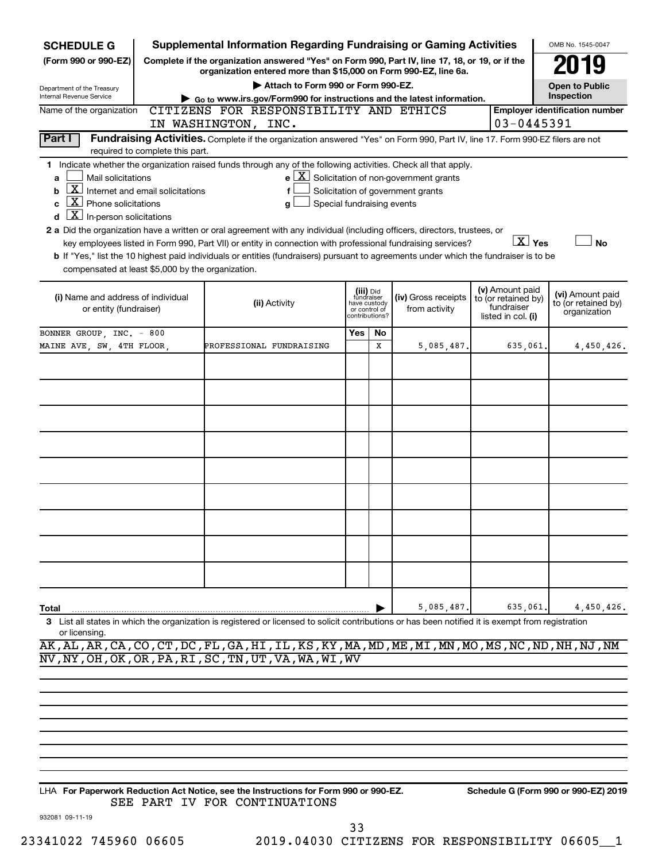| <b>SCHEDULE G</b>                                                                                                                                                                                                                                                                                                                                                                                                                                                                                                                                                                                                                                                                                                                                                                                                                                                                                                                 |                                 | <b>Supplemental Information Regarding Fundraising or Gaming Activities</b>                                                                                          |     |                                                                            |                                      |                                                                            | OMB No. 1545-0047                                       |            |
|-----------------------------------------------------------------------------------------------------------------------------------------------------------------------------------------------------------------------------------------------------------------------------------------------------------------------------------------------------------------------------------------------------------------------------------------------------------------------------------------------------------------------------------------------------------------------------------------------------------------------------------------------------------------------------------------------------------------------------------------------------------------------------------------------------------------------------------------------------------------------------------------------------------------------------------|---------------------------------|---------------------------------------------------------------------------------------------------------------------------------------------------------------------|-----|----------------------------------------------------------------------------|--------------------------------------|----------------------------------------------------------------------------|---------------------------------------------------------|------------|
| (Form 990 or 990-EZ)                                                                                                                                                                                                                                                                                                                                                                                                                                                                                                                                                                                                                                                                                                                                                                                                                                                                                                              |                                 | Complete if the organization answered "Yes" on Form 990, Part IV, line 17, 18, or 19, or if the<br>organization entered more than \$15,000 on Form 990-EZ, line 6a. |     |                                                                            |                                      |                                                                            |                                                         |            |
| Department of the Treasury                                                                                                                                                                                                                                                                                                                                                                                                                                                                                                                                                                                                                                                                                                                                                                                                                                                                                                        |                                 | Attach to Form 990 or Form 990-EZ.                                                                                                                                  |     |                                                                            |                                      |                                                                            | <b>Open to Public</b>                                   |            |
| Internal Revenue Service                                                                                                                                                                                                                                                                                                                                                                                                                                                                                                                                                                                                                                                                                                                                                                                                                                                                                                          |                                 | Go to www.irs.gov/Form990 for instructions and the latest information.                                                                                              |     |                                                                            |                                      |                                                                            | Inspection                                              |            |
| Name of the organization                                                                                                                                                                                                                                                                                                                                                                                                                                                                                                                                                                                                                                                                                                                                                                                                                                                                                                          |                                 | CITIZENS FOR RESPONSIBILITY AND ETHICS                                                                                                                              |     |                                                                            |                                      |                                                                            | <b>Employer identification number</b>                   |            |
|                                                                                                                                                                                                                                                                                                                                                                                                                                                                                                                                                                                                                                                                                                                                                                                                                                                                                                                                   |                                 | IN WASHINGTON, INC.                                                                                                                                                 |     |                                                                            |                                      |                                                                            | 03-0445391                                              |            |
| Part I                                                                                                                                                                                                                                                                                                                                                                                                                                                                                                                                                                                                                                                                                                                                                                                                                                                                                                                            | required to complete this part. | Fundraising Activities. Complete if the organization answered "Yes" on Form 990, Part IV, line 17. Form 990-EZ filers are not                                       |     |                                                                            |                                      |                                                                            |                                                         |            |
| 1 Indicate whether the organization raised funds through any of the following activities. Check all that apply.<br>$e$ $\boxed{X}$ Solicitation of non-government grants<br>Mail solicitations<br>a<br>$\boxed{\textbf{X}}$ Internet and email solicitations<br>Solicitation of government grants<br>f<br>b<br>$\boxed{\textbf{X}}$ Phone solicitations<br>Special fundraising events<br>C<br>g<br>$\underline{X}$ In-person solicitations<br>d<br>2 a Did the organization have a written or oral agreement with any individual (including officers, directors, trustees, or<br>$\boxed{\text{X}}$ Yes<br>key employees listed in Form 990, Part VII) or entity in connection with professional fundraising services?<br><b>No</b><br>b If "Yes," list the 10 highest paid individuals or entities (fundraisers) pursuant to agreements under which the fundraiser is to be<br>compensated at least \$5,000 by the organization. |                                 |                                                                                                                                                                     |     |                                                                            |                                      |                                                                            |                                                         |            |
| (i) Name and address of individual<br>or entity (fundraiser)                                                                                                                                                                                                                                                                                                                                                                                                                                                                                                                                                                                                                                                                                                                                                                                                                                                                      |                                 | (ii) Activity                                                                                                                                                       |     | (iii) Did<br>fundraiser<br>have custody<br>or control of<br>contributions? | (iv) Gross receipts<br>from activity | (v) Amount paid<br>to (or retained by)<br>fundraiser<br>listed in col. (i) | (vi) Amount paid<br>to (or retained by)<br>organization |            |
| BONNER GROUP, INC. - 800                                                                                                                                                                                                                                                                                                                                                                                                                                                                                                                                                                                                                                                                                                                                                                                                                                                                                                          |                                 |                                                                                                                                                                     | Yes | No                                                                         |                                      |                                                                            |                                                         |            |
| MAINE AVE, SW, 4TH FLOOR,                                                                                                                                                                                                                                                                                                                                                                                                                                                                                                                                                                                                                                                                                                                                                                                                                                                                                                         |                                 | PROFESSIONAL FUNDRAISING                                                                                                                                            |     | X                                                                          | 5,085,487.                           | 635,061.                                                                   |                                                         | 4,450,426. |
|                                                                                                                                                                                                                                                                                                                                                                                                                                                                                                                                                                                                                                                                                                                                                                                                                                                                                                                                   |                                 |                                                                                                                                                                     |     |                                                                            |                                      |                                                                            |                                                         |            |
|                                                                                                                                                                                                                                                                                                                                                                                                                                                                                                                                                                                                                                                                                                                                                                                                                                                                                                                                   |                                 |                                                                                                                                                                     |     |                                                                            |                                      |                                                                            |                                                         |            |
|                                                                                                                                                                                                                                                                                                                                                                                                                                                                                                                                                                                                                                                                                                                                                                                                                                                                                                                                   |                                 |                                                                                                                                                                     |     |                                                                            |                                      |                                                                            |                                                         |            |
|                                                                                                                                                                                                                                                                                                                                                                                                                                                                                                                                                                                                                                                                                                                                                                                                                                                                                                                                   |                                 |                                                                                                                                                                     |     |                                                                            |                                      |                                                                            |                                                         |            |
|                                                                                                                                                                                                                                                                                                                                                                                                                                                                                                                                                                                                                                                                                                                                                                                                                                                                                                                                   |                                 |                                                                                                                                                                     |     |                                                                            |                                      |                                                                            |                                                         |            |
|                                                                                                                                                                                                                                                                                                                                                                                                                                                                                                                                                                                                                                                                                                                                                                                                                                                                                                                                   |                                 |                                                                                                                                                                     |     |                                                                            |                                      |                                                                            |                                                         |            |
|                                                                                                                                                                                                                                                                                                                                                                                                                                                                                                                                                                                                                                                                                                                                                                                                                                                                                                                                   |                                 |                                                                                                                                                                     |     |                                                                            |                                      |                                                                            |                                                         |            |
|                                                                                                                                                                                                                                                                                                                                                                                                                                                                                                                                                                                                                                                                                                                                                                                                                                                                                                                                   |                                 |                                                                                                                                                                     |     |                                                                            |                                      |                                                                            |                                                         |            |
| Total                                                                                                                                                                                                                                                                                                                                                                                                                                                                                                                                                                                                                                                                                                                                                                                                                                                                                                                             |                                 |                                                                                                                                                                     |     |                                                                            | 5,085,487                            | 635,061                                                                    |                                                         | 4,450,426. |
| or licensing.                                                                                                                                                                                                                                                                                                                                                                                                                                                                                                                                                                                                                                                                                                                                                                                                                                                                                                                     |                                 | 3 List all states in which the organization is registered or licensed to solicit contributions or has been notified it is exempt from registration                  |     |                                                                            |                                      |                                                                            |                                                         |            |

AK,AL,AR,CA,CO,CT,DC,FL,GA,HI,IL,KS,KY,MA,MD,ME,MI,MN,MO,MS,NC,ND,NH,NJ,NM NV,NY,OH,OK,OR,PA,RI,SC,TN,UT,VA,WA,WI,WV

**For Paperwork Reduction Act Notice, see the Instructions for Form 990 or 990-EZ. Schedule G (Form 990 or 990-EZ) 2019** LHA SEE PART IV FOR CONTINUATIONS

932081 09-11-19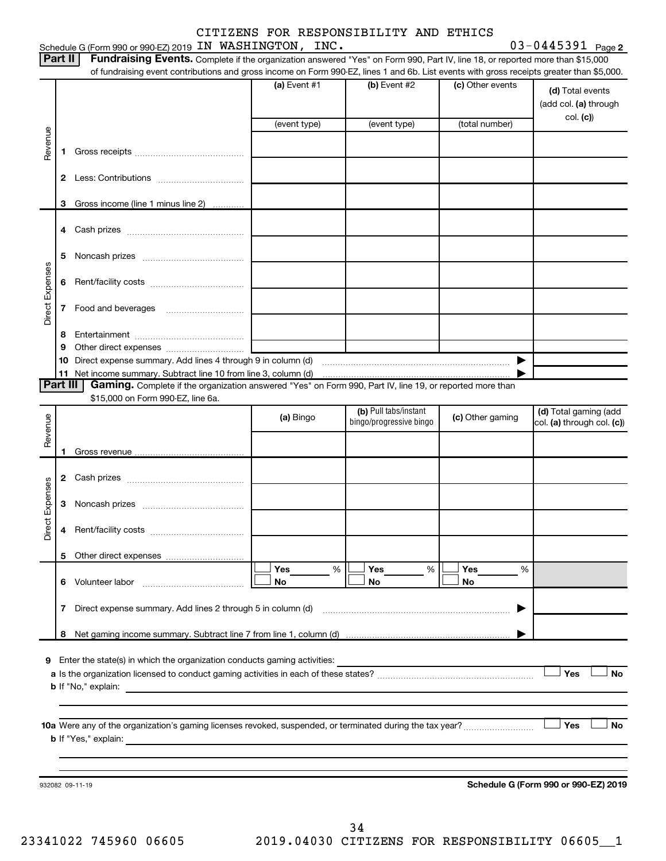|                 |                                                         | Schedule G (Form 990 or 990-EZ) 2019 IN WASHINGTON, INC.                                                                                        | CITIZENS FOR RESPONSIBILITY AND ETHICS |                         |                  | $03 - 0445391$ Page 2             |  |  |  |
|-----------------|---------------------------------------------------------|-------------------------------------------------------------------------------------------------------------------------------------------------|----------------------------------------|-------------------------|------------------|-----------------------------------|--|--|--|
|                 | Part II                                                 | Fundraising Events. Complete if the organization answered "Yes" on Form 990, Part IV, line 18, or reported more than \$15,000                   |                                        |                         |                  |                                   |  |  |  |
|                 |                                                         | of fundraising event contributions and gross income on Form 990-EZ, lines 1 and 6b. List events with gross receipts greater than \$5,000.       |                                        |                         |                  |                                   |  |  |  |
|                 |                                                         |                                                                                                                                                 | (a) Event #1                           | (b) Event #2            | (c) Other events | (d) Total events                  |  |  |  |
|                 |                                                         |                                                                                                                                                 | (event type)                           | (event type)            | (total number)   | (add col. (a) through<br>col. (c) |  |  |  |
| Revenue         |                                                         |                                                                                                                                                 |                                        |                         |                  |                                   |  |  |  |
|                 | 1                                                       |                                                                                                                                                 |                                        |                         |                  |                                   |  |  |  |
|                 | $\mathbf{2}$                                            |                                                                                                                                                 |                                        |                         |                  |                                   |  |  |  |
|                 | 3                                                       | Gross income (line 1 minus line 2)                                                                                                              |                                        |                         |                  |                                   |  |  |  |
|                 | 4                                                       |                                                                                                                                                 |                                        |                         |                  |                                   |  |  |  |
|                 | 5                                                       |                                                                                                                                                 |                                        |                         |                  |                                   |  |  |  |
|                 | 6                                                       |                                                                                                                                                 |                                        |                         |                  |                                   |  |  |  |
| Direct Expenses | 7                                                       |                                                                                                                                                 |                                        |                         |                  |                                   |  |  |  |
|                 | 8                                                       |                                                                                                                                                 |                                        |                         |                  |                                   |  |  |  |
|                 | 9                                                       |                                                                                                                                                 |                                        |                         |                  |                                   |  |  |  |
|                 | 10                                                      |                                                                                                                                                 |                                        |                         |                  |                                   |  |  |  |
|                 | Part III                                                | Gaming. Complete if the organization answered "Yes" on Form 990, Part IV, line 19, or reported more than                                        |                                        |                         |                  |                                   |  |  |  |
|                 |                                                         | \$15,000 on Form 990-EZ, line 6a.                                                                                                               |                                        |                         |                  |                                   |  |  |  |
|                 |                                                         |                                                                                                                                                 |                                        | (b) Pull tabs/instant   |                  | (d) Total gaming (add             |  |  |  |
| Revenue         |                                                         |                                                                                                                                                 | (a) Bingo                              | bingo/progressive bingo | (c) Other gaming | col. (a) through col. (c))        |  |  |  |
|                 |                                                         |                                                                                                                                                 |                                        |                         |                  |                                   |  |  |  |
|                 | 1.                                                      |                                                                                                                                                 |                                        |                         |                  |                                   |  |  |  |
|                 |                                                         |                                                                                                                                                 |                                        |                         |                  |                                   |  |  |  |
|                 |                                                         |                                                                                                                                                 |                                        |                         |                  |                                   |  |  |  |
| Expenses        |                                                         |                                                                                                                                                 |                                        |                         |                  |                                   |  |  |  |
| Direct          | 4                                                       |                                                                                                                                                 |                                        |                         |                  |                                   |  |  |  |
|                 | 5                                                       |                                                                                                                                                 |                                        |                         |                  |                                   |  |  |  |
|                 |                                                         |                                                                                                                                                 | Yes<br>%                               | Yes<br>%                | Yes<br>%         |                                   |  |  |  |
|                 |                                                         | 6 Volunteer labor                                                                                                                               | No                                     | No                      | No               |                                   |  |  |  |
|                 | 7                                                       | Direct expense summary. Add lines 2 through 5 in column (d)                                                                                     |                                        |                         |                  |                                   |  |  |  |
|                 |                                                         |                                                                                                                                                 |                                        |                         |                  |                                   |  |  |  |
|                 |                                                         |                                                                                                                                                 |                                        |                         |                  |                                   |  |  |  |
|                 |                                                         | 9 Enter the state(s) in which the organization conducts gaming activities:                                                                      |                                        |                         |                  | Yes<br>No                         |  |  |  |
|                 |                                                         |                                                                                                                                                 |                                        |                         |                  |                                   |  |  |  |
|                 |                                                         |                                                                                                                                                 |                                        |                         |                  |                                   |  |  |  |
|                 |                                                         |                                                                                                                                                 |                                        |                         |                  |                                   |  |  |  |
|                 |                                                         |                                                                                                                                                 |                                        |                         |                  | Yes<br>No                         |  |  |  |
|                 |                                                         | <b>b</b> If "Yes," explain:<br>and the control of the control of the control of the control of the control of the control of the control of the |                                        |                         |                  |                                   |  |  |  |
|                 |                                                         |                                                                                                                                                 |                                        |                         |                  |                                   |  |  |  |
|                 |                                                         |                                                                                                                                                 |                                        |                         |                  |                                   |  |  |  |
|                 | Schedule G (Form 990 or 990-EZ) 2019<br>932082 09-11-19 |                                                                                                                                                 |                                        |                         |                  |                                   |  |  |  |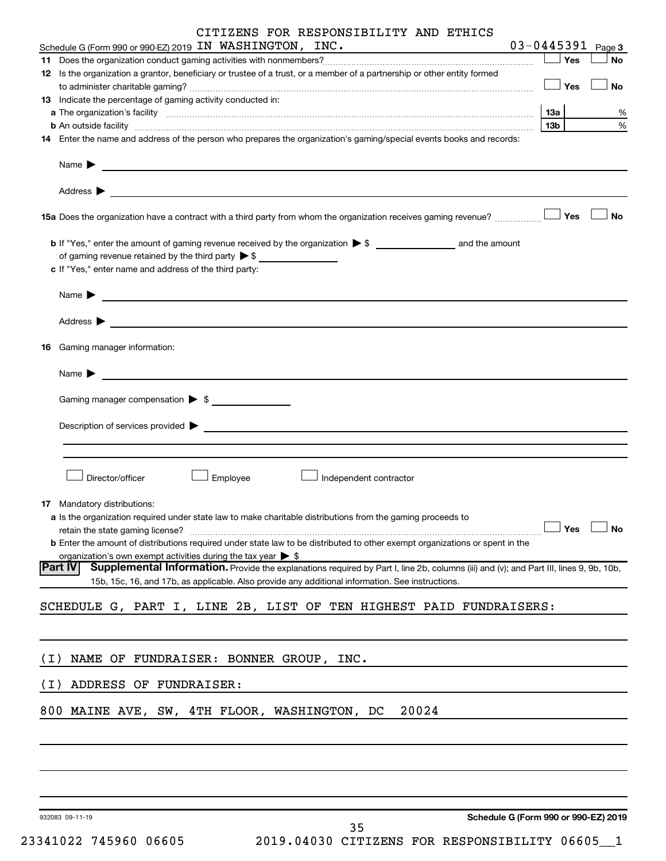| $03 - 0445391$ Page 3<br>Schedule G (Form 990 or 990-EZ) 2019 IN WASHINGTON, INC.<br>Yes<br>No<br>12 Is the organization a grantor, beneficiary or trustee of a trust, or a member of a partnership or other entity formed<br>$\Box$ Yes<br>No<br>13 Indicate the percentage of gaming activity conducted in:<br>13а<br>% |
|---------------------------------------------------------------------------------------------------------------------------------------------------------------------------------------------------------------------------------------------------------------------------------------------------------------------------|
|                                                                                                                                                                                                                                                                                                                           |
|                                                                                                                                                                                                                                                                                                                           |
|                                                                                                                                                                                                                                                                                                                           |
|                                                                                                                                                                                                                                                                                                                           |
|                                                                                                                                                                                                                                                                                                                           |
| 13 <sub>b</sub><br>%<br><b>b</b> An outside facility <i>www.communicallycommunicallycommunicallycommunicallycommunicallycommunicallycommunicallycommunicallycommunicallycommunicallycommunicallycommunicallycommunicallycommunicallycommunicallycommunicallyc</i>                                                         |
| 14 Enter the name and address of the person who prepares the organization's gaming/special events books and records:                                                                                                                                                                                                      |
| Name $\blacktriangleright$<br><u>some started and the started and the started and the started and the started and the started and the started and</u>                                                                                                                                                                     |
| Address $\blacktriangleright$                                                                                                                                                                                                                                                                                             |
| <b>」Yes</b><br>No<br>15a Does the organization have a contract with a third party from whom the organization receives gaming revenue?                                                                                                                                                                                     |
|                                                                                                                                                                                                                                                                                                                           |
| of gaming revenue retained by the third party $\triangleright$ \$                                                                                                                                                                                                                                                         |
| c If "Yes," enter name and address of the third party:                                                                                                                                                                                                                                                                    |
| Name <b>Decision and Contract Contract Contract Contract Contract Contract Contract Contract Contract Contract Contract Contract Contract Contract Contract Contract Contract Contract Contract Contract Contract Contract Contr</b>                                                                                      |
| Address $\blacktriangleright$<br><u> 1989 - Johann Harry Harry Harry Harry Harry Harry Harry Harry Harry Harry Harry Harry Harry Harry Harry Harry</u>                                                                                                                                                                    |
| Gaming manager information:<br>16                                                                                                                                                                                                                                                                                         |
| Name $\blacktriangleright$<br><u> 1980 - John Stein, Amerikaansk politiker (* 1918)</u>                                                                                                                                                                                                                                   |
| Gaming manager compensation > \$                                                                                                                                                                                                                                                                                          |
|                                                                                                                                                                                                                                                                                                                           |
| Description of services provided > example and the contract of the contract of the contract of the contract of                                                                                                                                                                                                            |
|                                                                                                                                                                                                                                                                                                                           |
|                                                                                                                                                                                                                                                                                                                           |
| Director/officer<br>Employee<br>Independent contractor                                                                                                                                                                                                                                                                    |
| 17 Mandatory distributions:                                                                                                                                                                                                                                                                                               |
| a Is the organization required under state law to make charitable distributions from the gaming proceeds to                                                                                                                                                                                                               |
| Yes<br>No<br>retain the state gaming license?                                                                                                                                                                                                                                                                             |
| <b>b</b> Enter the amount of distributions required under state law to be distributed to other exempt organizations or spent in the                                                                                                                                                                                       |
| organization's own exempt activities during the tax year $\triangleright$ \$<br>Supplemental Information. Provide the explanations required by Part I, line 2b, columns (iii) and (v); and Part III, lines 9, 9b, 10b,<br> Part IV                                                                                        |
| 15b, 15c, 16, and 17b, as applicable. Also provide any additional information. See instructions.                                                                                                                                                                                                                          |
| SCHEDULE G, PART I, LINE 2B, LIST OF TEN HIGHEST PAID FUNDRAISERS:                                                                                                                                                                                                                                                        |
|                                                                                                                                                                                                                                                                                                                           |
| NAME OF FUNDRAISER: BONNER GROUP, INC.<br>( I )                                                                                                                                                                                                                                                                           |
|                                                                                                                                                                                                                                                                                                                           |
| ADDRESS OF FUNDRAISER:<br>( I )                                                                                                                                                                                                                                                                                           |
| 20024<br>800 MAINE AVE, SW, 4TH FLOOR, WASHINGTON, DC                                                                                                                                                                                                                                                                     |
|                                                                                                                                                                                                                                                                                                                           |
|                                                                                                                                                                                                                                                                                                                           |
|                                                                                                                                                                                                                                                                                                                           |
| Schodule C (Form 000 or 000 EZ) 2010                                                                                                                                                                                                                                                                                      |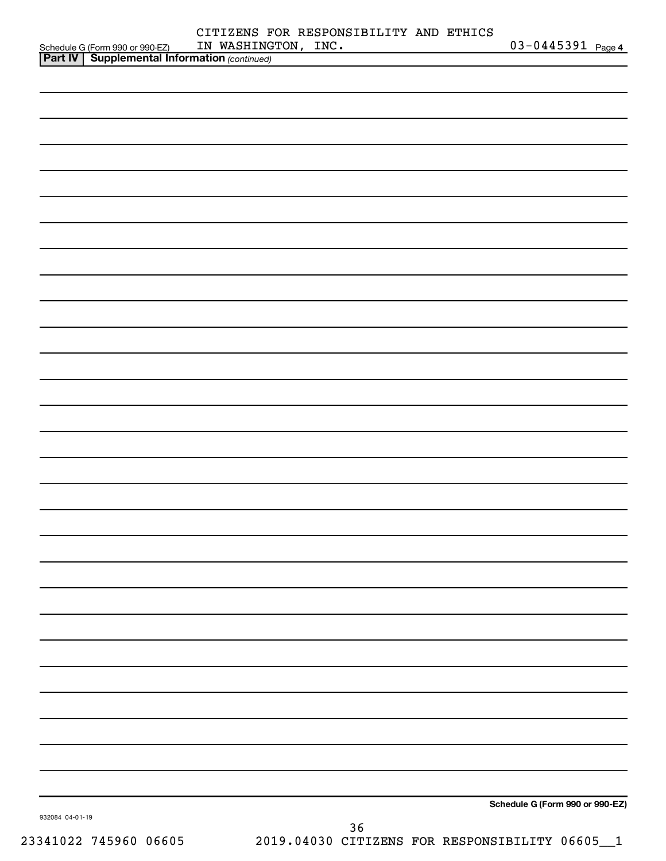|                 |                                                                                                     | CITIZENS FOR RESPONSIBILITY AND ETHICS |    |                                 |  |
|-----------------|-----------------------------------------------------------------------------------------------------|----------------------------------------|----|---------------------------------|--|
|                 | Schedule G (Form 990 or 990-EZ) IN WASHING<br><b>Part IV   Supplemental Information</b> (continued) | IN WASHINGTON, INC.                    |    | $03 - 0445391$ Page 4           |  |
|                 |                                                                                                     |                                        |    |                                 |  |
|                 |                                                                                                     |                                        |    |                                 |  |
|                 |                                                                                                     |                                        |    |                                 |  |
|                 |                                                                                                     |                                        |    |                                 |  |
|                 |                                                                                                     |                                        |    |                                 |  |
|                 |                                                                                                     |                                        |    |                                 |  |
|                 |                                                                                                     |                                        |    |                                 |  |
|                 |                                                                                                     |                                        |    |                                 |  |
|                 |                                                                                                     |                                        |    |                                 |  |
|                 |                                                                                                     |                                        |    |                                 |  |
|                 |                                                                                                     |                                        |    |                                 |  |
|                 |                                                                                                     |                                        |    |                                 |  |
|                 |                                                                                                     |                                        |    |                                 |  |
|                 |                                                                                                     |                                        |    |                                 |  |
|                 |                                                                                                     |                                        |    |                                 |  |
|                 |                                                                                                     |                                        |    |                                 |  |
|                 |                                                                                                     |                                        |    |                                 |  |
|                 |                                                                                                     |                                        |    |                                 |  |
|                 |                                                                                                     |                                        |    |                                 |  |
|                 |                                                                                                     |                                        |    |                                 |  |
|                 |                                                                                                     |                                        |    |                                 |  |
|                 |                                                                                                     |                                        |    |                                 |  |
|                 |                                                                                                     |                                        |    |                                 |  |
|                 |                                                                                                     |                                        |    |                                 |  |
|                 |                                                                                                     |                                        |    |                                 |  |
|                 |                                                                                                     |                                        |    |                                 |  |
|                 |                                                                                                     |                                        |    |                                 |  |
|                 |                                                                                                     |                                        |    |                                 |  |
|                 |                                                                                                     |                                        |    |                                 |  |
|                 |                                                                                                     |                                        |    |                                 |  |
|                 |                                                                                                     |                                        |    |                                 |  |
|                 |                                                                                                     |                                        |    |                                 |  |
|                 |                                                                                                     |                                        |    |                                 |  |
|                 |                                                                                                     |                                        |    |                                 |  |
|                 |                                                                                                     |                                        |    |                                 |  |
|                 |                                                                                                     |                                        |    |                                 |  |
|                 |                                                                                                     |                                        |    |                                 |  |
|                 |                                                                                                     |                                        |    |                                 |  |
|                 |                                                                                                     |                                        |    |                                 |  |
|                 |                                                                                                     |                                        |    |                                 |  |
|                 |                                                                                                     |                                        |    |                                 |  |
|                 |                                                                                                     |                                        |    |                                 |  |
|                 |                                                                                                     |                                        |    |                                 |  |
|                 |                                                                                                     |                                        |    |                                 |  |
|                 |                                                                                                     |                                        |    | Schedule G (Form 990 or 990-EZ) |  |
| 932084 04-01-19 |                                                                                                     |                                        |    |                                 |  |
|                 |                                                                                                     |                                        | 36 |                                 |  |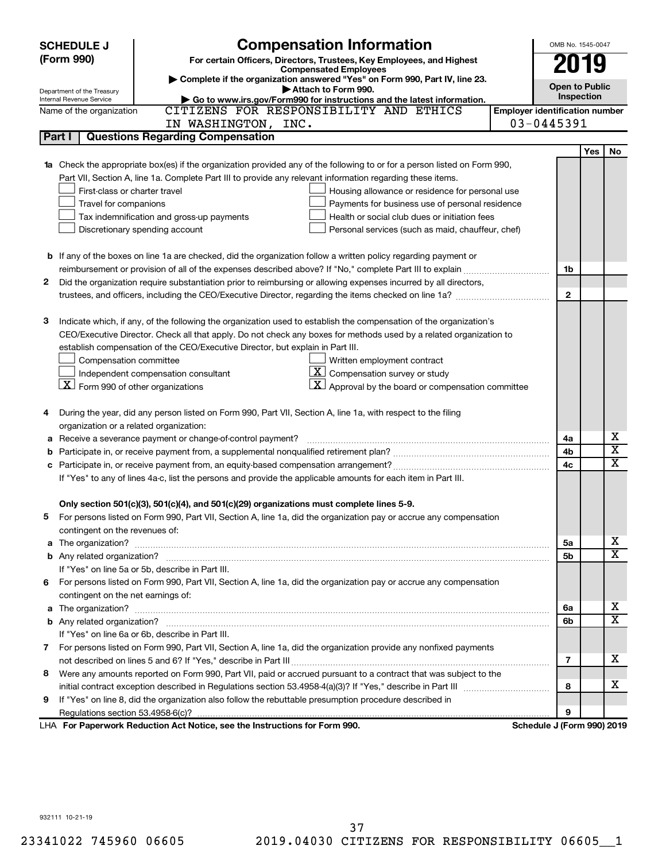|   | <b>Compensation Information</b><br><b>SCHEDULE J</b>            |                                                                                                                        |                                       | OMB No. 1545-0047          |     |                         |
|---|-----------------------------------------------------------------|------------------------------------------------------------------------------------------------------------------------|---------------------------------------|----------------------------|-----|-------------------------|
|   | (Form 990)                                                      | For certain Officers, Directors, Trustees, Key Employees, and Highest                                                  |                                       | 2019                       |     |                         |
|   |                                                                 | <b>Compensated Employees</b>                                                                                           |                                       |                            |     |                         |
|   | Department of the Treasury                                      | Complete if the organization answered "Yes" on Form 990, Part IV, line 23.<br>Attach to Form 990.                      |                                       | <b>Open to Public</b>      |     |                         |
|   | Internal Revenue Service                                        | Go to www.irs.gov/Form990 for instructions and the latest information.                                                 |                                       | Inspection                 |     |                         |
|   | Name of the organization                                        | CITIZENS FOR RESPONSIBILITY AND ETHICS                                                                                 | <b>Employer identification number</b> |                            |     |                         |
|   |                                                                 | IN WASHINGTON, INC.                                                                                                    |                                       | 03-0445391                 |     |                         |
|   | Part I                                                          | <b>Questions Regarding Compensation</b>                                                                                |                                       |                            |     |                         |
|   |                                                                 |                                                                                                                        |                                       |                            | Yes | No                      |
|   |                                                                 | Check the appropriate box(es) if the organization provided any of the following to or for a person listed on Form 990, |                                       |                            |     |                         |
|   |                                                                 | Part VII, Section A, line 1a. Complete Part III to provide any relevant information regarding these items.             |                                       |                            |     |                         |
|   | First-class or charter travel                                   | Housing allowance or residence for personal use                                                                        |                                       |                            |     |                         |
|   | Travel for companions                                           | Payments for business use of personal residence                                                                        |                                       |                            |     |                         |
|   |                                                                 | Health or social club dues or initiation fees<br>Tax indemnification and gross-up payments                             |                                       |                            |     |                         |
|   |                                                                 | Discretionary spending account<br>Personal services (such as maid, chauffeur, chef)                                    |                                       |                            |     |                         |
|   |                                                                 |                                                                                                                        |                                       |                            |     |                         |
|   |                                                                 | <b>b</b> If any of the boxes on line 1a are checked, did the organization follow a written policy regarding payment or |                                       |                            |     |                         |
|   |                                                                 |                                                                                                                        |                                       | 1b                         |     |                         |
| 2 |                                                                 | Did the organization require substantiation prior to reimbursing or allowing expenses incurred by all directors,       |                                       |                            |     |                         |
|   |                                                                 |                                                                                                                        |                                       | $\mathbf{2}$               |     |                         |
|   |                                                                 |                                                                                                                        |                                       |                            |     |                         |
| З |                                                                 | Indicate which, if any, of the following the organization used to establish the compensation of the organization's     |                                       |                            |     |                         |
|   |                                                                 | CEO/Executive Director. Check all that apply. Do not check any boxes for methods used by a related organization to     |                                       |                            |     |                         |
|   |                                                                 | establish compensation of the CEO/Executive Director, but explain in Part III.                                         |                                       |                            |     |                         |
|   | Compensation committee                                          | Written employment contract                                                                                            |                                       |                            |     |                         |
|   |                                                                 | $ \mathbf{X} $ Compensation survey or study<br>Independent compensation consultant                                     |                                       |                            |     |                         |
|   | $\lfloor \underline{X} \rfloor$ Form 990 of other organizations | $\mathbf{X}$ Approval by the board or compensation committee                                                           |                                       |                            |     |                         |
|   |                                                                 |                                                                                                                        |                                       |                            |     |                         |
| 4 |                                                                 | During the year, did any person listed on Form 990, Part VII, Section A, line 1a, with respect to the filing           |                                       |                            |     |                         |
|   | organization or a related organization:                         |                                                                                                                        |                                       |                            |     | x                       |
| а |                                                                 | Receive a severance payment or change-of-control payment?                                                              |                                       | 4a<br>4b                   |     | $\overline{\mathbf{X}}$ |
| b |                                                                 |                                                                                                                        |                                       | 4c                         |     | X                       |
|   |                                                                 | If "Yes" to any of lines 4a-c, list the persons and provide the applicable amounts for each item in Part III.          |                                       |                            |     |                         |
|   |                                                                 |                                                                                                                        |                                       |                            |     |                         |
|   |                                                                 | Only section 501(c)(3), 501(c)(4), and 501(c)(29) organizations must complete lines 5-9.                               |                                       |                            |     |                         |
|   |                                                                 | For persons listed on Form 990, Part VII, Section A, line 1a, did the organization pay or accrue any compensation      |                                       |                            |     |                         |
|   | contingent on the revenues of:                                  |                                                                                                                        |                                       |                            |     |                         |
| a |                                                                 |                                                                                                                        |                                       | 5a                         |     | x                       |
|   |                                                                 |                                                                                                                        |                                       | 5b                         |     | $\overline{\mathtt{x}}$ |
|   |                                                                 | If "Yes" on line 5a or 5b, describe in Part III.                                                                       |                                       |                            |     |                         |
|   |                                                                 | 6 For persons listed on Form 990, Part VII, Section A, line 1a, did the organization pay or accrue any compensation    |                                       |                            |     |                         |
|   | contingent on the net earnings of:                              |                                                                                                                        |                                       |                            |     |                         |
| a |                                                                 |                                                                                                                        |                                       | 6a                         |     | x                       |
|   |                                                                 |                                                                                                                        |                                       | 6b                         |     | $\overline{\texttt{x}}$ |
|   |                                                                 | If "Yes" on line 6a or 6b, describe in Part III.                                                                       |                                       |                            |     |                         |
|   |                                                                 | 7 For persons listed on Form 990, Part VII, Section A, line 1a, did the organization provide any nonfixed payments     |                                       |                            |     |                         |
|   |                                                                 |                                                                                                                        |                                       | 7                          |     | х                       |
| 8 |                                                                 | Were any amounts reported on Form 990, Part VII, paid or accrued pursuant to a contract that was subject to the        |                                       |                            |     |                         |
|   |                                                                 |                                                                                                                        |                                       | 8                          |     | х                       |
| 9 |                                                                 | If "Yes" on line 8, did the organization also follow the rebuttable presumption procedure described in                 |                                       |                            |     |                         |
|   |                                                                 |                                                                                                                        |                                       | 9                          |     |                         |
|   |                                                                 | LHA For Paperwork Reduction Act Notice, see the Instructions for Form 990.                                             |                                       | Schedule J (Form 990) 2019 |     |                         |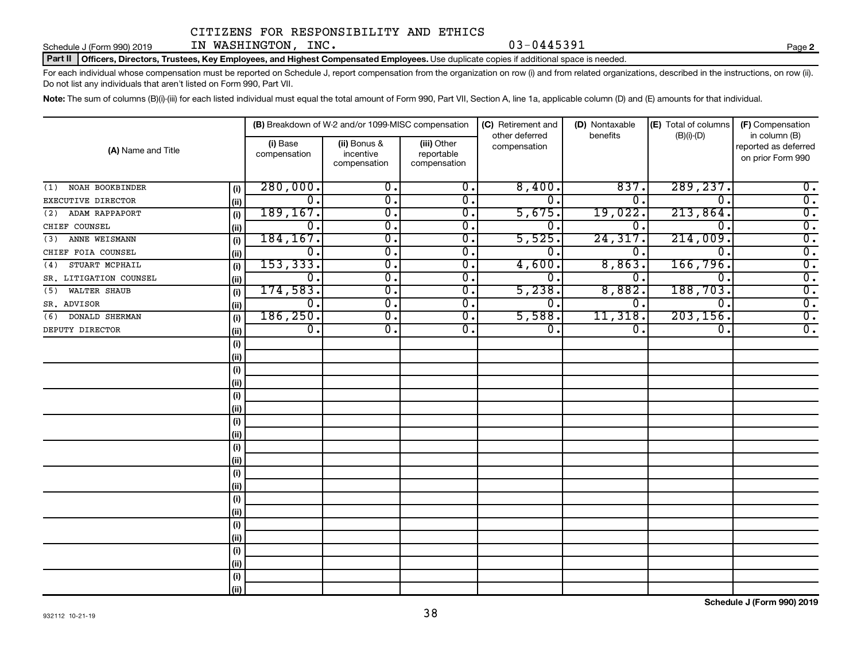#### Part II | Officers, Directors, Trustees, Key Employees, and Highest Compensated Employees. Use duplicate copies if additional space is needed. Schedule J (Form 990) 2019  $IN$   $NASHINGTON$ ,  $INC$ .  $03-0445391$

For each individual whose compensation must be reported on Schedule J, report compensation from the organization on row (i) and from related organizations, described in the instructions, on row (ii).

Do not list any individuals that aren't listed on Form 990, Part VII.

Note: The sum of columns (B)(i)-(iii) for each listed individual must equal the total amount of Form 990, Part VII, Section A, line 1a, applicable column (D) and (E) amounts for that individual.

|                        |                          |                                           | (B) Breakdown of W-2 and/or 1099-MISC compensation |                                | (C) Retirement and | (D) Nontaxable | (E) Total of columns                                       | (F) Compensation |  |
|------------------------|--------------------------|-------------------------------------------|----------------------------------------------------|--------------------------------|--------------------|----------------|------------------------------------------------------------|------------------|--|
| (A) Name and Title     | (i) Base<br>compensation | (ii) Bonus &<br>incentive<br>compensation | (iii) Other<br>reportable<br>compensation          | other deferred<br>compensation | benefits           | $(B)(i)-(D)$   | in column (B)<br>reported as deferred<br>on prior Form 990 |                  |  |
| NOAH BOOKBINDER<br>(1) |                          | 280,000.                                  | $\overline{\mathbf{0}}$ .                          | $\overline{0}$ .               | 8,400.             | 837            | 289, 237.                                                  | $\overline{0}$ . |  |
| EXECUTIVE DIRECTOR     | (i)<br>(ii)              | $\overline{0}$ .                          | $\overline{0}$ .                                   | $\overline{0}$ .               | 0.                 | О.             | $\overline{0}$                                             | $\overline{0}$ . |  |
| ADAM RAPPAPORT<br>(2)  | (i)                      | 189, 167.                                 | $\overline{\mathfrak{o}}$ .                        | $\overline{0}$ .               | 5,675.             | 19,022.        | 213,864.                                                   | $\overline{0}$ . |  |
| CHIEF COUNSEL          | (ii)                     | σ.                                        | $\overline{\mathfrak{o}}$ .                        | $\overline{0}$ .               | $\overline{0}$ .   | 0.             | $\overline{0}$ .                                           | $\overline{0}$ . |  |
| ANNE WEISMANN<br>(3)   | (i)                      | 184, 167.                                 | $\overline{\mathfrak{o}}$ .                        | $\overline{0}$ .               | 5,525.             | 24,317         | 214,009.                                                   | $\overline{0}$ . |  |
| CHIEF FOIA COUNSEL     | (ii)                     | $\overline{0}$ .                          | $\overline{\mathfrak{o}}$ .                        | $\overline{0}$ .               | $\overline{0}$ .   | 0.             | $\overline{0}$                                             | $\overline{0}$ . |  |
| STUART MCPHAIL<br>(4)  | (i)                      | 153, 333.                                 | $\overline{\mathfrak{o}}$ .                        | $\overline{0}$ .               | 4,600              | 8,863.         | 166,796.                                                   | $\overline{0}$ . |  |
| SR. LITIGATION COUNSEL | (ii)                     | $\overline{0}$ .                          | $\overline{\mathfrak{o}}$ .                        | $\overline{0}$ .               | 0.                 | 0,             | $\overline{\mathfrak{o}}$ .                                | $\overline{0}$ . |  |
| WALTER SHAUB<br>(5)    | (i)                      | 174,583.                                  | $\overline{\mathfrak{o}}$ .                        | $\overline{0}$ .               | 5,238.             | 8,882.         | 188,703.                                                   | $\overline{0}$ . |  |
| SR. ADVISOR            | (ii)                     | $\overline{0}$ .                          | $\overline{\mathfrak{o}}$ .                        | $\overline{0}$ .               | $\overline{0}$ .   | 0.             | $\overline{\mathfrak{o}}$ .                                | $\overline{0}$ . |  |
| DONALD SHERMAN<br>(6)  | (i)                      | 186, 250.                                 | $\overline{0}$ .                                   | $\overline{0}$ .               | 5,588.             | 11,318.        | 203, 156.                                                  | $\overline{0}$ . |  |
| DEPUTY DIRECTOR        | (ii)                     | $\overline{0}$ .                          | $\overline{\mathfrak{o}}$ .                        | $\overline{0}$ .               | $\overline{0}$ .   | 0.             | $\overline{\mathfrak{o}}$ .                                | $\overline{0}$ . |  |
|                        | (i)                      |                                           |                                                    |                                |                    |                |                                                            |                  |  |
|                        | (ii)                     |                                           |                                                    |                                |                    |                |                                                            |                  |  |
|                        | (i)                      |                                           |                                                    |                                |                    |                |                                                            |                  |  |
|                        | (ii)                     |                                           |                                                    |                                |                    |                |                                                            |                  |  |
|                        | (i)                      |                                           |                                                    |                                |                    |                |                                                            |                  |  |
|                        | (ii)                     |                                           |                                                    |                                |                    |                |                                                            |                  |  |
|                        | (i)                      |                                           |                                                    |                                |                    |                |                                                            |                  |  |
|                        | (ii)                     |                                           |                                                    |                                |                    |                |                                                            |                  |  |
|                        | (i)                      |                                           |                                                    |                                |                    |                |                                                            |                  |  |
|                        | (ii)                     |                                           |                                                    |                                |                    |                |                                                            |                  |  |
|                        | (i)                      |                                           |                                                    |                                |                    |                |                                                            |                  |  |
|                        | (ii)                     |                                           |                                                    |                                |                    |                |                                                            |                  |  |
|                        | (i)                      |                                           |                                                    |                                |                    |                |                                                            |                  |  |
|                        | (ii)                     |                                           |                                                    |                                |                    |                |                                                            |                  |  |
|                        | (i)                      |                                           |                                                    |                                |                    |                |                                                            |                  |  |
|                        | (ii)                     |                                           |                                                    |                                |                    |                |                                                            |                  |  |
|                        | (i)                      |                                           |                                                    |                                |                    |                |                                                            |                  |  |
|                        | (ii)                     |                                           |                                                    |                                |                    |                |                                                            |                  |  |
|                        | (i)                      |                                           |                                                    |                                |                    |                |                                                            |                  |  |
|                        | (ii)                     |                                           |                                                    |                                |                    |                |                                                            |                  |  |

**2**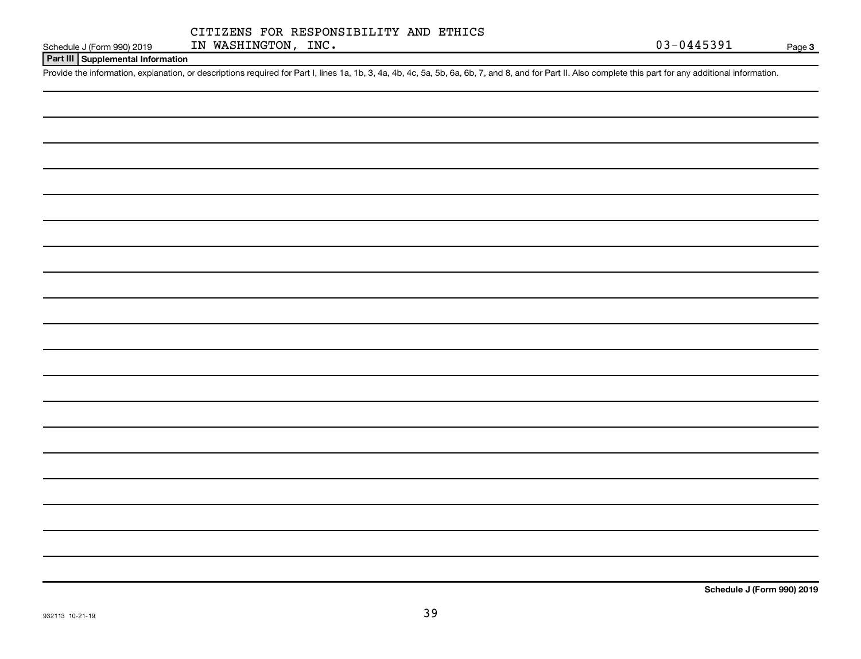#### **Part III Supplemental Information**

Provide the information, explanation, or descriptions required for Part I, lines 1a, 1b, 3, 4a, 4b, 4c, 5a, 5b, 6a, 6b, 7, and 8, and for Part II. Also complete this part for any additional information.

**Schedule J (Form 990) 2019**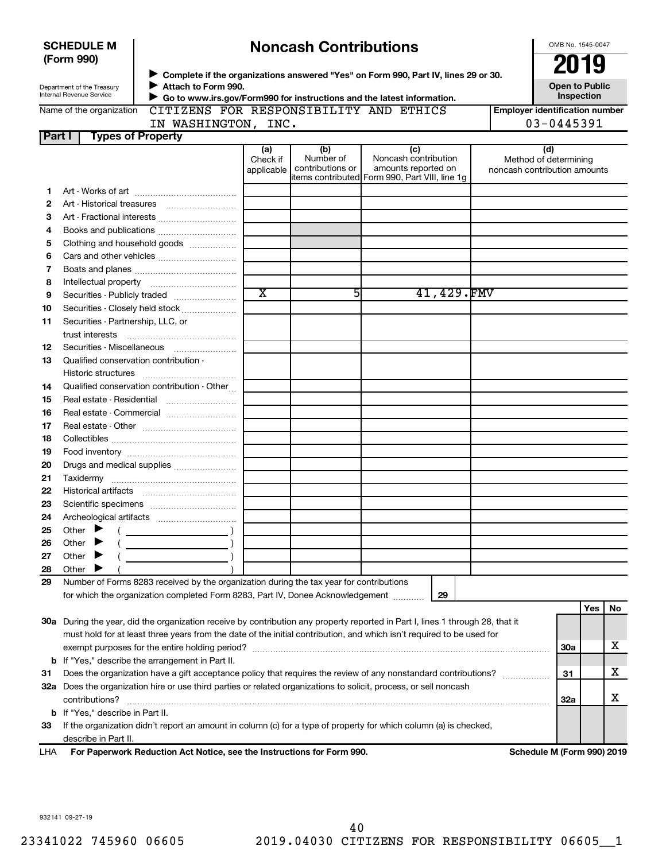| <b>SCHEDULE M</b> |  |
|-------------------|--|
| (Form 990)        |  |

# **Noncash Contributions**

OMB No. 1545-0047

| Department of the Treasury |
|----------------------------|
| Internal Revenue Service   |

◆ Complete if the organizations answered "Yes" on Form 990, Part IV, lines 29 or 30.<br>▶ Complete if the organizations answered "Yes" on Form 990, Part IV, lines 29 or 30. **Attach to Form 990.**  $\blacktriangleright$  $\blacktriangleright$ 

**Open to Public Inspection**

|  | Name of the organization |  |
|--|--------------------------|--|
|  |                          |  |

 **Go to www.irs.gov/Form990 for instructions and the latest information. ILITY AND ETHICS** 

| ganization CITIZENS FOR RESPONSIB |
|-----------------------------------|
|-----------------------------------|

**Employer identification number** IN WASHINGTON, INC. 03-0445391

|                            | IN WASHINGTON, |  |
|----------------------------|----------------|--|
| Part I   Types of Property |                |  |
|                            |                |  |

|  | , ו⊾ ט | ᆠᄭᇰ |  |
|--|--------|-----|--|
|  |        |     |  |
|  |        |     |  |

|     |                                                                                                                                | (a)<br>Check if       | (b)<br>Number of | (c)<br>Noncash contribution                                            | (d)<br>Method of determining |     |     |    |  |
|-----|--------------------------------------------------------------------------------------------------------------------------------|-----------------------|------------------|------------------------------------------------------------------------|------------------------------|-----|-----|----|--|
|     |                                                                                                                                | applicable            | contributions or | amounts reported on<br>litems contributed Form 990, Part VIII, line 1g | noncash contribution amounts |     |     |    |  |
| 1.  |                                                                                                                                |                       |                  |                                                                        |                              |     |     |    |  |
| 2   |                                                                                                                                |                       |                  |                                                                        |                              |     |     |    |  |
| 3   | Art - Fractional interests                                                                                                     |                       |                  |                                                                        |                              |     |     |    |  |
| 4   | Books and publications                                                                                                         |                       |                  |                                                                        |                              |     |     |    |  |
| 5   | Clothing and household goods                                                                                                   |                       |                  |                                                                        |                              |     |     |    |  |
| 6   | Cars and other vehicles                                                                                                        |                       |                  |                                                                        |                              |     |     |    |  |
| 7   |                                                                                                                                |                       |                  |                                                                        |                              |     |     |    |  |
| 8   |                                                                                                                                |                       |                  |                                                                        |                              |     |     |    |  |
| 9   | Securities - Publicly traded                                                                                                   | $\overline{\text{x}}$ | 51               | 41,429.FMV                                                             |                              |     |     |    |  |
| 10  | Securities - Closely held stock                                                                                                |                       |                  |                                                                        |                              |     |     |    |  |
| 11  | Securities - Partnership, LLC, or                                                                                              |                       |                  |                                                                        |                              |     |     |    |  |
|     | trust interests                                                                                                                |                       |                  |                                                                        |                              |     |     |    |  |
| 12  |                                                                                                                                |                       |                  |                                                                        |                              |     |     |    |  |
| 13  | Qualified conservation contribution -                                                                                          |                       |                  |                                                                        |                              |     |     |    |  |
|     |                                                                                                                                |                       |                  |                                                                        |                              |     |     |    |  |
| 14  | Qualified conservation contribution - Other                                                                                    |                       |                  |                                                                        |                              |     |     |    |  |
| 15  |                                                                                                                                |                       |                  |                                                                        |                              |     |     |    |  |
| 16  | Real estate - Commercial                                                                                                       |                       |                  |                                                                        |                              |     |     |    |  |
| 17  |                                                                                                                                |                       |                  |                                                                        |                              |     |     |    |  |
| 18  |                                                                                                                                |                       |                  |                                                                        |                              |     |     |    |  |
| 19  |                                                                                                                                |                       |                  |                                                                        |                              |     |     |    |  |
| 20  | Drugs and medical supplies                                                                                                     |                       |                  |                                                                        |                              |     |     |    |  |
| 21  |                                                                                                                                |                       |                  |                                                                        |                              |     |     |    |  |
| 22  |                                                                                                                                |                       |                  |                                                                        |                              |     |     |    |  |
| 23  |                                                                                                                                |                       |                  |                                                                        |                              |     |     |    |  |
| 24  |                                                                                                                                |                       |                  |                                                                        |                              |     |     |    |  |
| 25  | Other $\blacktriangleright$                                                                                                    |                       |                  |                                                                        |                              |     |     |    |  |
| 26  | Other<br>$\overline{\phantom{a}}$ )<br>▶                                                                                       |                       |                  |                                                                        |                              |     |     |    |  |
| 27  | Other<br>▶                                                                                                                     |                       |                  |                                                                        |                              |     |     |    |  |
| 28  | Other                                                                                                                          |                       |                  |                                                                        |                              |     |     |    |  |
| 29  | Number of Forms 8283 received by the organization during the tax year for contributions                                        |                       |                  |                                                                        |                              |     |     |    |  |
|     | for which the organization completed Form 8283, Part IV, Donee Acknowledgement                                                 |                       |                  | 29                                                                     |                              |     |     |    |  |
|     |                                                                                                                                |                       |                  |                                                                        |                              |     | Yes | No |  |
|     | 30a During the year, did the organization receive by contribution any property reported in Part I, lines 1 through 28, that it |                       |                  |                                                                        |                              |     |     |    |  |
|     | must hold for at least three years from the date of the initial contribution, and which isn't required to be used for          |                       |                  |                                                                        |                              |     |     |    |  |
|     | exempt purposes for the entire holding period?<br><b>30a</b>                                                                   |                       |                  |                                                                        |                              |     |     |    |  |
|     | <b>b</b> If "Yes," describe the arrangement in Part II.                                                                        |                       |                  |                                                                        |                              |     |     |    |  |
| 31  | Does the organization have a gift acceptance policy that requires the review of any nonstandard contributions?                 |                       |                  |                                                                        |                              | 31  |     | х  |  |
|     | 32a Does the organization hire or use third parties or related organizations to solicit, process, or sell noncash              |                       |                  |                                                                        |                              |     |     |    |  |
|     | contributions?                                                                                                                 |                       |                  |                                                                        |                              | 32a |     | х  |  |
|     | <b>b</b> If "Yes," describe in Part II.                                                                                        |                       |                  |                                                                        |                              |     |     |    |  |
| 33  | If the organization didn't report an amount in column (c) for a type of property for which column (a) is checked,              |                       |                  |                                                                        |                              |     |     |    |  |
|     | describe in Part II.                                                                                                           |                       |                  |                                                                        |                              |     |     |    |  |
| LHA | For Paperwork Reduction Act Notice, see the Instructions for Form 990.                                                         |                       |                  |                                                                        | Schedule M (Form 990) 2019   |     |     |    |  |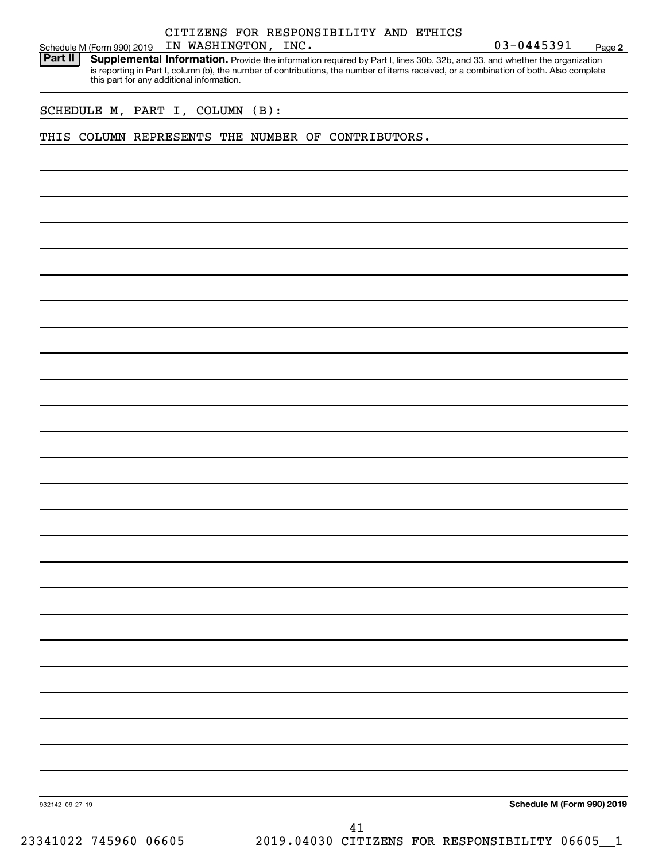#### CITIZENS FOR RESPONSIBILITY AND ETHICS IN WASHINGTON,

**2**

Schedule M (Form 990) 2019 IN WASHINGTON, INC.<br>**Part II** Supplemental Information, Provide the information required by Part I. lines 30b, 32b, and 33, and whether the orga Part II | Supplemental Information. Provide the information required by Part I, lines 30b, 32b, and 33, and whether the organization is reporting in Part I, column (b), the number of contributions, the number of items received, or a combination of both. Also complete this part for any additional information.

SCHEDULE M, PART I, COLUMN (B):

THIS COLUMN REPRESENTS THE NUMBER OF CONTRIBUTORS.

**Schedule M (Form 990) 2019**

932142 09-27-19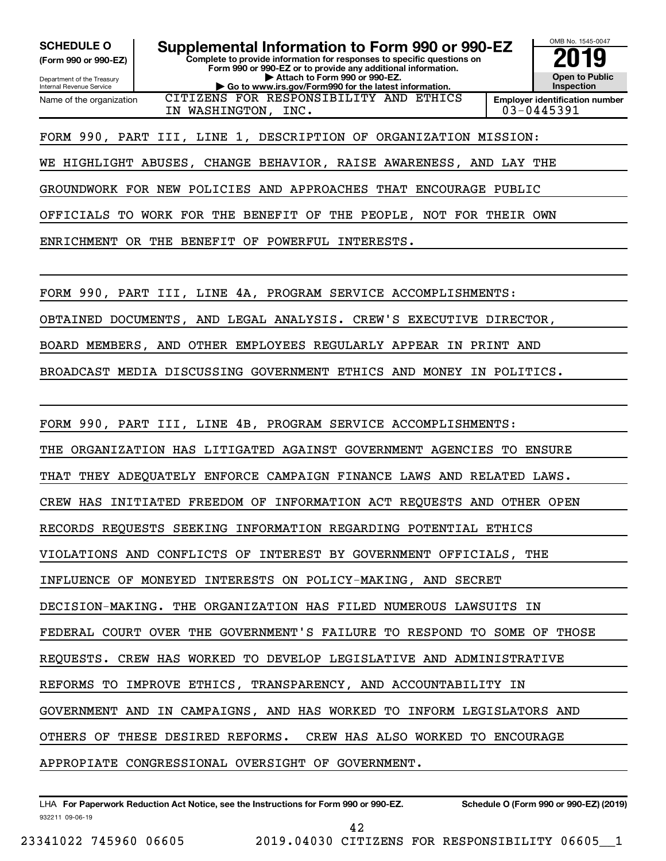**(Form 990 or 990-EZ)**

Department of the Treasury Internal Revenue Service Name of the organization

**Complete to provide information for responses to specific questions on Form 990 or 990-EZ or to provide any additional information. | Attach to Form 990 or 990-EZ. | Go to www.irs.gov/Form990 for the latest information. SCHEDULE O Supplemental Information to Form 990 or 990-EZ 2019** CITIZENS FOR RESPONSIBILITY AND ETHICS



IN WASHINGTON, INC. 03-0445391

FORM 990, PART III, LINE 1, DESCRIPTION OF ORGANIZATION MISSION:

WE HIGHLIGHT ABUSES, CHANGE BEHAVIOR, RAISE AWARENESS, AND LAY THE

GROUNDWORK FOR NEW POLICIES AND APPROACHES THAT ENCOURAGE PUBLIC

OFFICIALS TO WORK FOR THE BENEFIT OF THE PEOPLE, NOT FOR THEIR OWN

ENRICHMENT OR THE BENEFIT OF POWERFUL INTERESTS.

FORM 990, PART III, LINE 4A, PROGRAM SERVICE ACCOMPLISHMENTS:

OBTAINED DOCUMENTS, AND LEGAL ANALYSIS. CREW'S EXECUTIVE DIRECTOR,

BOARD MEMBERS, AND OTHER EMPLOYEES REGULARLY APPEAR IN PRINT AND

BROADCAST MEDIA DISCUSSING GOVERNMENT ETHICS AND MONEY IN POLITICS.

FORM 990, PART III, LINE 4B, PROGRAM SERVICE ACCOMPLISHMENTS:

THE ORGANIZATION HAS LITIGATED AGAINST GOVERNMENT AGENCIES TO ENSURE

THAT THEY ADEQUATELY ENFORCE CAMPAIGN FINANCE LAWS AND RELATED LAWS.

CREW HAS INITIATED FREEDOM OF INFORMATION ACT REQUESTS AND OTHER OPEN

RECORDS REQUESTS SEEKING INFORMATION REGARDING POTENTIAL ETHICS

VIOLATIONS AND CONFLICTS OF INTEREST BY GOVERNMENT OFFICIALS, THE

INFLUENCE OF MONEYED INTERESTS ON POLICY-MAKING, AND SECRET

DECISION-MAKING. THE ORGANIZATION HAS FILED NUMEROUS LAWSUITS IN

FEDERAL COURT OVER THE GOVERNMENT'S FAILURE TO RESPOND TO SOME OF THOSE

REQUESTS. CREW HAS WORKED TO DEVELOP LEGISLATIVE AND ADMINISTRATIVE

REFORMS TO IMPROVE ETHICS, TRANSPARENCY, AND ACCOUNTABILITY IN

GOVERNMENT AND IN CAMPAIGNS, AND HAS WORKED TO INFORM LEGISLATORS AND

OTHERS OF THESE DESIRED REFORMS. CREW HAS ALSO WORKED TO ENCOURAGE

APPROPIATE CONGRESSIONAL OVERSIGHT OF GOVERNMENT.

932211 09-06-19 LHA For Paperwork Reduction Act Notice, see the Instructions for Form 990 or 990-EZ. Schedule O (Form 990 or 990-EZ) (2019)

42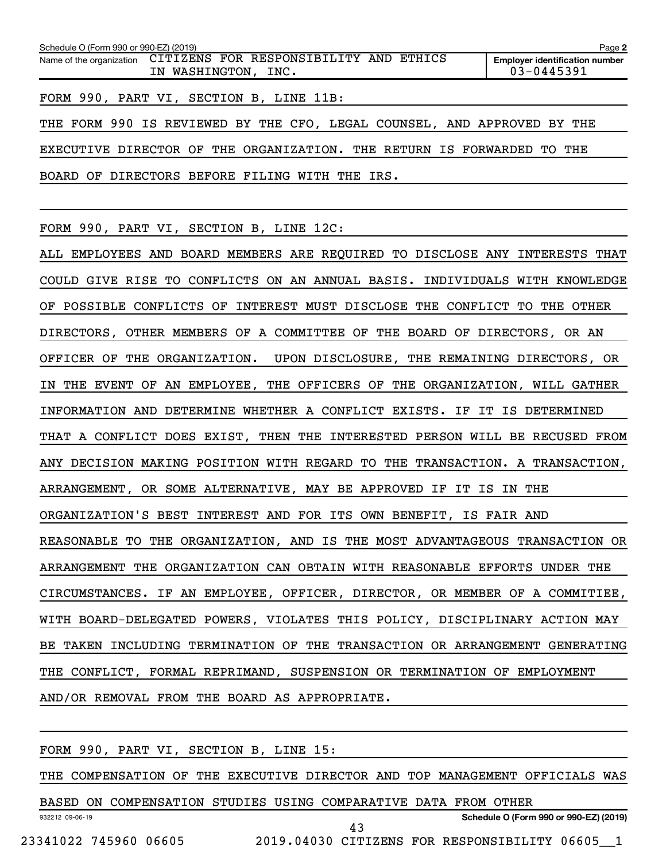| Schedule O (Form 990 or 990-EZ) (2019)                          |                                                                         | Page 2 |  |  |
|-----------------------------------------------------------------|-------------------------------------------------------------------------|--------|--|--|
| Name of the organization CITIZENS FOR RESPONSIBILITY AND ETHICS | <b>Employer identification number</b><br>03-0445391                     |        |  |  |
|                                                                 | FORM 990, PART VI, SECTION B, LINE 11B:                                 |        |  |  |
|                                                                 | THE FORM 990 IS REVIEWED BY THE CFO, LEGAL COUNSEL, AND APPROVED BY THE |        |  |  |
|                                                                 | EXECUTIVE DIRECTOR OF THE ORGANIZATION. THE RETURN IS FORWARDED TO THE  |        |  |  |
|                                                                 | BOARD OF DIRECTORS BEFORE FILING WITH THE<br>IRS.                       |        |  |  |

FORM 990, PART VI, SECTION B, LINE 12C:

ALL EMPLOYEES AND BOARD MEMBERS ARE REQUIRED TO DISCLOSE ANY INTERESTS THAT COULD GIVE RISE TO CONFLICTS ON AN ANNUAL BASIS. INDIVIDUALS WITH KNOWLEDGE OF POSSIBLE CONFLICTS OF INTEREST MUST DISCLOSE THE CONFLICT TO THE OTHER DIRECTORS, OTHER MEMBERS OF A COMMITTEE OF THE BOARD OF DIRECTORS, OR AN OFFICER OF THE ORGANIZATION. UPON DISCLOSURE, THE REMAINING DIRECTORS, OR IN THE EVENT OF AN EMPLOYEE, THE OFFICERS OF THE ORGANIZATION, WILL GATHER INFORMATION AND DETERMINE WHETHER A CONFLICT EXISTS. IF IT IS DETERMINED THAT A CONFLICT DOES EXIST, THEN THE INTERESTED PERSON WILL BE RECUSED FROM ANY DECISION MAKING POSITION WITH REGARD TO THE TRANSACTION. A TRANSACTION, ARRANGEMENT, OR SOME ALTERNATIVE, MAY BE APPROVED IF IT IS IN THE ORGANIZATION'S BEST INTEREST AND FOR ITS OWN BENEFIT, IS FAIR AND REASONABLE TO THE ORGANIZATION, AND IS THE MOST ADVANTAGEOUS TRANSACTION OR ARRANGEMENT THE ORGANIZATION CAN OBTAIN WITH REASONABLE EFFORTS UNDER THE CIRCUMSTANCES. IF AN EMPLOYEE, OFFICER, DIRECTOR, OR MEMBER OF A COMMITIEE, WITH BOARD-DELEGATED POWERS, VIOLATES THIS POLICY, DISCIPLINARY ACTION MAY BE TAKEN INCLUDING TERMINATION OF THE TRANSACTION OR ARRANGEMENT GENERATING THE CONFLICT, FORMAL REPRIMAND, SUSPENSION OR TERMINATION OF EMPLOYMENT AND/OR REMOVAL FROM THE BOARD AS APPROPRIATE.

|                       |  |  | FORM 990, PART VI, SECTION B, LINE 15: |  |    |  |                                                                             |  |                                        |  |
|-----------------------|--|--|----------------------------------------|--|----|--|-----------------------------------------------------------------------------|--|----------------------------------------|--|
|                       |  |  |                                        |  |    |  | THE COMPENSATION OF THE EXECUTIVE DIRECTOR AND TOP MANAGEMENT OFFICIALS WAS |  |                                        |  |
|                       |  |  |                                        |  |    |  | BASED ON COMPENSATION STUDIES USING COMPARATIVE DATA FROM OTHER             |  |                                        |  |
| 932212 09-06-19       |  |  |                                        |  | 43 |  |                                                                             |  | Schedule O (Form 990 or 990-EZ) (2019) |  |
| 23341022 745960 06605 |  |  |                                        |  |    |  | 2019.04030 CITIZENS FOR RESPONSIBILITY 06605 1                              |  |                                        |  |